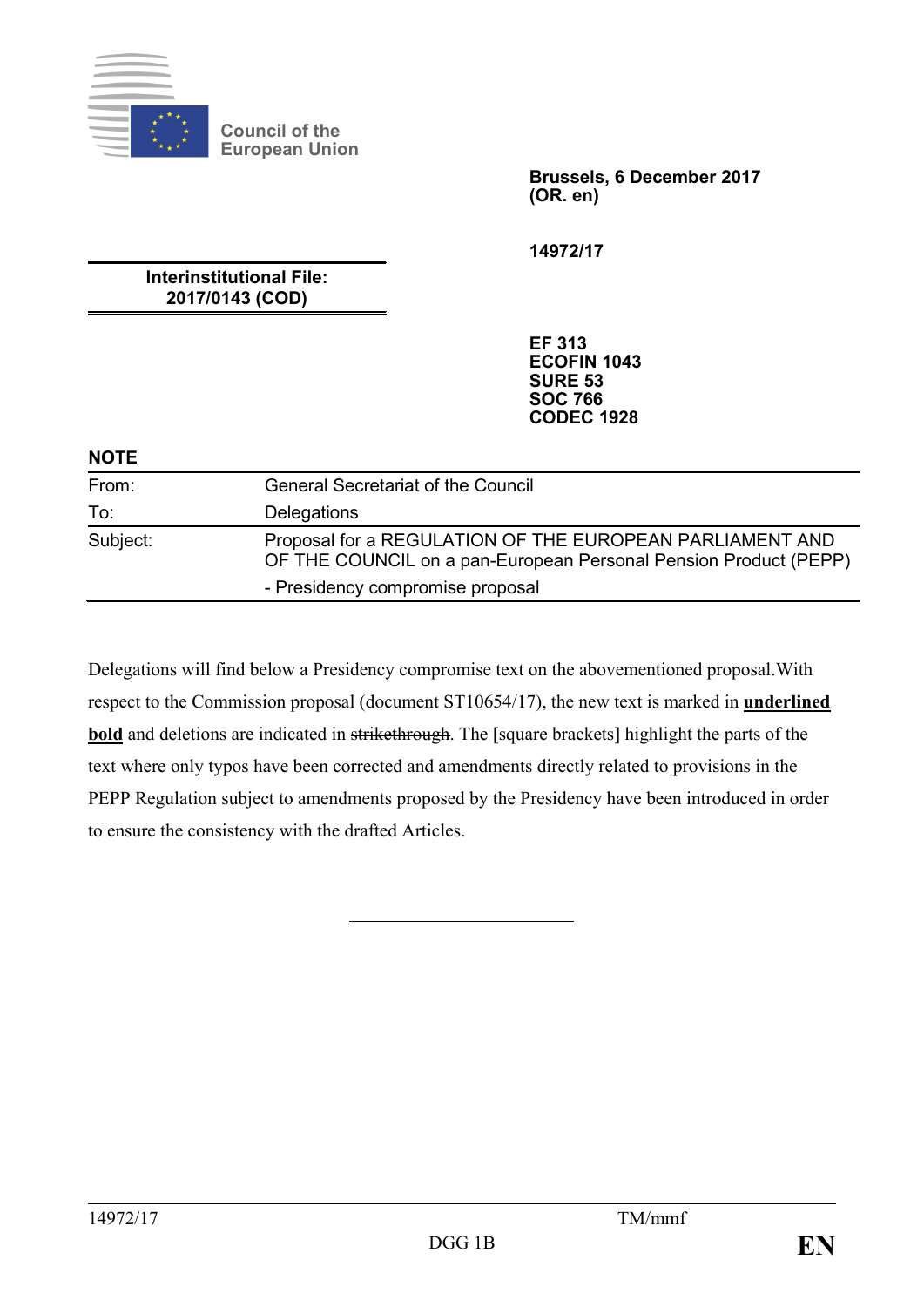

**Council of the European Union**

> **Brussels, 6 December 2017 (OR. en)**

**14972/17**

**Interinstitutional File: 2017/0143 (COD)**

> **EF 313 ECOFIN 1043 SURE 53 SOC 766 CODEC 1928**

#### **NOTE**

| From:    | <b>General Secretariat of the Council</b>                                                                                    |
|----------|------------------------------------------------------------------------------------------------------------------------------|
| To:      | Delegations                                                                                                                  |
| Subject: | Proposal for a REGULATION OF THE EUROPEAN PARLIAMENT AND<br>OF THE COUNCIL on a pan-European Personal Pension Product (PEPP) |
|          | - Presidency compromise proposal                                                                                             |

Delegations will find below a Presidency compromise text on the abovementioned proposal.With respect to the Commission proposal (document ST10654/17), the new text is marked in **underlined bold** and deletions are indicated in strikethrough. The [square brackets] highlight the parts of the text where only typos have been corrected and amendments directly related to provisions in the PEPP Regulation subject to amendments proposed by the Presidency have been introduced in order to ensure the consistency with the drafted Articles.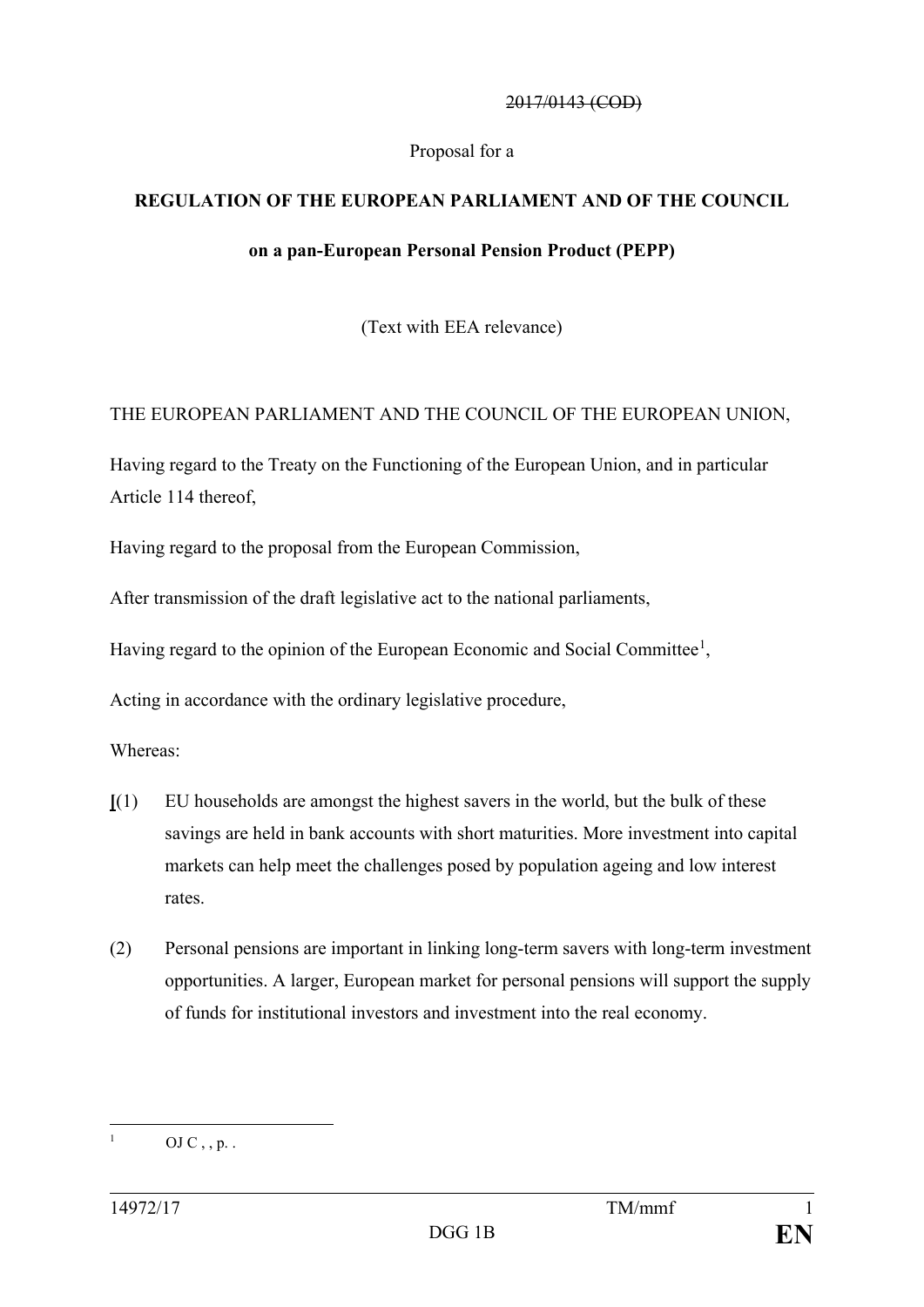#### 2017/0143 (COD)

#### Proposal for a

## **REGULATION OF THE EUROPEAN PARLIAMENT AND OF THE COUNCIL**

#### **on a pan-European Personal Pension Product (PEPP)**

(Text with EEA relevance)

## THE EUROPEAN PARLIAMENT AND THE COUNCIL OF THE EUROPEAN UNION,

Having regard to the Treaty on the Functioning of the European Union, and in particular Article 114 thereof,

Having regard to the proposal from the European Commission,

After transmission of the draft legislative act to the national parliaments,

Having regard to the opinion of the European Economic and Social Committee<sup>[1](#page-1-0)</sup>,

Acting in accordance with the ordinary legislative procedure,

Whereas:

- **[**(1) EU households are amongst the highest savers in the world, but the bulk of these savings are held in bank accounts with short maturities. More investment into capital markets can help meet the challenges posed by population ageing and low interest rates.
- (2) Personal pensions are important in linking long-term savers with long-term investment opportunities. A larger, European market for personal pensions will support the supply of funds for institutional investors and investment into the real economy.

<span id="page-1-0"></span> $OJ C$ , , p. .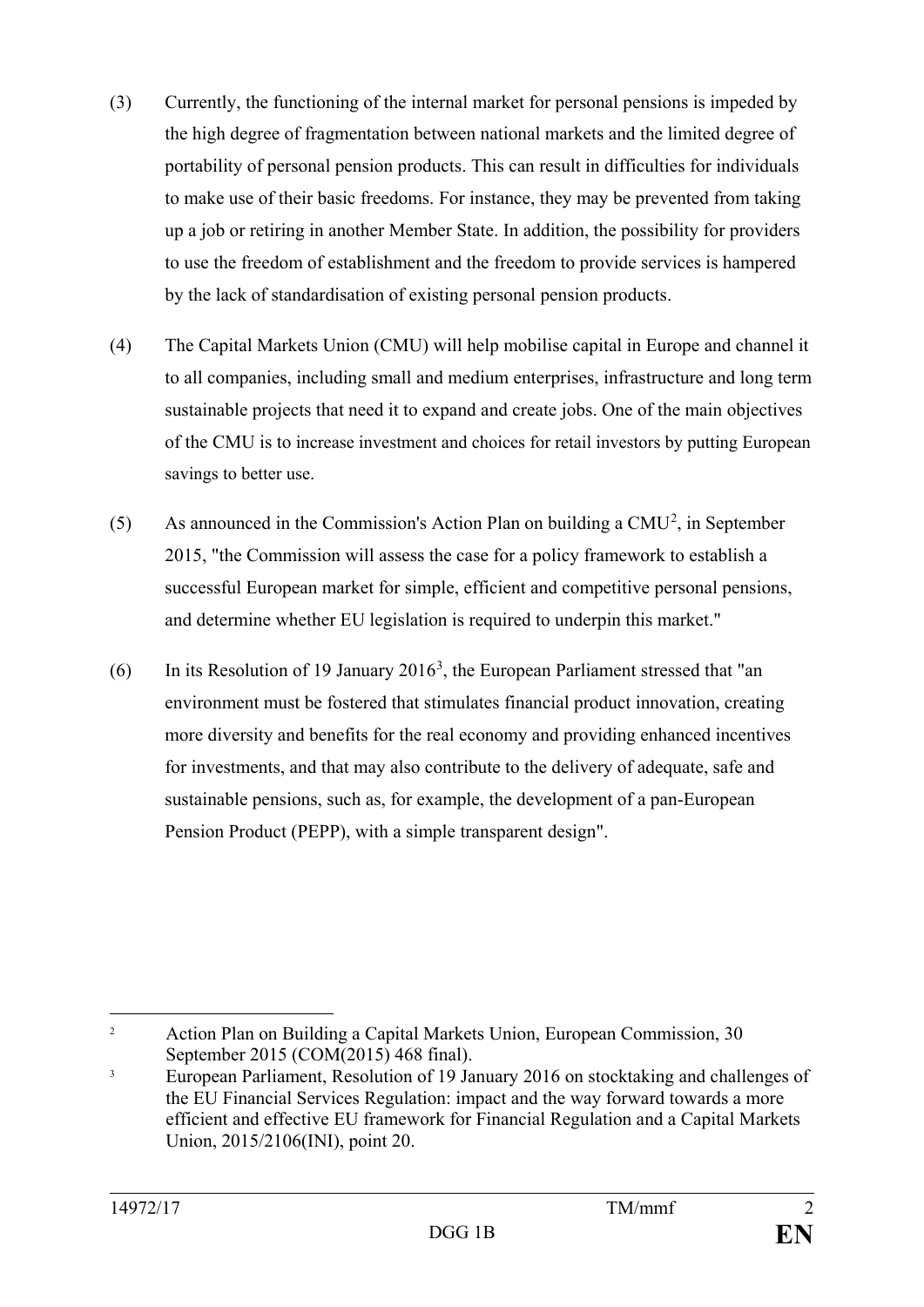- (3) Currently, the functioning of the internal market for personal pensions is impeded by the high degree of fragmentation between national markets and the limited degree of portability of personal pension products. This can result in difficulties for individuals to make use of their basic freedoms. For instance, they may be prevented from taking up a job or retiring in another Member State. In addition, the possibility for providers to use the freedom of establishment and the freedom to provide services is hampered by the lack of standardisation of existing personal pension products.
- (4) The Capital Markets Union (CMU) will help mobilise capital in Europe and channel it to all companies, including small and medium enterprises, infrastructure and long term sustainable projects that need it to expand and create jobs. One of the main objectives of the CMU is to increase investment and choices for retail investors by putting European savings to better use.
- (5) As announced in the Commission's Action Plan on building a CMU<sup>[2](#page-2-0)</sup>, in September 2015, "the Commission will assess the case for a policy framework to establish a successful European market for simple, efficient and competitive personal pensions, and determine whether EU legislation is required to underpin this market."
- (6) In its Resolution of 19 January 2016<sup>[3](#page-2-1)</sup>, the European Parliament stressed that "an environment must be fostered that stimulates financial product innovation, creating more diversity and benefits for the real economy and providing enhanced incentives for investments, and that may also contribute to the delivery of adequate, safe and sustainable pensions, such as, for example, the development of a pan-European Pension Product (PEPP), with a simple transparent design".

<span id="page-2-0"></span><sup>&</sup>lt;sup>2</sup> Action Plan on Building a Capital Markets Union, European Commission, 30 September 2015 (COM(2015) 468 final).

<span id="page-2-1"></span><sup>&</sup>lt;sup>3</sup> European Parliament, Resolution of 19 January 2016 on stocktaking and challenges of the EU Financial Services Regulation: impact and the way forward towards a more efficient and effective EU framework for Financial Regulation and a Capital Markets Union, 2015/2106(INI), point 20.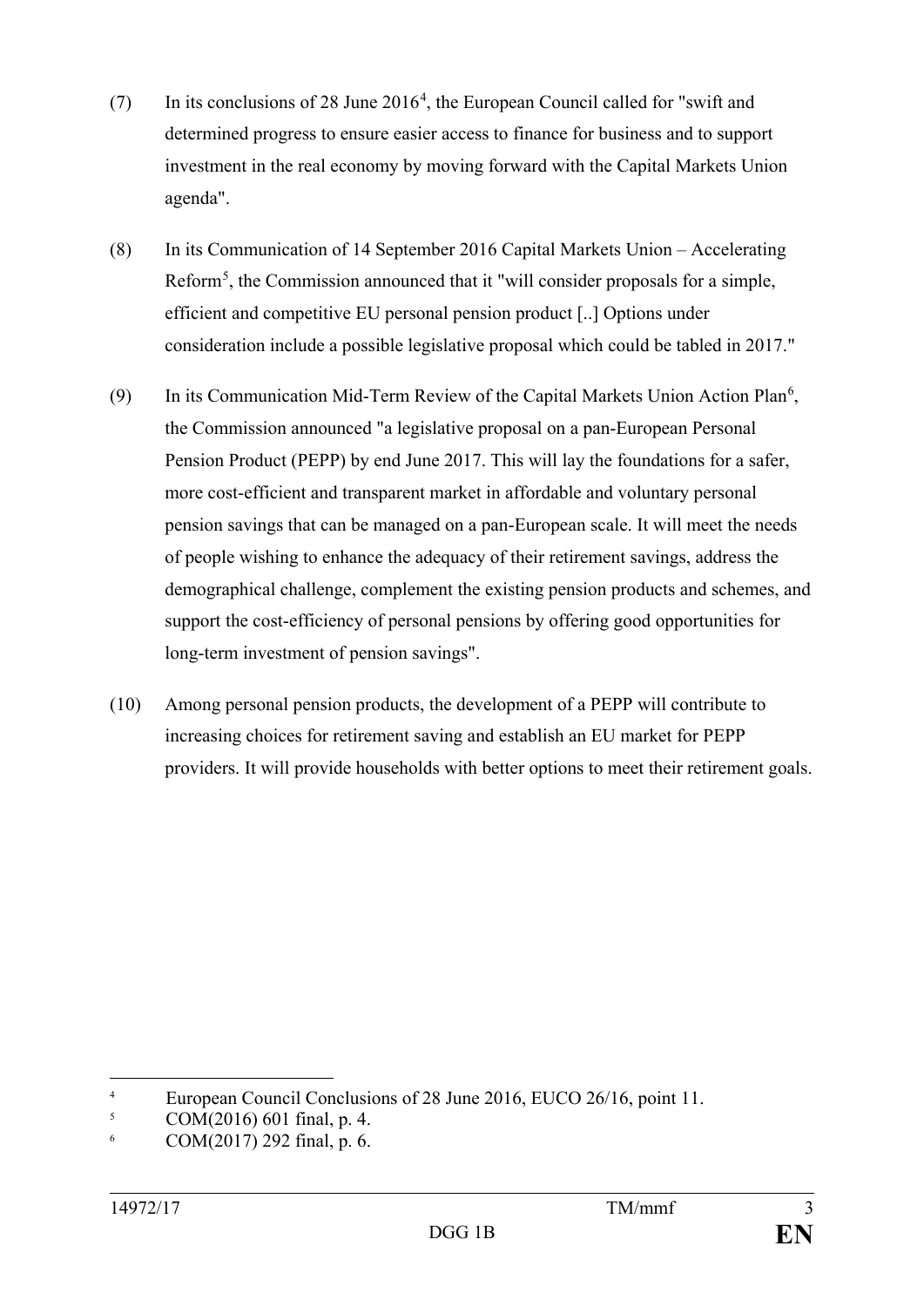- (7) In its conclusions of 28 June 2016<sup>[4](#page-3-0)</sup>, the European Council called for "swift and determined progress to ensure easier access to finance for business and to support investment in the real economy by moving forward with the Capital Markets Union agenda".
- (8) In its Communication of 14 September 2016 Capital Markets Union Accelerating Reform<sup>[5](#page-3-1)</sup>, the Commission announced that it "will consider proposals for a simple, efficient and competitive EU personal pension product [..] Options under consideration include a possible legislative proposal which could be tabled in 2017."
- (9) In its Communication Mid-Term Review of the Capital Markets Union Action Plan<sup>[6](#page-3-2)</sup>, the Commission announced "a legislative proposal on a pan-European Personal Pension Product (PEPP) by end June 2017. This will lay the foundations for a safer, more cost-efficient and transparent market in affordable and voluntary personal pension savings that can be managed on a pan-European scale. It will meet the needs of people wishing to enhance the adequacy of their retirement savings, address the demographical challenge, complement the existing pension products and schemes, and support the cost-efficiency of personal pensions by offering good opportunities for long-term investment of pension savings".
- (10) Among personal pension products, the development of a PEPP will contribute to increasing choices for retirement saving and establish an EU market for PEPP providers. It will provide households with better options to meet their retirement goals.

<span id="page-3-0"></span><sup>&</sup>lt;sup>4</sup><br>European Council Conclusions of 28 June 2016, EUCO 26/16, point 11.<br>COM(2016) 601 final n  $\Lambda$ 

<span id="page-3-1"></span><sup>5</sup> COM(2016) 601 final, p. 4.

<span id="page-3-2"></span> $6$  COM(2017) 292 final, p. 6.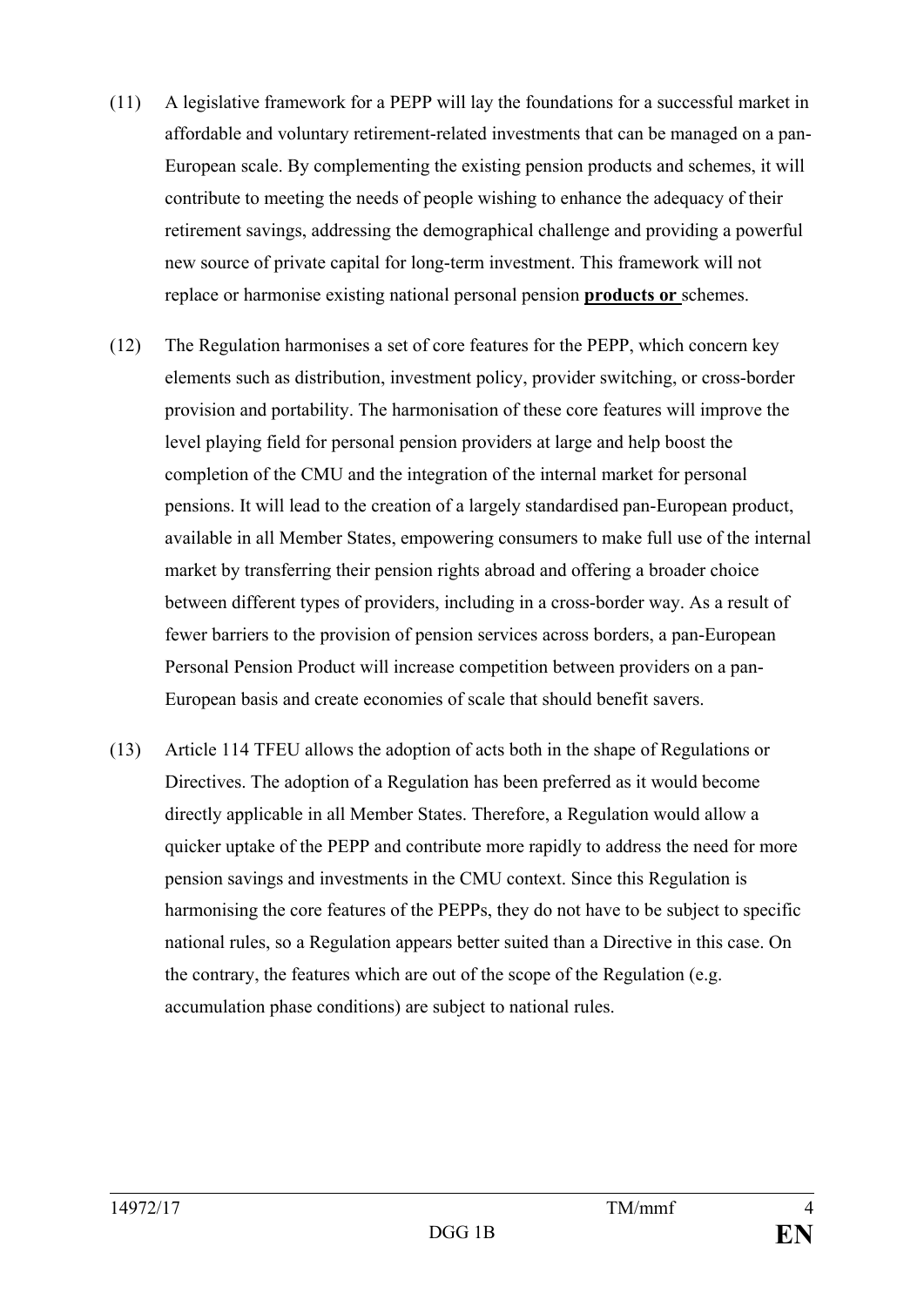- (11) A legislative framework for a PEPP will lay the foundations for a successful market in affordable and voluntary retirement-related investments that can be managed on a pan-European scale. By complementing the existing pension products and schemes, it will contribute to meeting the needs of people wishing to enhance the adequacy of their retirement savings, addressing the demographical challenge and providing a powerful new source of private capital for long-term investment. This framework will not replace or harmonise existing national personal pension **products or** schemes.
- (12) The Regulation harmonises a set of core features for the PEPP, which concern key elements such as distribution, investment policy, provider switching, or cross-border provision and portability. The harmonisation of these core features will improve the level playing field for personal pension providers at large and help boost the completion of the CMU and the integration of the internal market for personal pensions. It will lead to the creation of a largely standardised pan-European product, available in all Member States, empowering consumers to make full use of the internal market by transferring their pension rights abroad and offering a broader choice between different types of providers, including in a cross-border way. As a result of fewer barriers to the provision of pension services across borders, a pan-European Personal Pension Product will increase competition between providers on a pan-European basis and create economies of scale that should benefit savers.
- (13) Article 114 TFEU allows the adoption of acts both in the shape of Regulations or Directives. The adoption of a Regulation has been preferred as it would become directly applicable in all Member States. Therefore, a Regulation would allow a quicker uptake of the PEPP and contribute more rapidly to address the need for more pension savings and investments in the CMU context. Since this Regulation is harmonising the core features of the PEPPs, they do not have to be subject to specific national rules, so a Regulation appears better suited than a Directive in this case. On the contrary, the features which are out of the scope of the Regulation (e.g. accumulation phase conditions) are subject to national rules.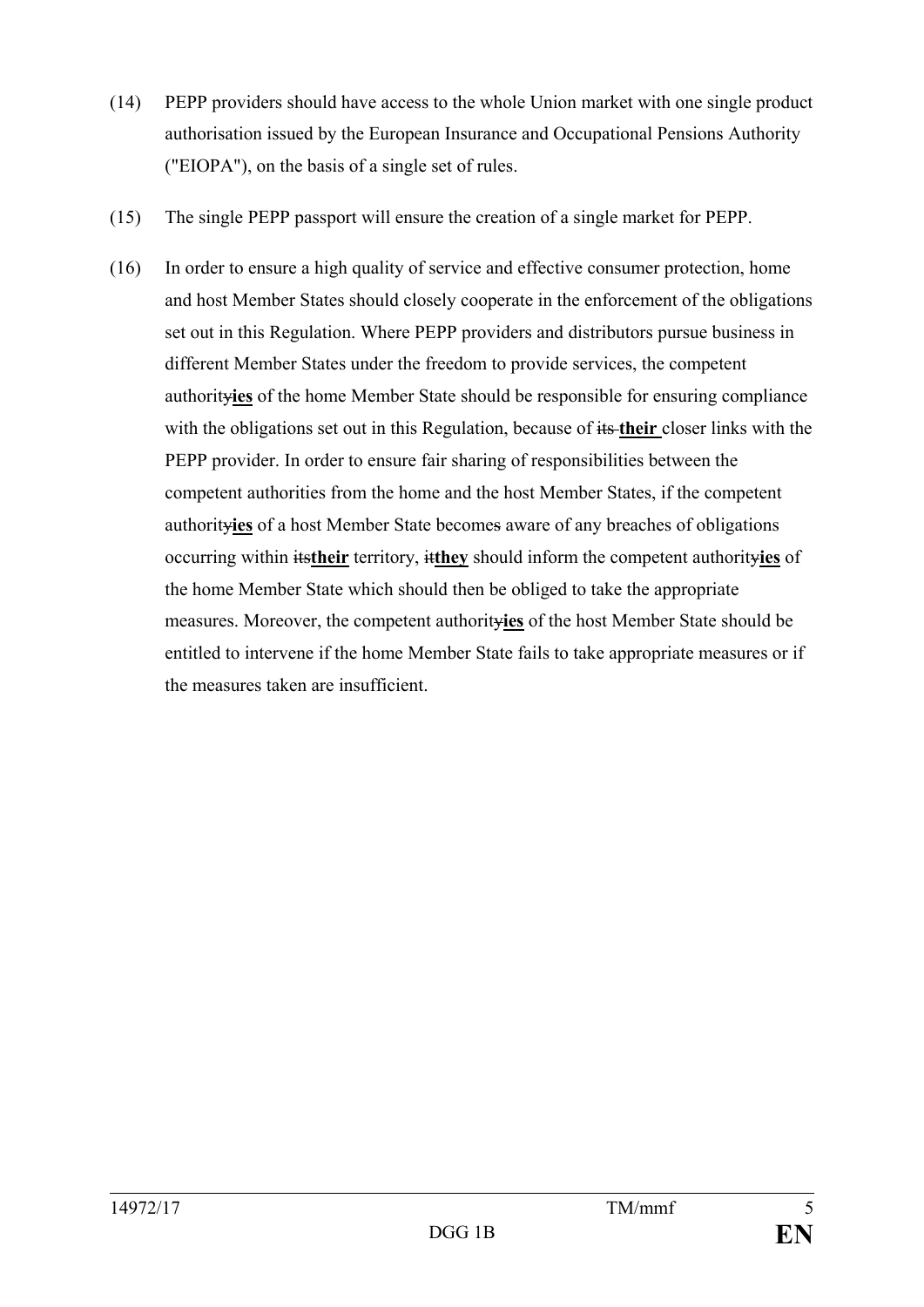- (14) PEPP providers should have access to the whole Union market with one single product authorisation issued by the European Insurance and Occupational Pensions Authority ("EIOPA"), on the basis of a single set of rules.
- (15) The single PEPP passport will ensure the creation of a single market for PEPP.
- (16) In order to ensure a high quality of service and effective consumer protection, home and host Member States should closely cooperate in the enforcement of the obligations set out in this Regulation. Where PEPP providers and distributors pursue business in different Member States under the freedom to provide services, the competent authority**ies** of the home Member State should be responsible for ensuring compliance with the obligations set out in this Regulation, because of  $\frac{1}{10}$  their closer links with the PEPP provider. In order to ensure fair sharing of responsibilities between the competent authorities from the home and the host Member States, if the competent authority**ies** of a host Member State becomes aware of any breaches of obligations occurring within its**their** territory, it**they** should inform the competent authority**ies** of the home Member State which should then be obliged to take the appropriate measures. Moreover, the competent authority**ies** of the host Member State should be entitled to intervene if the home Member State fails to take appropriate measures or if the measures taken are insufficient.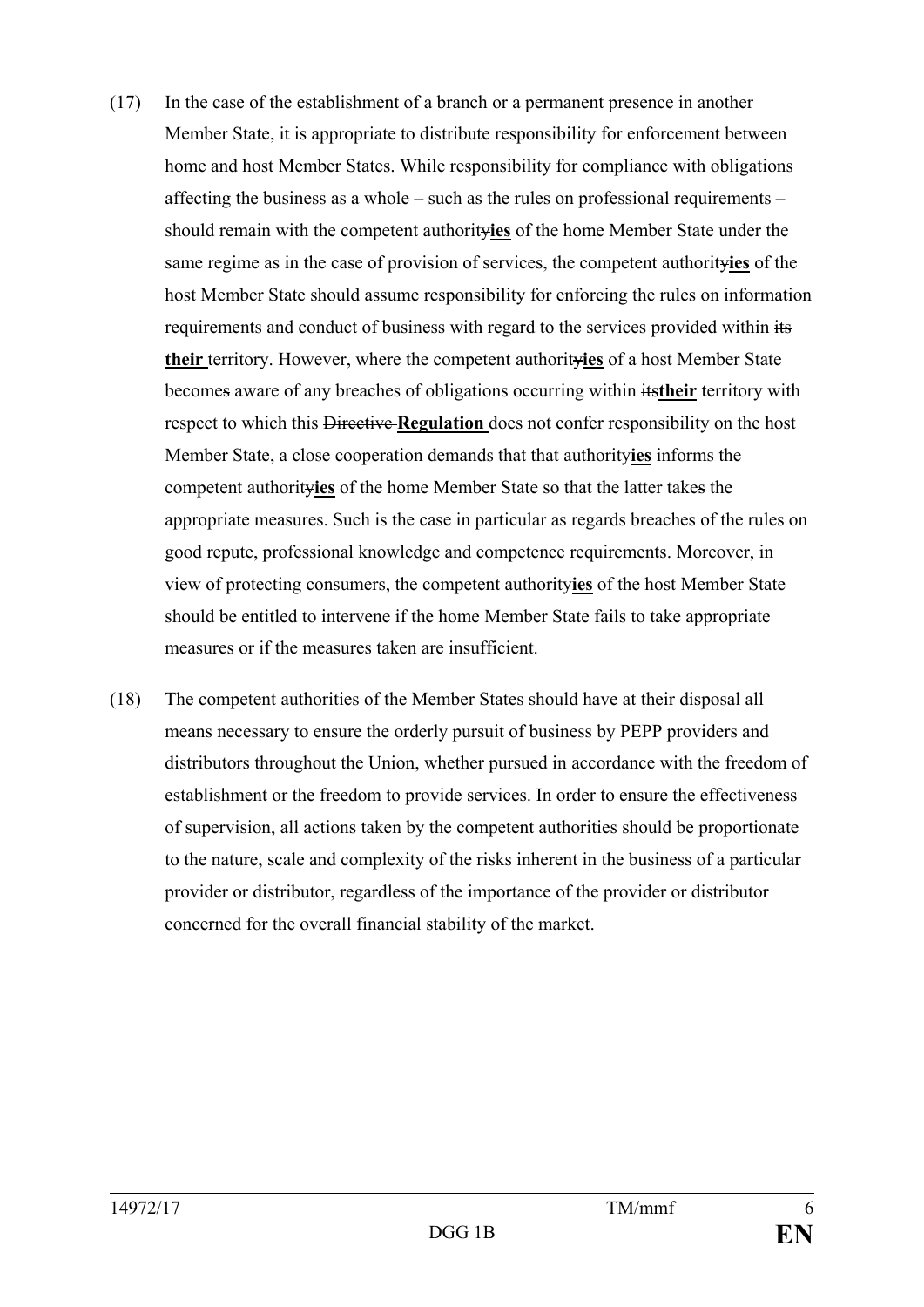- (17) In the case of the establishment of a branch or a permanent presence in another Member State, it is appropriate to distribute responsibility for enforcement between home and host Member States. While responsibility for compliance with obligations affecting the business as a whole – such as the rules on professional requirements – should remain with the competent authority**ies** of the home Member State under the same regime as in the case of provision of services, the competent authority**ies** of the host Member State should assume responsibility for enforcing the rules on information requirements and conduct of business with regard to the services provided within its **their** territory. However, where the competent authority**ies** of a host Member State becomes aware of any breaches of obligations occurring within its**their** territory with respect to which this Directive **Regulation** does not confer responsibility on the host Member State, a close cooperation demands that that authority**ies** informs the competent authority**ies** of the home Member State so that the latter takes the appropriate measures. Such is the case in particular as regards breaches of the rules on good repute, professional knowledge and competence requirements. Moreover, in view of protecting consumers, the competent authority**ies** of the host Member State should be entitled to intervene if the home Member State fails to take appropriate measures or if the measures taken are insufficient.
- (18) The competent authorities of the Member States should have at their disposal all means necessary to ensure the orderly pursuit of business by PEPP providers and distributors throughout the Union, whether pursued in accordance with the freedom of establishment or the freedom to provide services. In order to ensure the effectiveness of supervision, all actions taken by the competent authorities should be proportionate to the nature, scale and complexity of the risks inherent in the business of a particular provider or distributor, regardless of the importance of the provider or distributor concerned for the overall financial stability of the market.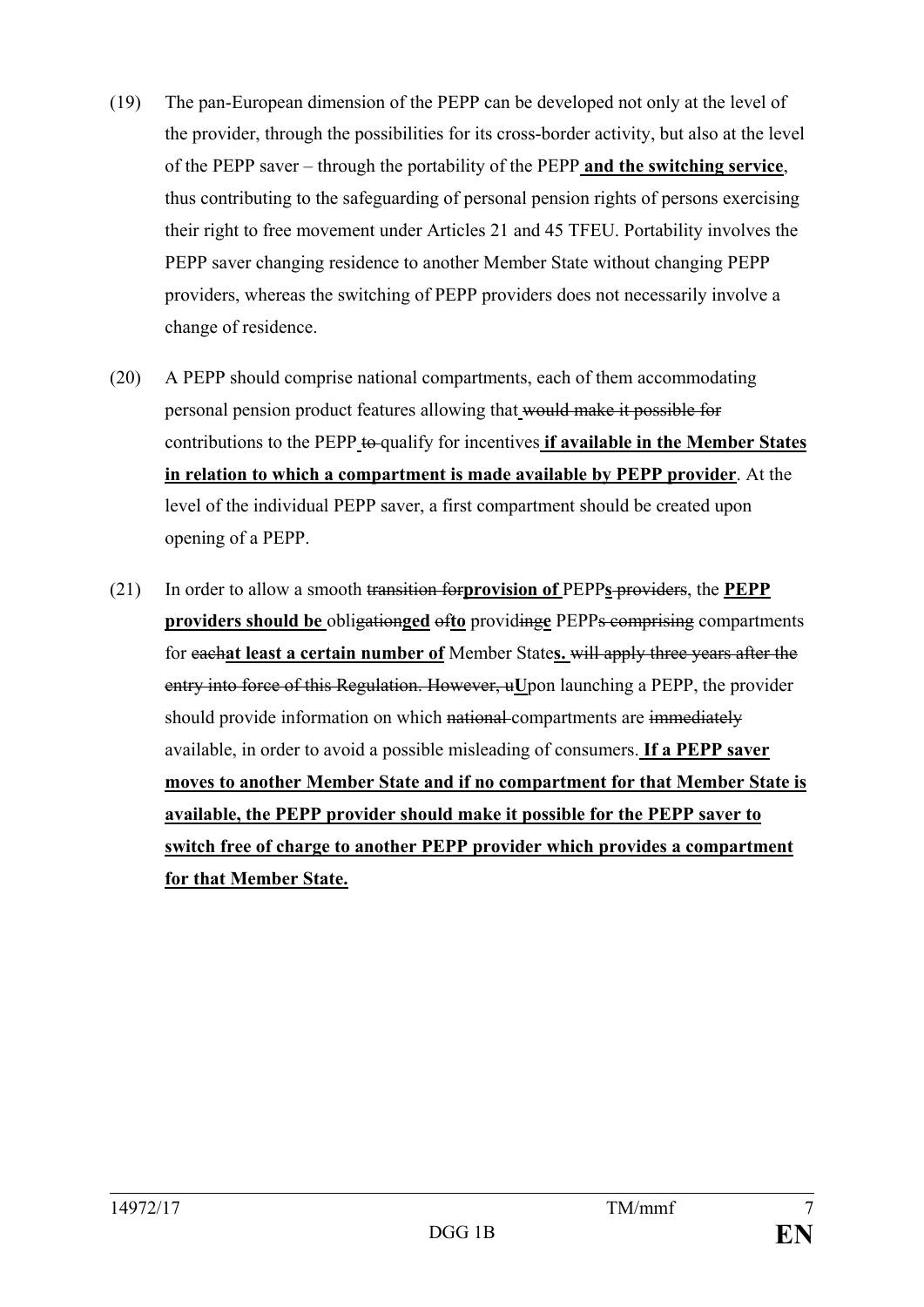- (19) The pan-European dimension of the PEPP can be developed not only at the level of the provider, through the possibilities for its cross-border activity, but also at the level of the PEPP saver – through the portability of the PEPP **and the switching service**, thus contributing to the safeguarding of personal pension rights of persons exercising their right to free movement under Articles 21 and 45 TFEU. Portability involves the PEPP saver changing residence to another Member State without changing PEPP providers, whereas the switching of PEPP providers does not necessarily involve a change of residence.
- (20) A PEPP should comprise national compartments, each of them accommodating personal pension product features allowing that would make it possible for contributions to the PEPP to qualify for incentives **if available in the Member States in relation to which a compartment is made available by PEPP provider**. At the level of the individual PEPP saver, a first compartment should be created upon opening of a PEPP.
- (21) In order to allow a smooth transition for**provision of** PEPP**s** providers, the **PEPP providers should be** obligation**ged** of**to** providing**e** PEPPs comprising compartments for each**at least a certain number of** Member State**s.** will apply three years after the entry into force of this Regulation. However, u**U**pon launching a PEPP, the provider should provide information on which national compartments are immediately available, in order to avoid a possible misleading of consumers. **If a PEPP saver moves to another Member State and if no compartment for that Member State is available, the PEPP provider should make it possible for the PEPP saver to switch free of charge to another PEPP provider which provides a compartment for that Member State.**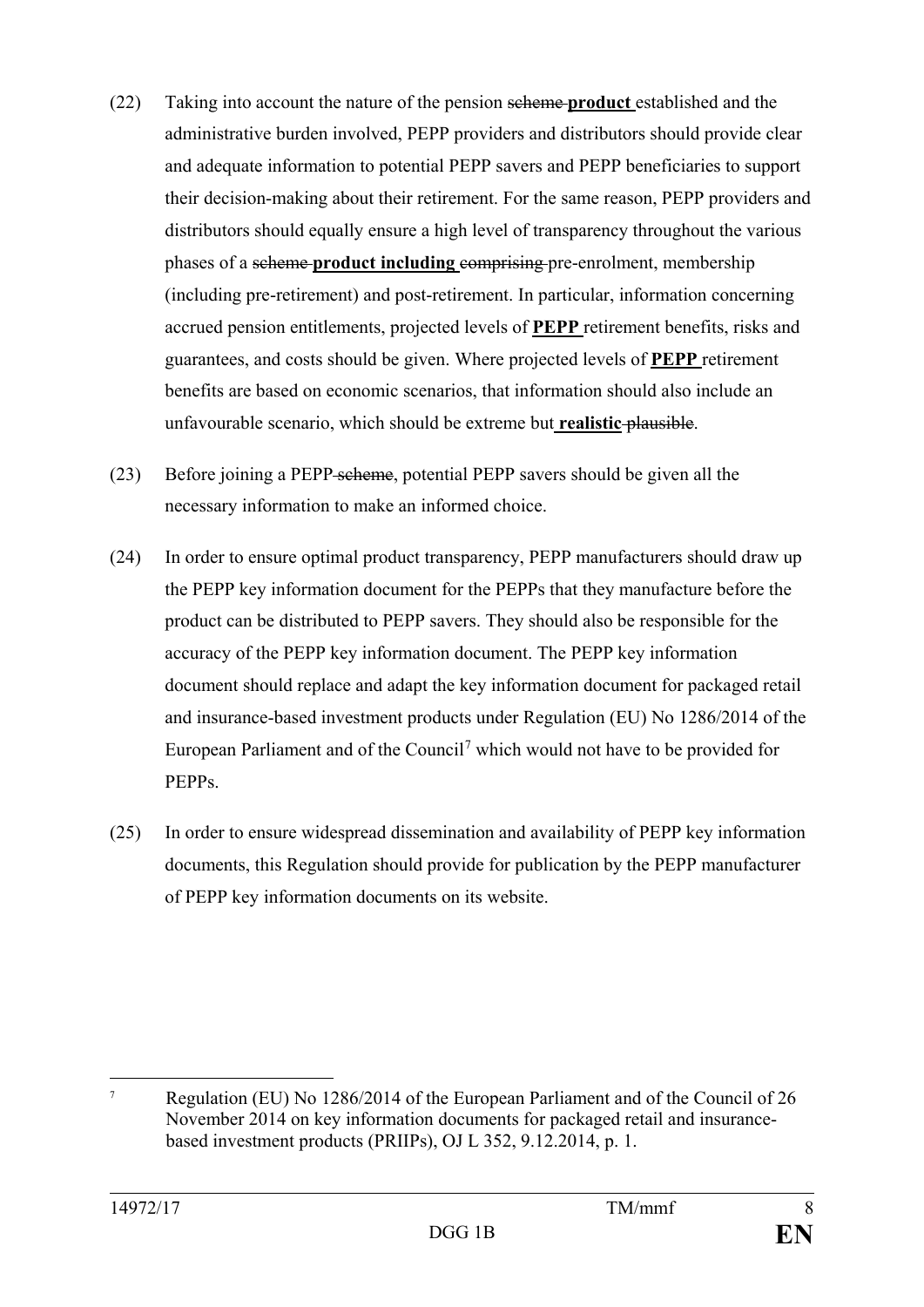- (22) Taking into account the nature of the pension scheme **product** established and the administrative burden involved, PEPP providers and distributors should provide clear and adequate information to potential PEPP savers and PEPP beneficiaries to support their decision-making about their retirement. For the same reason, PEPP providers and distributors should equally ensure a high level of transparency throughout the various phases of a scheme **product including** comprising pre-enrolment, membership (including pre-retirement) and post-retirement. In particular, information concerning accrued pension entitlements, projected levels of **PEPP** retirement benefits, risks and guarantees, and costs should be given. Where projected levels of **PEPP** retirement benefits are based on economic scenarios, that information should also include an unfavourable scenario, which should be extreme but **realistic** plausible.
- (23) Before joining a PEPP scheme, potential PEPP savers should be given all the necessary information to make an informed choice.
- (24) In order to ensure optimal product transparency, PEPP manufacturers should draw up the PEPP key information document for the PEPPs that they manufacture before the product can be distributed to PEPP savers. They should also be responsible for the accuracy of the PEPP key information document. The PEPP key information document should replace and adapt the key information document for packaged retail and insurance-based investment products under Regulation (EU) No 1286/2014 of the European Parliament and of the Council[7](#page-8-0) which would not have to be provided for PEPPs.
- (25) In order to ensure widespread dissemination and availability of PEPP key information documents, this Regulation should provide for publication by the PEPP manufacturer of PEPP key information documents on its website.

<span id="page-8-0"></span> <sup>7</sup> Regulation (EU) No 1286/2014 of the European Parliament and of the Council of 26 November 2014 on key information documents for packaged retail and insurancebased investment products (PRIIPs), OJ L 352, 9.12.2014, p. 1.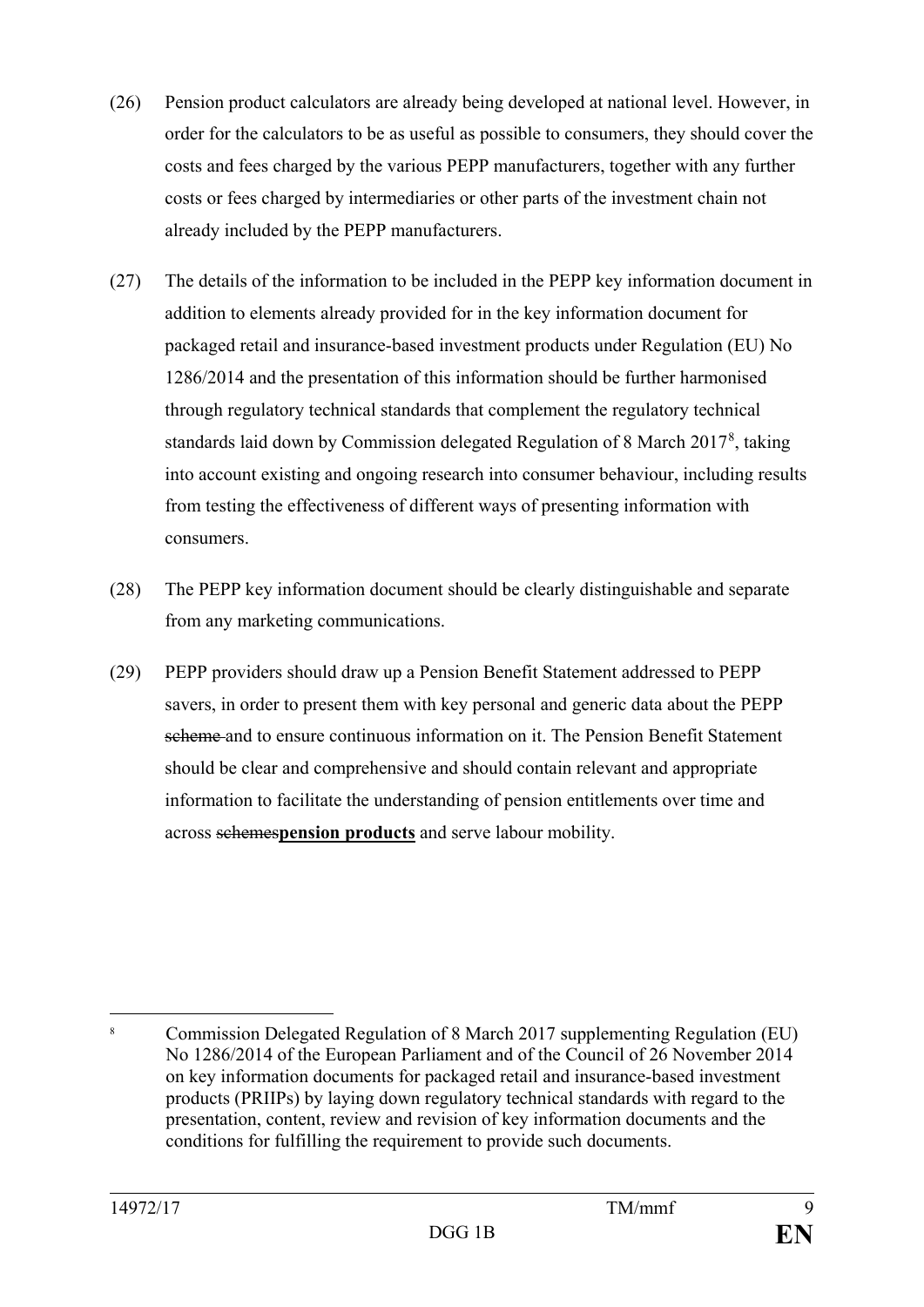- (26) Pension product calculators are already being developed at national level. However, in order for the calculators to be as useful as possible to consumers, they should cover the costs and fees charged by the various PEPP manufacturers, together with any further costs or fees charged by intermediaries or other parts of the investment chain not already included by the PEPP manufacturers.
- (27) The details of the information to be included in the PEPP key information document in addition to elements already provided for in the key information document for packaged retail and insurance-based investment products under Regulation (EU) No 1286/2014 and the presentation of this information should be further harmonised through regulatory technical standards that complement the regulatory technical standards laid down by Commission delegated Regulation of [8](#page-9-0) March 2017<sup>8</sup>, taking into account existing and ongoing research into consumer behaviour, including results from testing the effectiveness of different ways of presenting information with consumers.
- (28) The PEPP key information document should be clearly distinguishable and separate from any marketing communications.
- (29) PEPP providers should draw up a Pension Benefit Statement addressed to PEPP savers, in order to present them with key personal and generic data about the PEPP scheme and to ensure continuous information on it. The Pension Benefit Statement should be clear and comprehensive and should contain relevant and appropriate information to facilitate the understanding of pension entitlements over time and across schemes**pension products** and serve labour mobility.

<span id="page-9-0"></span> <sup>8</sup> Commission Delegated Regulation of 8 March 2017 supplementing Regulation (EU) No 1286/2014 of the European Parliament and of the Council of 26 November 2014 on key information documents for packaged retail and insurance-based investment products (PRIIPs) by laying down regulatory technical standards with regard to the presentation, content, review and revision of key information documents and the conditions for fulfilling the requirement to provide such documents.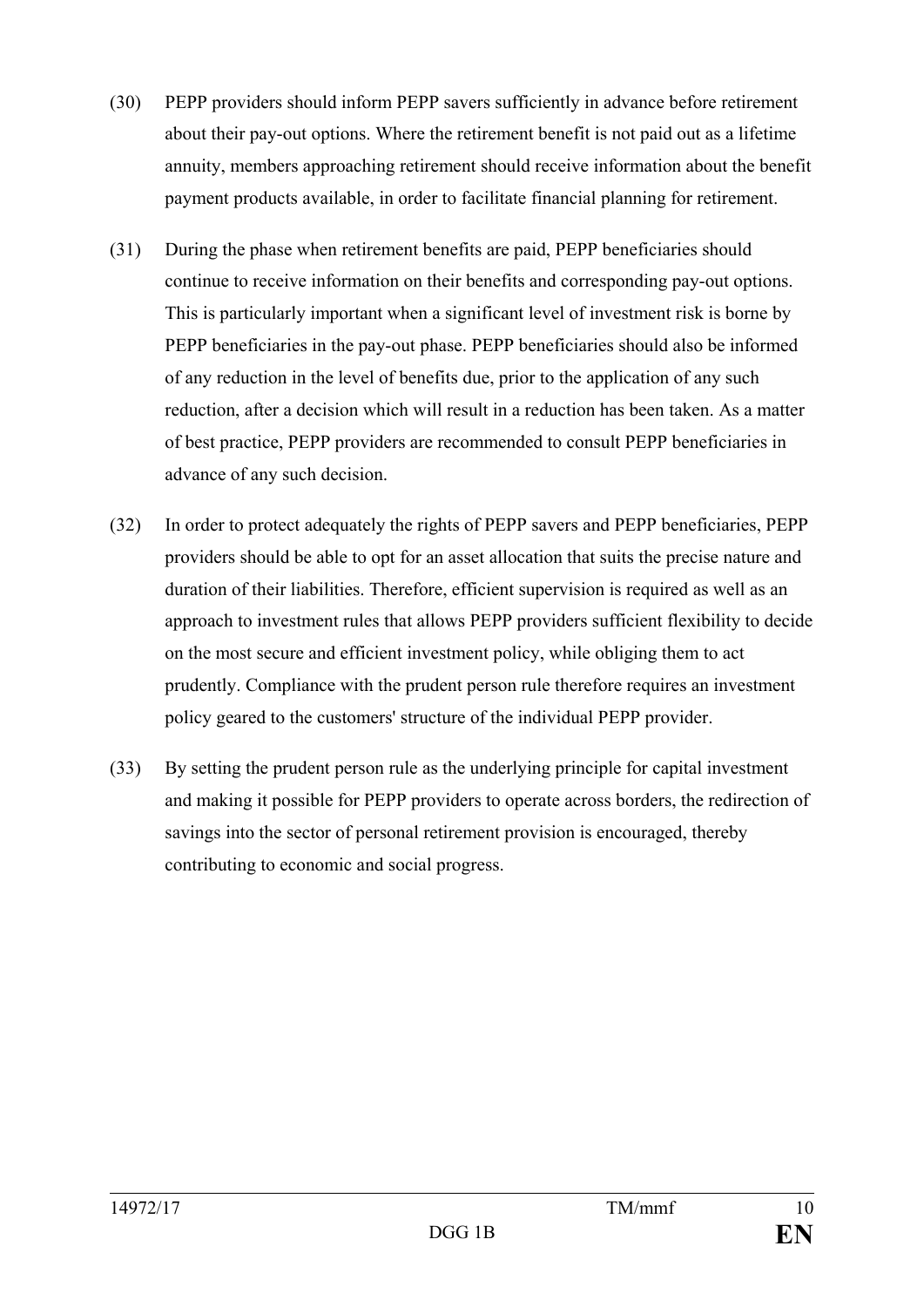- (30) PEPP providers should inform PEPP savers sufficiently in advance before retirement about their pay-out options. Where the retirement benefit is not paid out as a lifetime annuity, members approaching retirement should receive information about the benefit payment products available, in order to facilitate financial planning for retirement.
- (31) During the phase when retirement benefits are paid, PEPP beneficiaries should continue to receive information on their benefits and corresponding pay-out options. This is particularly important when a significant level of investment risk is borne by PEPP beneficiaries in the pay-out phase. PEPP beneficiaries should also be informed of any reduction in the level of benefits due, prior to the application of any such reduction, after a decision which will result in a reduction has been taken. As a matter of best practice, PEPP providers are recommended to consult PEPP beneficiaries in advance of any such decision.
- (32) In order to protect adequately the rights of PEPP savers and PEPP beneficiaries, PEPP providers should be able to opt for an asset allocation that suits the precise nature and duration of their liabilities. Therefore, efficient supervision is required as well as an approach to investment rules that allows PEPP providers sufficient flexibility to decide on the most secure and efficient investment policy, while obliging them to act prudently. Compliance with the prudent person rule therefore requires an investment policy geared to the customers' structure of the individual PEPP provider.
- (33) By setting the prudent person rule as the underlying principle for capital investment and making it possible for PEPP providers to operate across borders, the redirection of savings into the sector of personal retirement provision is encouraged, thereby contributing to economic and social progress.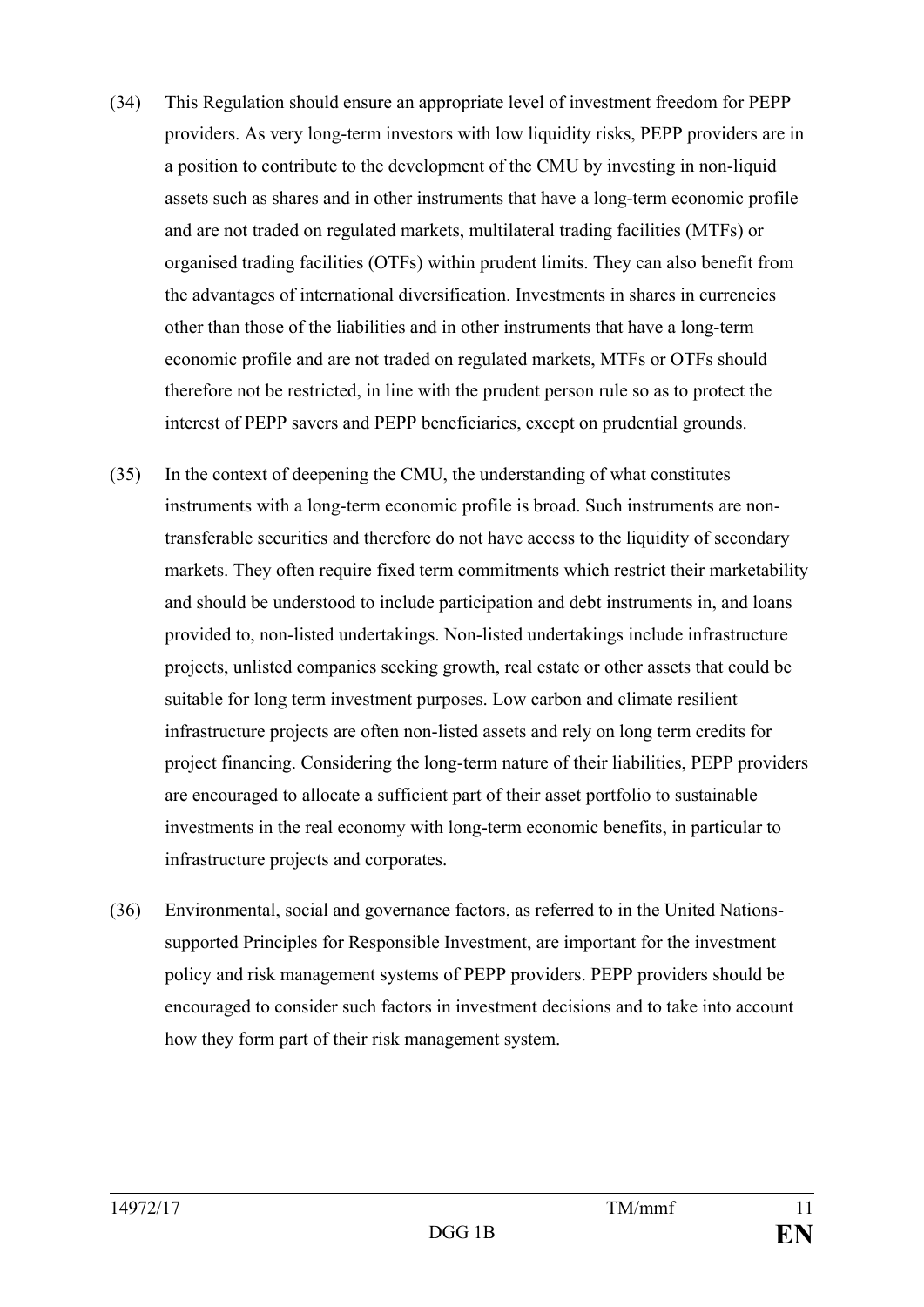- (34) This Regulation should ensure an appropriate level of investment freedom for PEPP providers. As very long-term investors with low liquidity risks, PEPP providers are in a position to contribute to the development of the CMU by investing in non-liquid assets such as shares and in other instruments that have a long-term economic profile and are not traded on regulated markets, multilateral trading facilities (MTFs) or organised trading facilities (OTFs) within prudent limits. They can also benefit from the advantages of international diversification. Investments in shares in currencies other than those of the liabilities and in other instruments that have a long-term economic profile and are not traded on regulated markets, MTFs or OTFs should therefore not be restricted, in line with the prudent person rule so as to protect the interest of PEPP savers and PEPP beneficiaries, except on prudential grounds.
- (35) In the context of deepening the CMU, the understanding of what constitutes instruments with a long-term economic profile is broad. Such instruments are nontransferable securities and therefore do not have access to the liquidity of secondary markets. They often require fixed term commitments which restrict their marketability and should be understood to include participation and debt instruments in, and loans provided to, non-listed undertakings. Non-listed undertakings include infrastructure projects, unlisted companies seeking growth, real estate or other assets that could be suitable for long term investment purposes. Low carbon and climate resilient infrastructure projects are often non-listed assets and rely on long term credits for project financing. Considering the long-term nature of their liabilities, PEPP providers are encouraged to allocate a sufficient part of their asset portfolio to sustainable investments in the real economy with long-term economic benefits, in particular to infrastructure projects and corporates.
- (36) Environmental, social and governance factors, as referred to in the United Nationssupported Principles for Responsible Investment, are important for the investment policy and risk management systems of PEPP providers. PEPP providers should be encouraged to consider such factors in investment decisions and to take into account how they form part of their risk management system.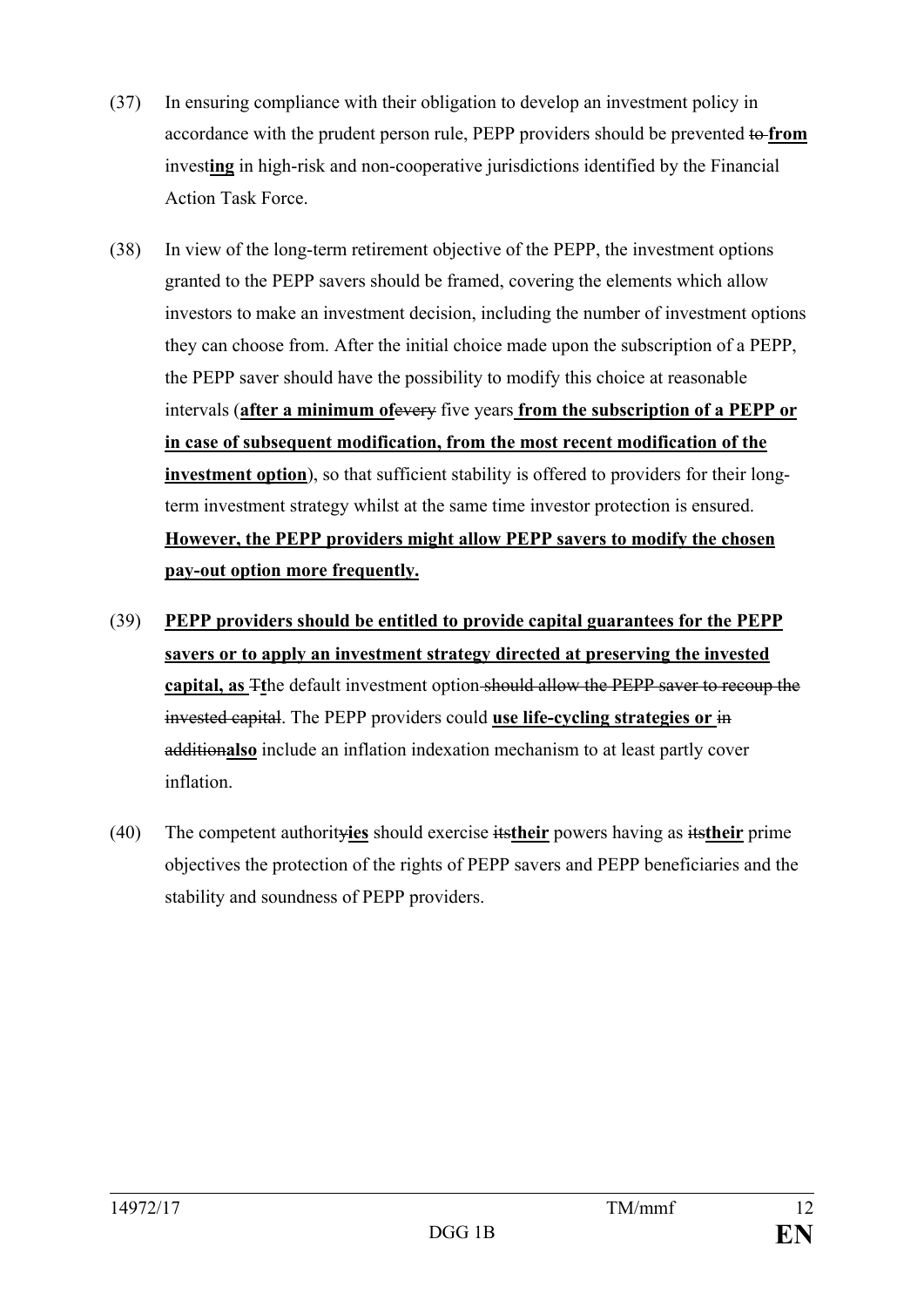- (37) In ensuring compliance with their obligation to develop an investment policy in accordance with the prudent person rule, PEPP providers should be prevented to **from**  invest**ing** in high-risk and non-cooperative jurisdictions identified by the Financial Action Task Force.
- (38) In view of the long-term retirement objective of the PEPP, the investment options granted to the PEPP savers should be framed, covering the elements which allow investors to make an investment decision, including the number of investment options they can choose from. After the initial choice made upon the subscription of a PEPP, the PEPP saver should have the possibility to modify this choice at reasonable intervals (**after a minimum of**every five years **from the subscription of a PEPP or in case of subsequent modification, from the most recent modification of the investment option**), so that sufficient stability is offered to providers for their longterm investment strategy whilst at the same time investor protection is ensured. **However, the PEPP providers might allow PEPP savers to modify the chosen pay-out option more frequently.**
- (39) **PEPP providers should be entitled to provide capital guarantees for the PEPP savers or to apply an investment strategy directed at preserving the invested capital, as** T**t**he default investment option should allow the PEPP saver to recoup the invested capital. The PEPP providers could **use life-cycling strategies or** in addition**also** include an inflation indexation mechanism to at least partly cover inflation.
- (40) The competent authority**ies** should exercise its**their** powers having as its**their** prime objectives the protection of the rights of PEPP savers and PEPP beneficiaries and the stability and soundness of PEPP providers.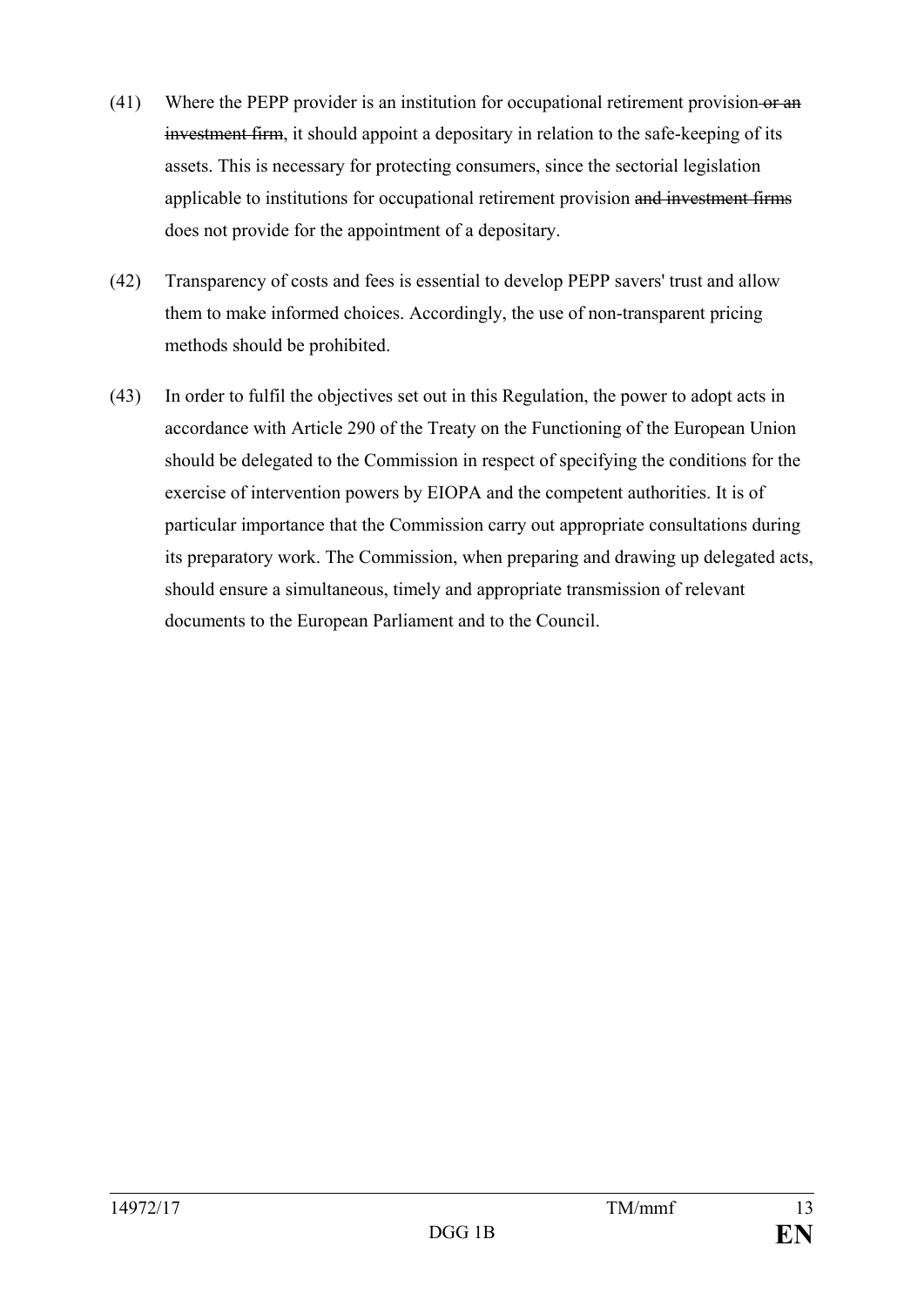- (41) Where the PEPP provider is an institution for occupational retirement provision-or an investment firm, it should appoint a depositary in relation to the safe-keeping of its assets. This is necessary for protecting consumers, since the sectorial legislation applicable to institutions for occupational retirement provision and investment firms does not provide for the appointment of a depositary.
- (42) Transparency of costs and fees is essential to develop PEPP savers' trust and allow them to make informed choices. Accordingly, the use of non-transparent pricing methods should be prohibited.
- (43) In order to fulfil the objectives set out in this Regulation, the power to adopt acts in accordance with Article 290 of the Treaty on the Functioning of the European Union should be delegated to the Commission in respect of specifying the conditions for the exercise of intervention powers by EIOPA and the competent authorities. It is of particular importance that the Commission carry out appropriate consultations during its preparatory work. The Commission, when preparing and drawing up delegated acts, should ensure a simultaneous, timely and appropriate transmission of relevant documents to the European Parliament and to the Council.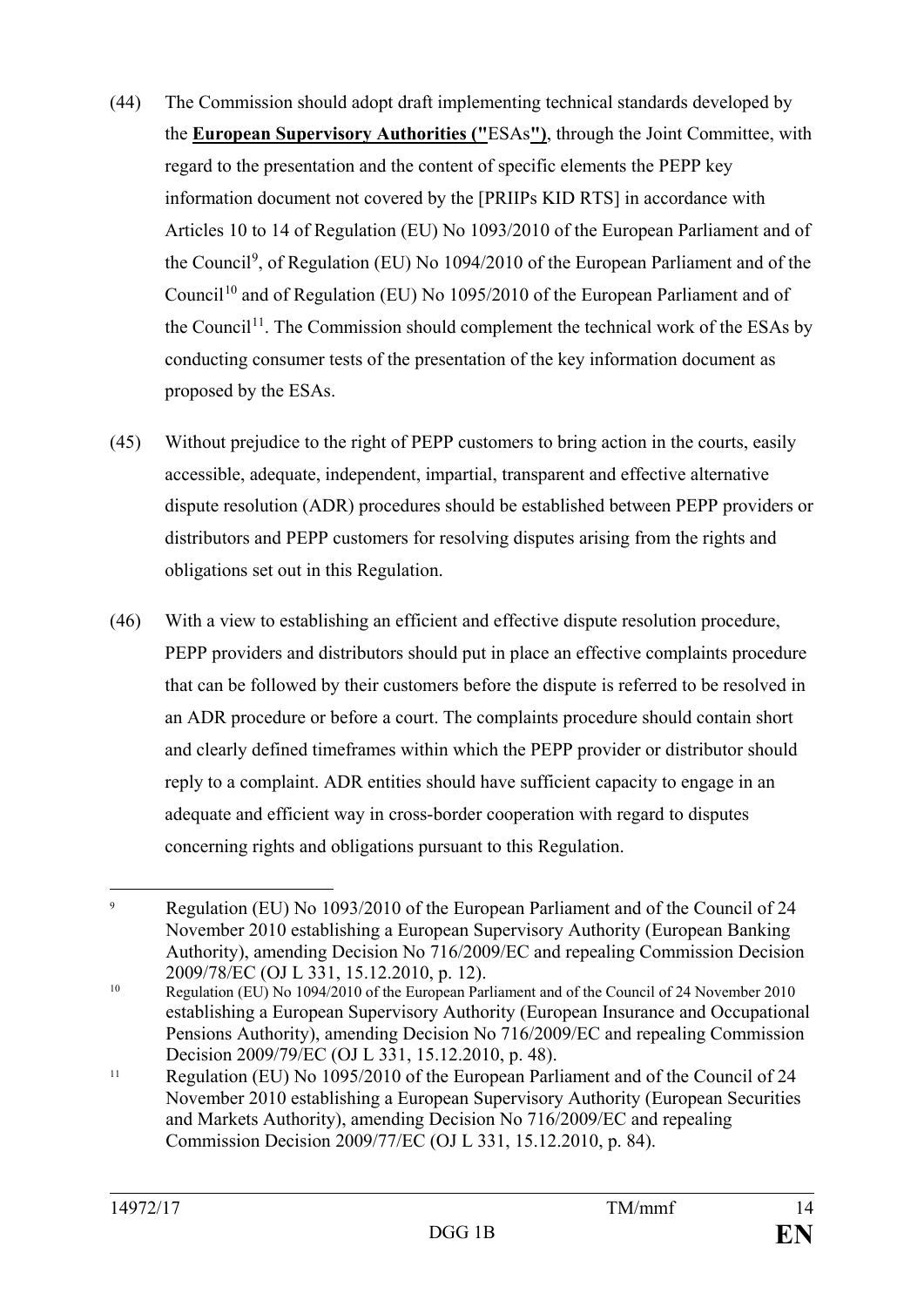- (44) The Commission should adopt draft implementing technical standards developed by the **European Supervisory Authorities ("**ESAs**")**, through the Joint Committee, with regard to the presentation and the content of specific elements the PEPP key information document not covered by the [PRIIPs KID RTS] in accordance with Articles 10 to 14 of Regulation (EU) No 1093/2010 of the European Parliament and of the Council<sup>[9](#page-14-0)</sup>, of Regulation (EU) No 1094/2010 of the European Parliament and of the Council<sup>[10](#page-14-1)</sup> and of Regulation (EU) No 1095/2010 of the European Parliament and of the Council<sup>11</sup>. The Commission should complement the technical work of the ESAs by conducting consumer tests of the presentation of the key information document as proposed by the ESAs.
- (45) Without prejudice to the right of PEPP customers to bring action in the courts, easily accessible, adequate, independent, impartial, transparent and effective alternative dispute resolution (ADR) procedures should be established between PEPP providers or distributors and PEPP customers for resolving disputes arising from the rights and obligations set out in this Regulation.
- (46) With a view to establishing an efficient and effective dispute resolution procedure, PEPP providers and distributors should put in place an effective complaints procedure that can be followed by their customers before the dispute is referred to be resolved in an ADR procedure or before a court. The complaints procedure should contain short and clearly defined timeframes within which the PEPP provider or distributor should reply to a complaint. ADR entities should have sufficient capacity to engage in an adequate and efficient way in cross-border cooperation with regard to disputes concerning rights and obligations pursuant to this Regulation.

<span id="page-14-0"></span> <sup>9</sup> Regulation (EU) No 1093/2010 of the European Parliament and of the Council of 24 November 2010 establishing a European Supervisory Authority (European Banking Authority), amending Decision No 716/2009/EC and repealing Commission Decision 2009/78/EC (OJ L 331, 15.12.2010, p. 12).

<span id="page-14-1"></span><sup>&</sup>lt;sup>10</sup> Regulation (EU) No 1094/2010 of the European Parliament and of the Council of 24 November 2010 establishing a European Supervisory Authority (European Insurance and Occupational Pensions Authority), amending Decision No 716/2009/EC and repealing Commission Decision 2009/79/EC (OJ L 331, 15.12.2010, p. 48).

<span id="page-14-2"></span><sup>&</sup>lt;sup>11</sup> Regulation (EU) No 1095/2010 of the European Parliament and of the Council of 24 November 2010 establishing a European Supervisory Authority (European Securities and Markets Authority), amending Decision No 716/2009/EC and repealing Commission Decision 2009/77/EC (OJ L 331, 15.12.2010, p. 84).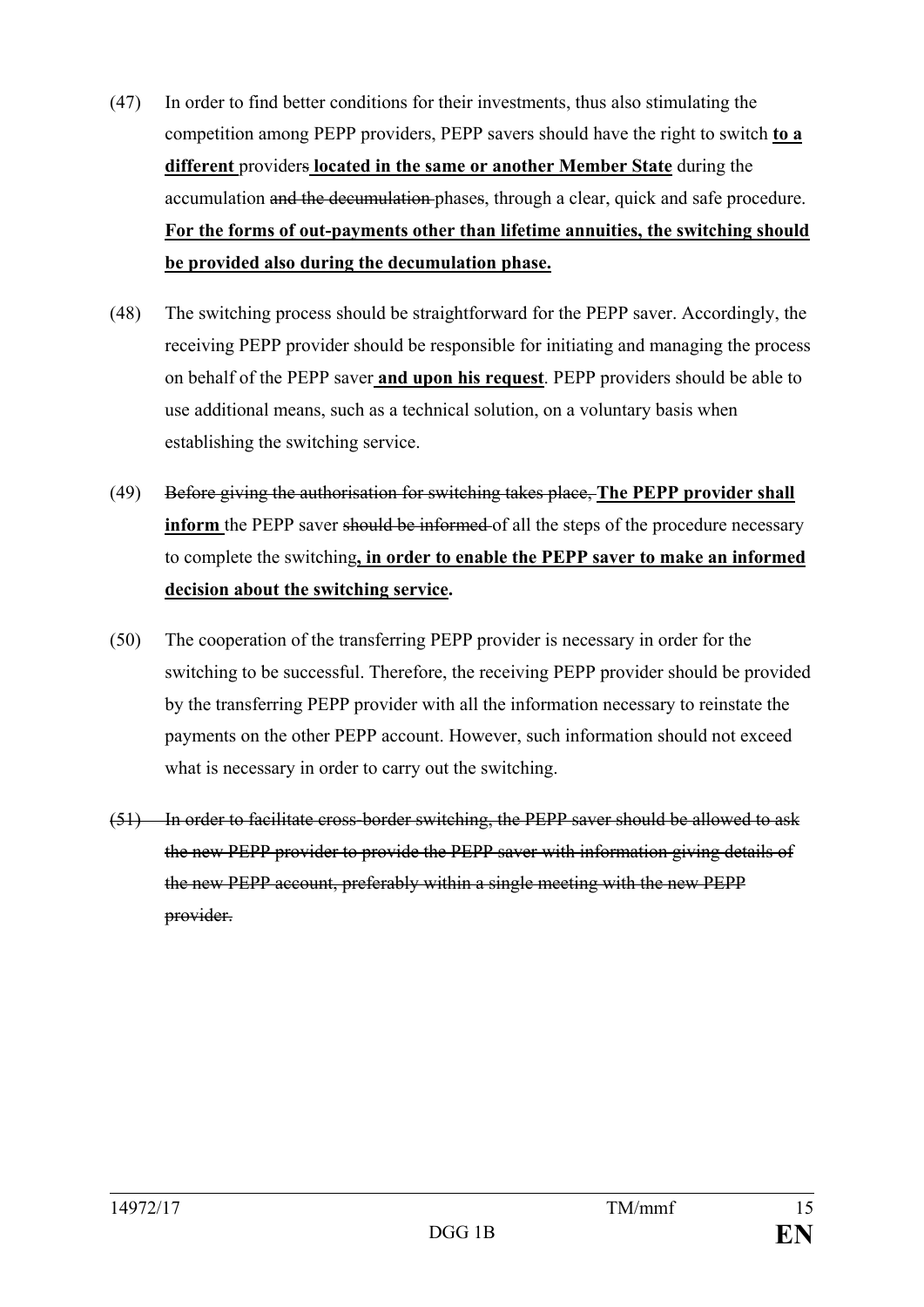- (47) In order to find better conditions for their investments, thus also stimulating the competition among PEPP providers, PEPP savers should have the right to switch **to a different** providers **located in the same or another Member State** during the accumulation and the decumulation phases, through a clear, quick and safe procedure. **For the forms of out-payments other than lifetime annuities, the switching should be provided also during the decumulation phase.**
- (48) The switching process should be straightforward for the PEPP saver. Accordingly, the receiving PEPP provider should be responsible for initiating and managing the process on behalf of the PEPP saver **and upon his request**. PEPP providers should be able to use additional means, such as a technical solution, on a voluntary basis when establishing the switching service.
- (49) Before giving the authorisation for switching takes place, **The PEPP provider shall inform** the PEPP saver should be informed of all the steps of the procedure necessary to complete the switching**, in order to enable the PEPP saver to make an informed decision about the switching service.**
- (50) The cooperation of the transferring PEPP provider is necessary in order for the switching to be successful. Therefore, the receiving PEPP provider should be provided by the transferring PEPP provider with all the information necessary to reinstate the payments on the other PEPP account. However, such information should not exceed what is necessary in order to carry out the switching.
- (51) In order to facilitate cross-border switching, the PEPP saver should be allowed to ask the new PEPP provider to provide the PEPP saver with information giving details of the new PEPP account, preferably within a single meeting with the new PEPP provider.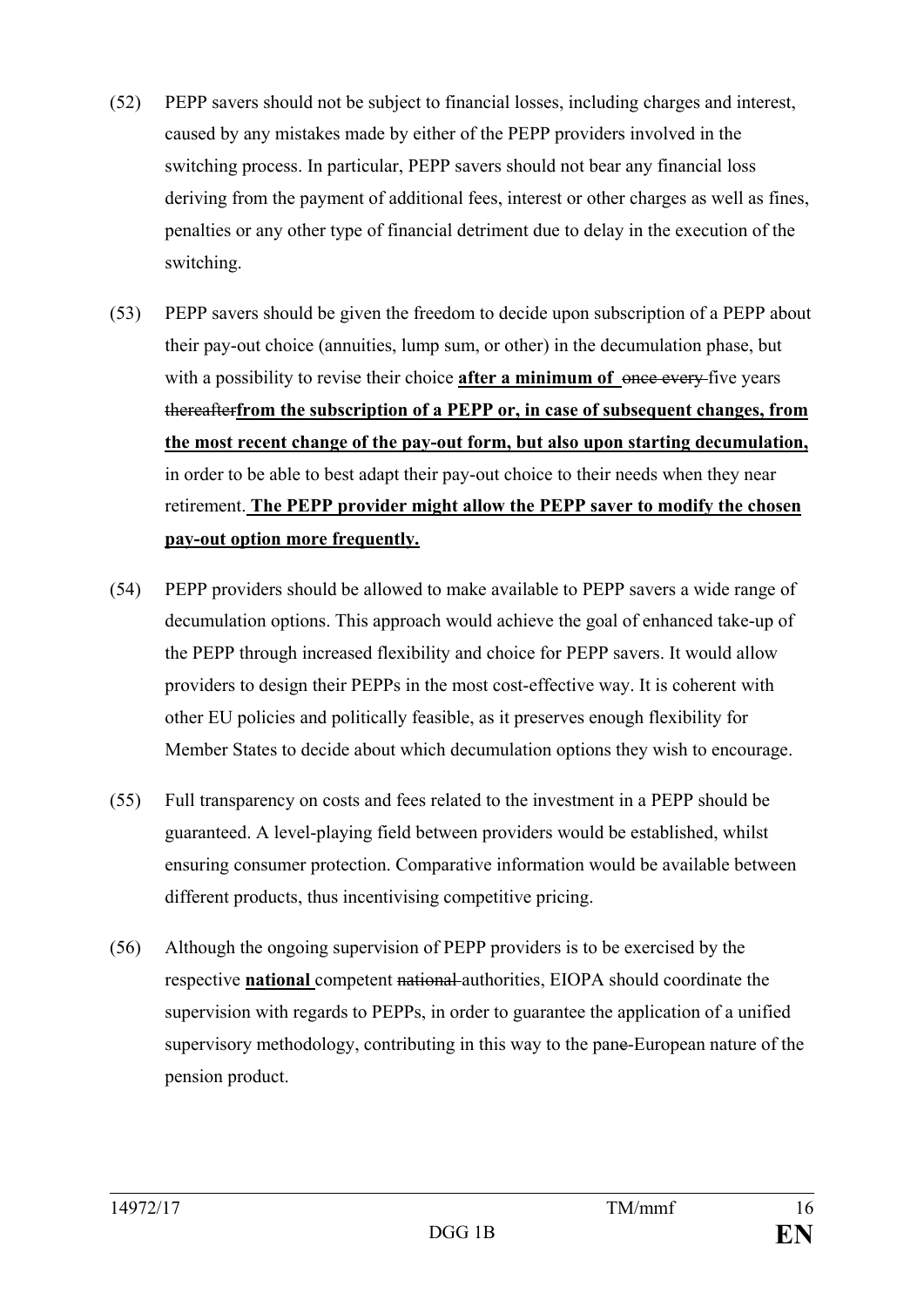- (52) PEPP savers should not be subject to financial losses, including charges and interest, caused by any mistakes made by either of the PEPP providers involved in the switching process. In particular, PEPP savers should not bear any financial loss deriving from the payment of additional fees, interest or other charges as well as fines, penalties or any other type of financial detriment due to delay in the execution of the switching.
- (53) PEPP savers should be given the freedom to decide upon subscription of a PEPP about their pay-out choice (annuities, lump sum, or other) in the decumulation phase, but with a possibility to revise their choice **after a minimum of** once every five years thereafter**from the subscription of a PEPP or, in case of subsequent changes, from the most recent change of the pay-out form, but also upon starting decumulation,** in order to be able to best adapt their pay-out choice to their needs when they near retirement. **The PEPP provider might allow the PEPP saver to modify the chosen pay-out option more frequently.**
- (54) PEPP providers should be allowed to make available to PEPP savers a wide range of decumulation options. This approach would achieve the goal of enhanced take-up of the PEPP through increased flexibility and choice for PEPP savers. It would allow providers to design their PEPPs in the most cost-effective way. It is coherent with other EU policies and politically feasible, as it preserves enough flexibility for Member States to decide about which decumulation options they wish to encourage.
- (55) Full transparency on costs and fees related to the investment in a PEPP should be guaranteed. A level-playing field between providers would be established, whilst ensuring consumer protection. Comparative information would be available between different products, thus incentivising competitive pricing.
- (56) Although the ongoing supervision of PEPP providers is to be exercised by the respective **national** competent national authorities, EIOPA should coordinate the supervision with regards to PEPPs, in order to guarantee the application of a unified supervisory methodology, contributing in this way to the pane-European nature of the pension product.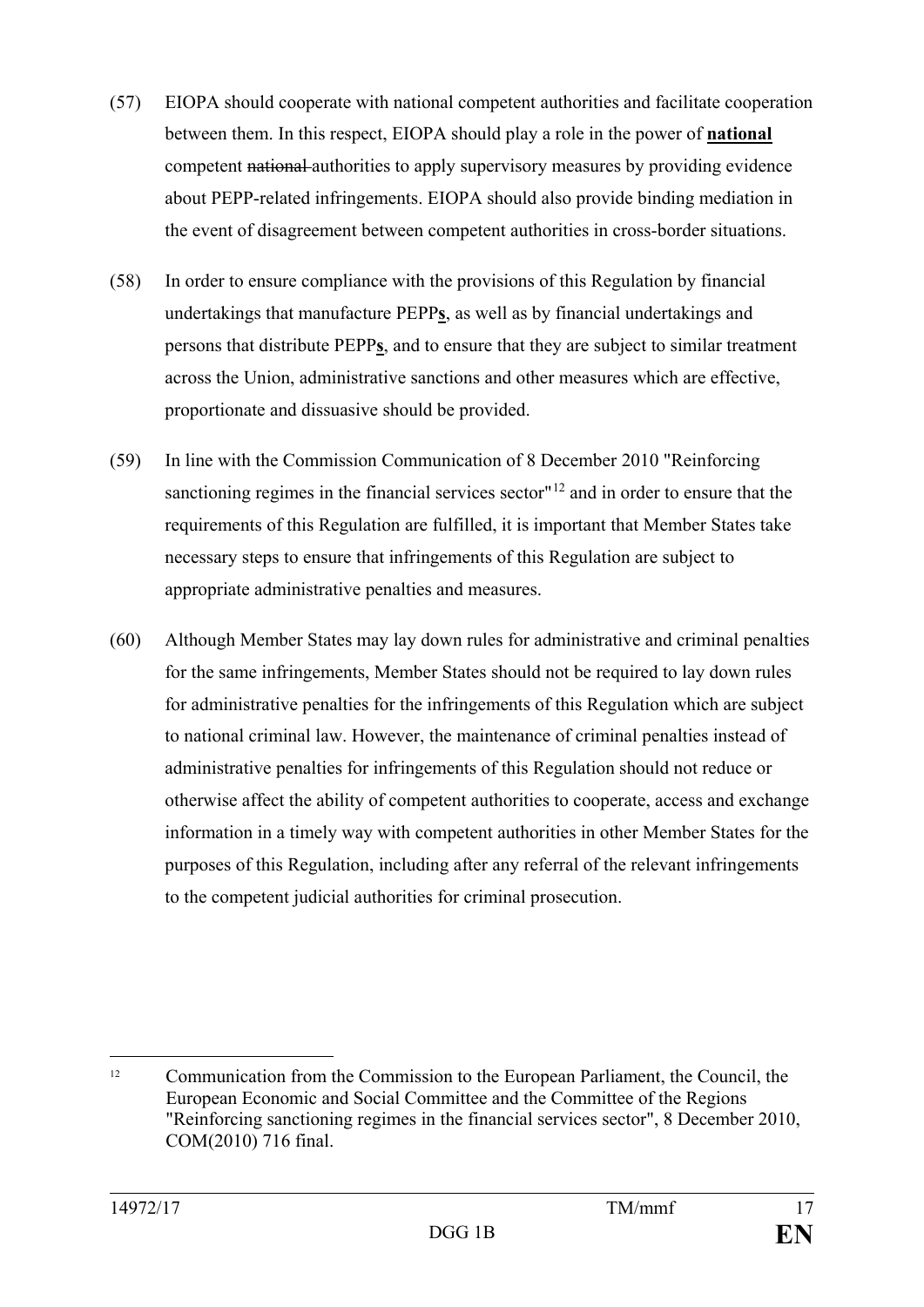- (57) EIOPA should cooperate with national competent authorities and facilitate cooperation between them. In this respect, EIOPA should play a role in the power of **national**  competent national authorities to apply supervisory measures by providing evidence about PEPP-related infringements. EIOPA should also provide binding mediation in the event of disagreement between competent authorities in cross-border situations.
- (58) In order to ensure compliance with the provisions of this Regulation by financial undertakings that manufacture PEPP**s**, as well as by financial undertakings and persons that distribute PEPP**s**, and to ensure that they are subject to similar treatment across the Union, administrative sanctions and other measures which are effective, proportionate and dissuasive should be provided.
- (59) In line with the Commission Communication of 8 December 2010 "Reinforcing sanctioning regimes in the financial services sector"<sup>[12](#page-17-0)</sup> and in order to ensure that the requirements of this Regulation are fulfilled, it is important that Member States take necessary steps to ensure that infringements of this Regulation are subject to appropriate administrative penalties and measures.
- (60) Although Member States may lay down rules for administrative and criminal penalties for the same infringements, Member States should not be required to lay down rules for administrative penalties for the infringements of this Regulation which are subject to national criminal law. However, the maintenance of criminal penalties instead of administrative penalties for infringements of this Regulation should not reduce or otherwise affect the ability of competent authorities to cooperate, access and exchange information in a timely way with competent authorities in other Member States for the purposes of this Regulation, including after any referral of the relevant infringements to the competent judicial authorities for criminal prosecution.

<span id="page-17-0"></span><sup>&</sup>lt;sup>12</sup> Communication from the Commission to the European Parliament, the Council, the European Economic and Social Committee and the Committee of the Regions "Reinforcing sanctioning regimes in the financial services sector", 8 December 2010, COM(2010) 716 final.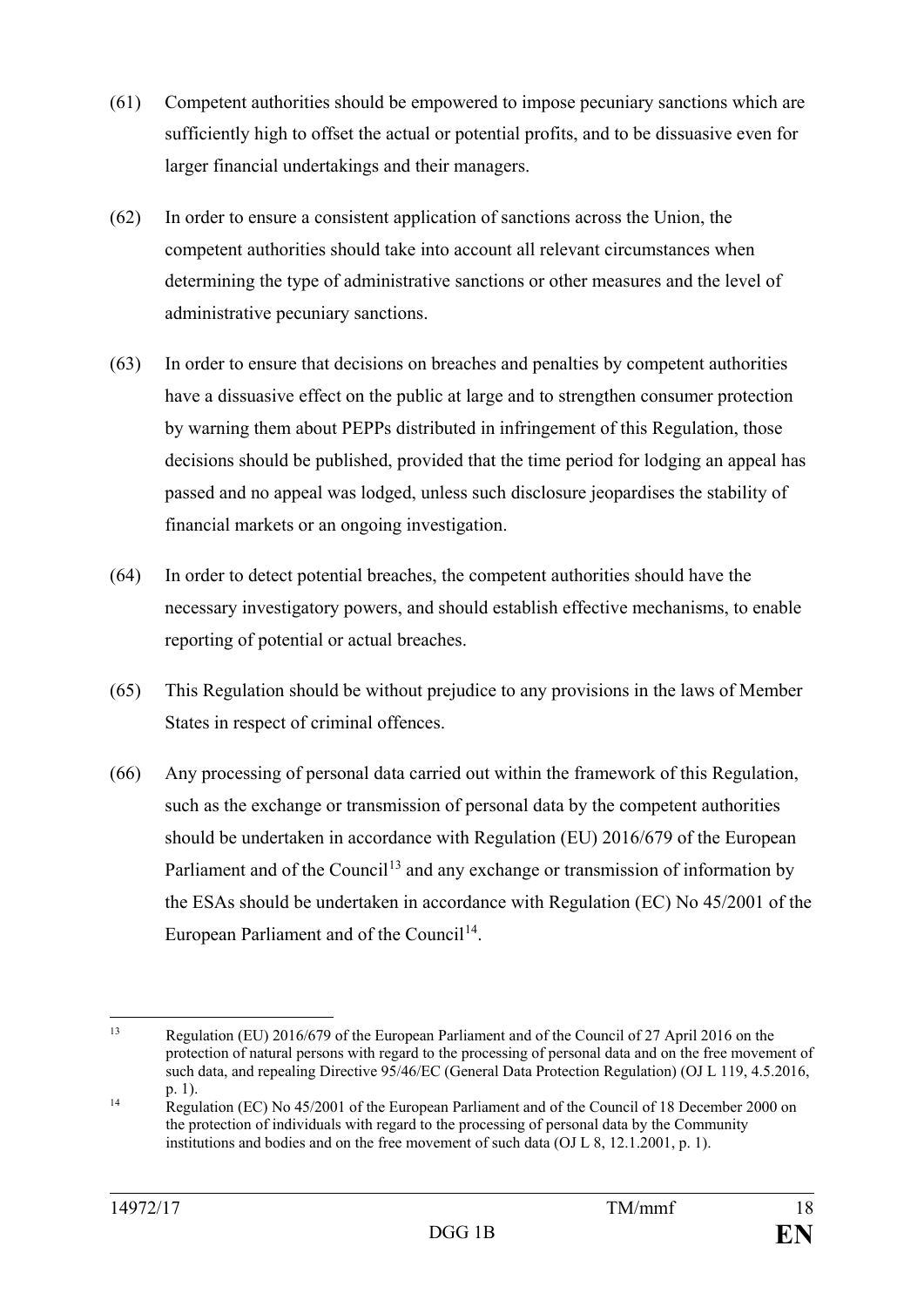- (61) Competent authorities should be empowered to impose pecuniary sanctions which are sufficiently high to offset the actual or potential profits, and to be dissuasive even for larger financial undertakings and their managers.
- (62) In order to ensure a consistent application of sanctions across the Union, the competent authorities should take into account all relevant circumstances when determining the type of administrative sanctions or other measures and the level of administrative pecuniary sanctions.
- (63) In order to ensure that decisions on breaches and penalties by competent authorities have a dissuasive effect on the public at large and to strengthen consumer protection by warning them about PEPPs distributed in infringement of this Regulation, those decisions should be published, provided that the time period for lodging an appeal has passed and no appeal was lodged, unless such disclosure jeopardises the stability of financial markets or an ongoing investigation.
- (64) In order to detect potential breaches, the competent authorities should have the necessary investigatory powers, and should establish effective mechanisms, to enable reporting of potential or actual breaches.
- (65) This Regulation should be without prejudice to any provisions in the laws of Member States in respect of criminal offences.
- (66) Any processing of personal data carried out within the framework of this Regulation, such as the exchange or transmission of personal data by the competent authorities should be undertaken in accordance with Regulation (EU) 2016/679 of the European Parliament and of the Council<sup>[13](#page-18-0)</sup> and any exchange or transmission of information by the ESAs should be undertaken in accordance with Regulation (EC) No 45/2001 of the European Parliament and of the Council<sup>14</sup>.

<span id="page-18-0"></span><sup>&</sup>lt;sup>13</sup> Regulation (EU) 2016/679 of the European Parliament and of the Council of 27 April 2016 on the protection of natural persons with regard to the processing of personal data and on the free movement of such data, and repealing Directive 95/46/EC (General Data Protection Regulation) (OJ L 119, 4.5.2016, p. 1).

<span id="page-18-1"></span><sup>&</sup>lt;sup>14</sup> Regulation (EC) No 45/2001 of the European Parliament and of the Council of 18 December 2000 on the protection of individuals with regard to the processing of personal data by the Community institutions and bodies and on the free movement of such data (OJ L 8, 12.1.2001, p. 1).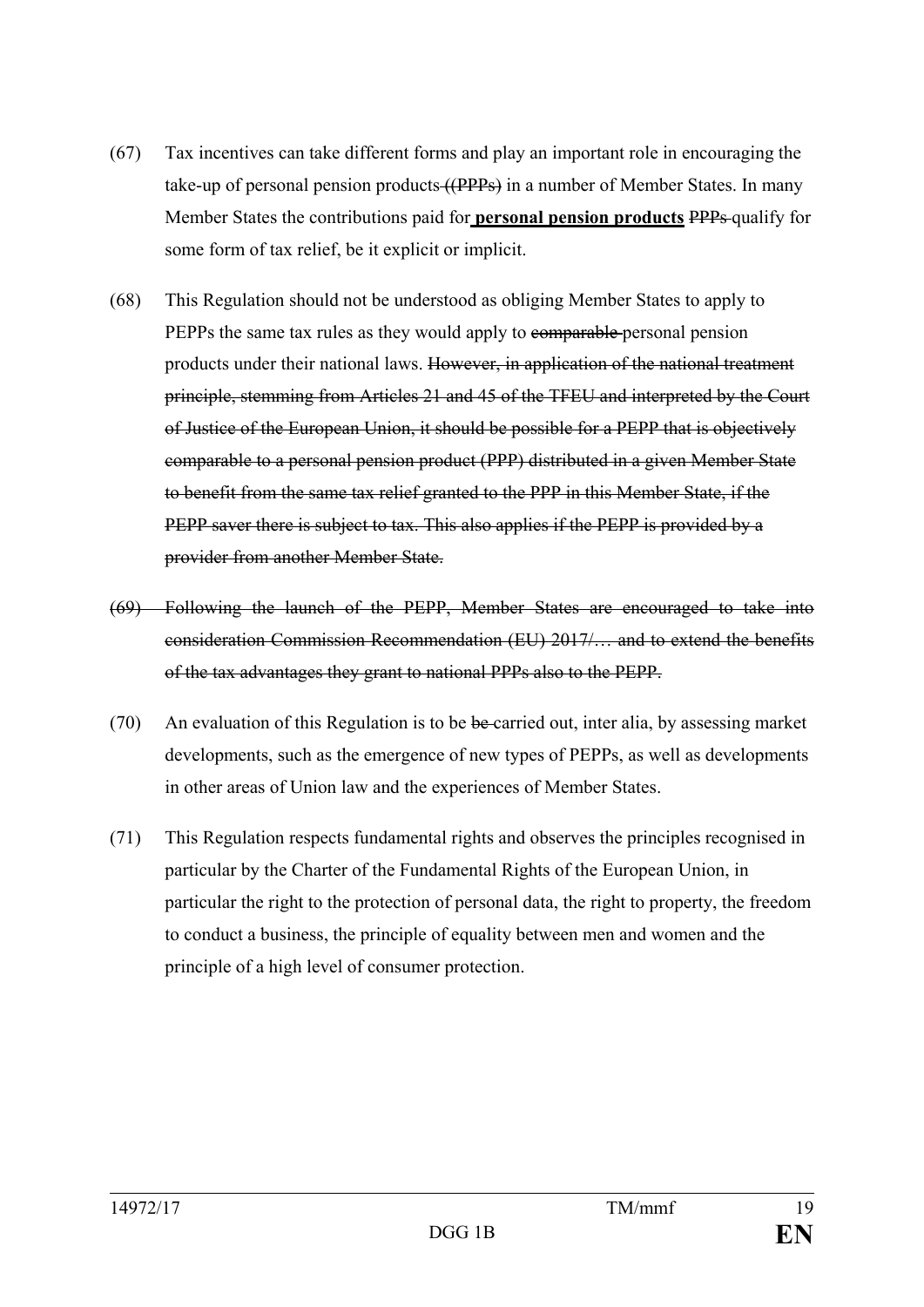- (67) Tax incentives can take different forms and play an important role in encouraging the take-up of personal pension products ((PPPs) in a number of Member States. In many Member States the contributions paid for **personal pension products** PPPs qualify for some form of tax relief, be it explicit or implicit.
- (68) This Regulation should not be understood as obliging Member States to apply to PEPPs the same tax rules as they would apply to comparable personal pension products under their national laws. However, in application of the national treatment principle, stemming from Articles 21 and 45 of the TFEU and interpreted by the Court of Justice of the European Union, it should be possible for a PEPP that is objectively comparable to a personal pension product (PPP) distributed in a given Member State to benefit from the same tax relief granted to the PPP in this Member State, if the PEPP saver there is subject to tax. This also applies if the PEPP is provided by a provider from another Member State.
- (69) Following the launch of the PEPP, Member States are encouraged to take into consideration Commission Recommendation (EU) 2017/… and to extend the benefits of the tax advantages they grant to national PPPs also to the PEPP.
- $(70)$  An evaluation of this Regulation is to be be carried out, inter alia, by assessing market developments, such as the emergence of new types of PEPPs, as well as developments in other areas of Union law and the experiences of Member States.
- (71) This Regulation respects fundamental rights and observes the principles recognised in particular by the Charter of the Fundamental Rights of the European Union, in particular the right to the protection of personal data, the right to property, the freedom to conduct a business, the principle of equality between men and women and the principle of a high level of consumer protection.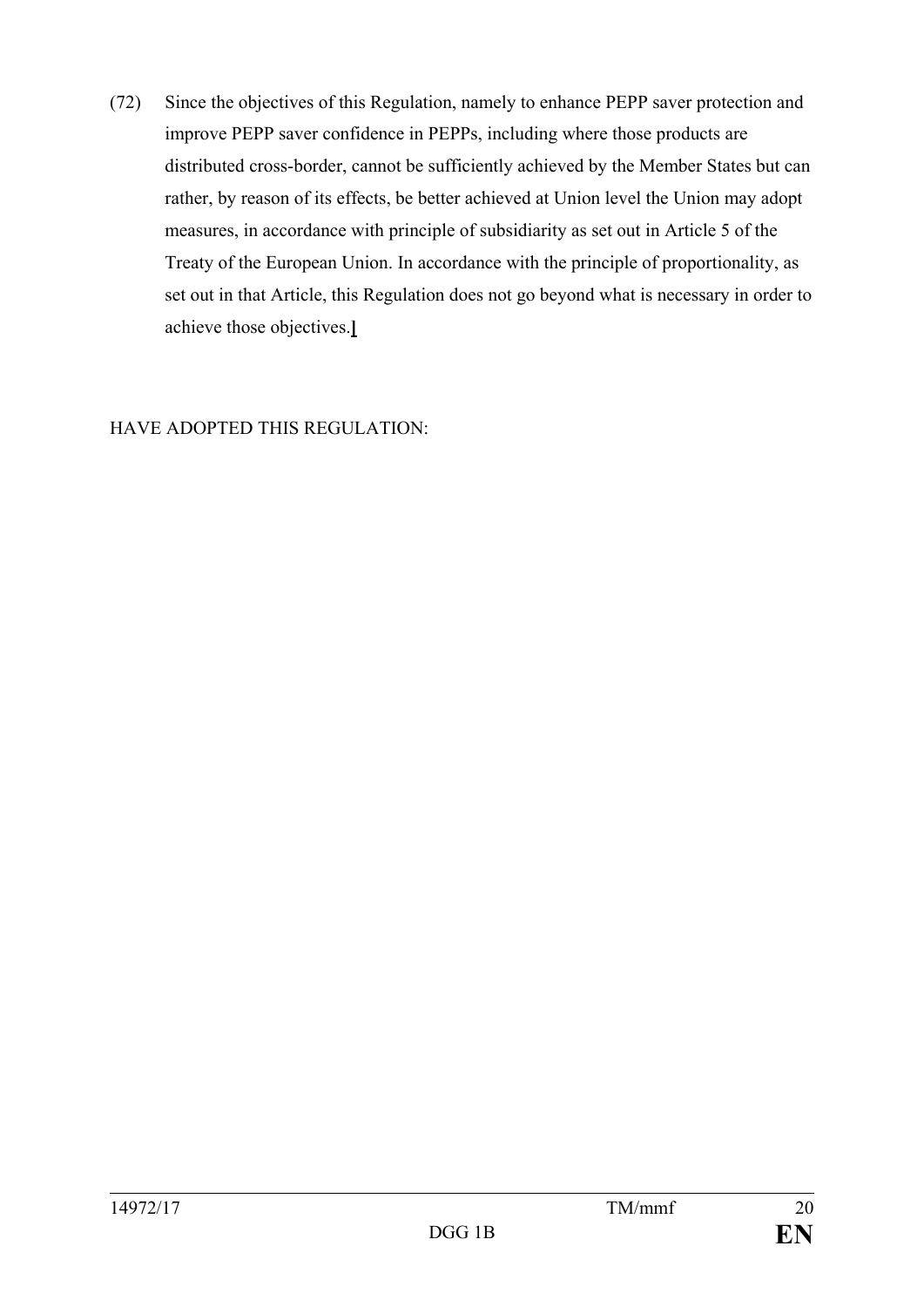(72) Since the objectives of this Regulation, namely to enhance PEPP saver protection and improve PEPP saver confidence in PEPPs, including where those products are distributed cross-border, cannot be sufficiently achieved by the Member States but can rather, by reason of its effects, be better achieved at Union level the Union may adopt measures, in accordance with principle of subsidiarity as set out in Article 5 of the Treaty of the European Union. In accordance with the principle of proportionality, as set out in that Article, this Regulation does not go beyond what is necessary in order to achieve those objectives.**]**

HAVE ADOPTED THIS REGULATION: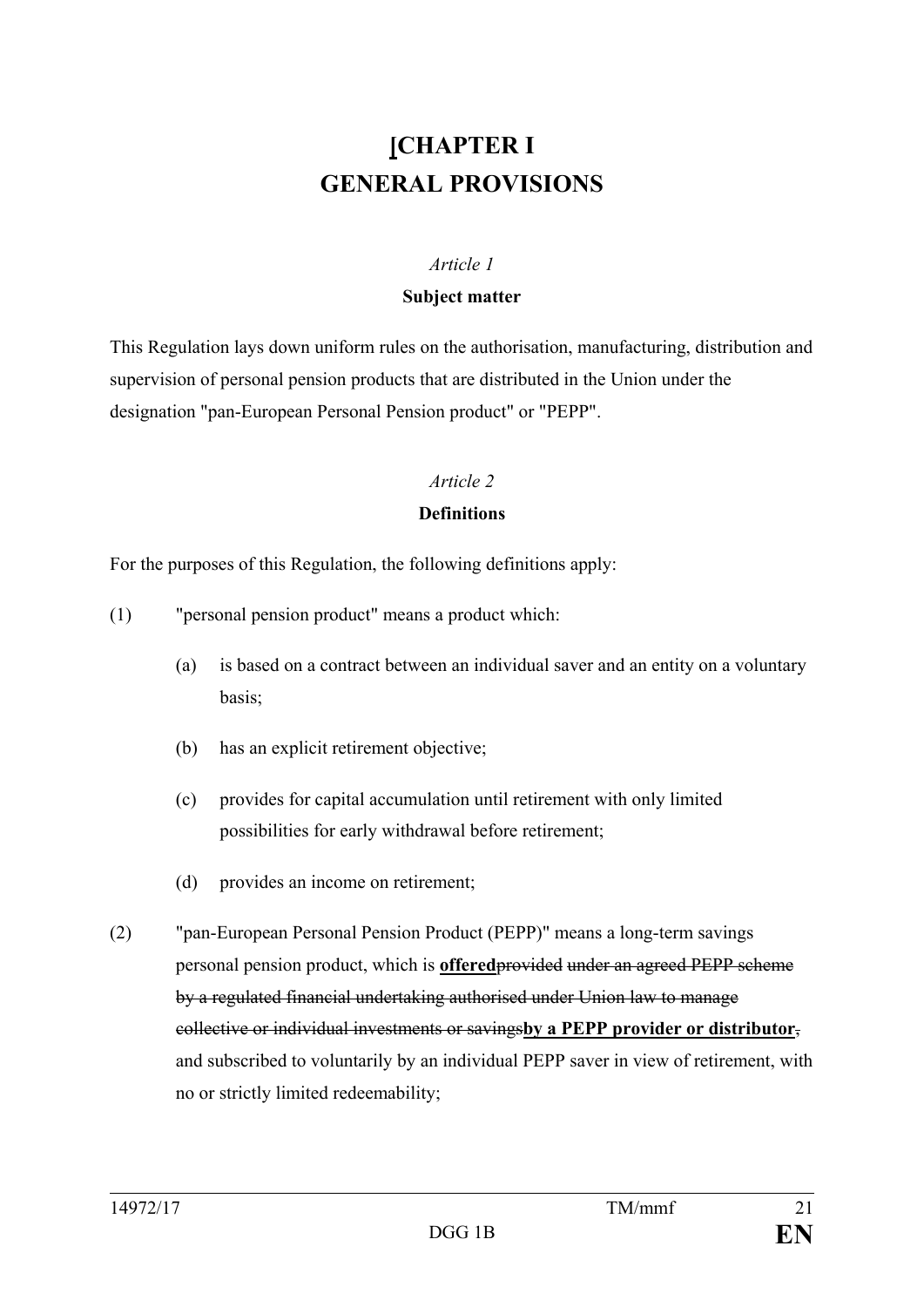# **[CHAPTER I GENERAL PROVISIONS**

#### *Article 1*

#### **Subject matter**

This Regulation lays down uniform rules on the authorisation, manufacturing, distribution and supervision of personal pension products that are distributed in the Union under the designation "pan-European Personal Pension product" or "PEPP".

#### *Article 2*

#### **Definitions**

For the purposes of this Regulation, the following definitions apply:

- (1) "personal pension product" means a product which:
	- (a) is based on a contract between an individual saver and an entity on a voluntary basis;
	- (b) has an explicit retirement objective;
	- (c) provides for capital accumulation until retirement with only limited possibilities for early withdrawal before retirement;
	- (d) provides an income on retirement;
- (2) "pan-European Personal Pension Product (PEPP)" means a long-term savings personal pension product, which is **offered**provided under an agreed PEPP scheme by a regulated financial undertaking authorised under Union law to manage collective or individual investments or savings**by a PEPP provider or distributor**, and subscribed to voluntarily by an individual PEPP saver in view of retirement, with no or strictly limited redeemability;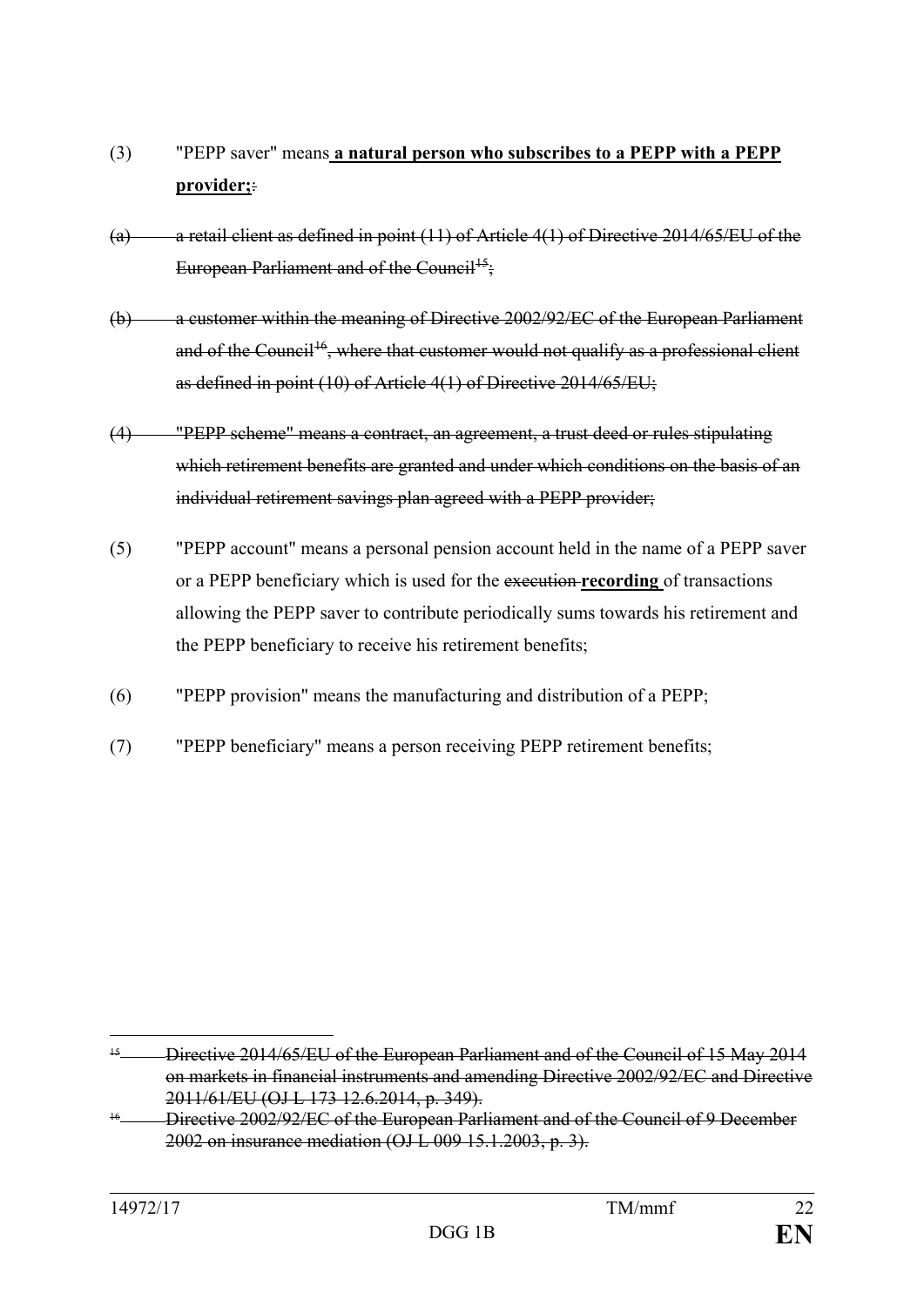- (3) "PEPP saver" means **a natural person who subscribes to a PEPP with a PEPP provider;**:
- (a) a retail client as defined in point  $(11)$  of Article  $4(1)$  of Directive 2014/65/EU of the European Parliament and of the Council<sup>15</sup>:
- (b) a customer within the meaning of Directive 2002/92/EC of the European Parliament and of the Council<sup>16</sup>, where that customer would not qualify as a professional client as defined in point (10) of Article 4(1) of Directive 2014/65/EU;
- (4) "PEPP scheme" means a contract, an agreement, a trust deed or rules stipulating which retirement benefits are granted and under which conditions on the basis of an individual retirement savings plan agreed with a PEPP provider;
- (5) "PEPP account" means a personal pension account held in the name of a PEPP saver or a PEPP beneficiary which is used for the execution **recording** of transactions allowing the PEPP saver to contribute periodically sums towards his retirement and the PEPP beneficiary to receive his retirement benefits;
- (6) "PEPP provision" means the manufacturing and distribution of a PEPP;
- (7) "PEPP beneficiary" means a person receiving PEPP retirement benefits;

<span id="page-22-0"></span> <sup>15</sup> Directive 2014/65/EU of the European Parliament and of the Council of 15 May 2014 on markets in financial instruments and amending Directive 2002/92/EC and Directive 2011/61/EU (OJ L 173 12.6.2014, p. 349).

<span id="page-22-1"></span><sup>&</sup>lt;sup>16</sup> Directive 2002/92/EC of the European Parliament and of the Council of 9 December 2002 on insurance mediation (OJ L 009 15.1.2003, p. 3).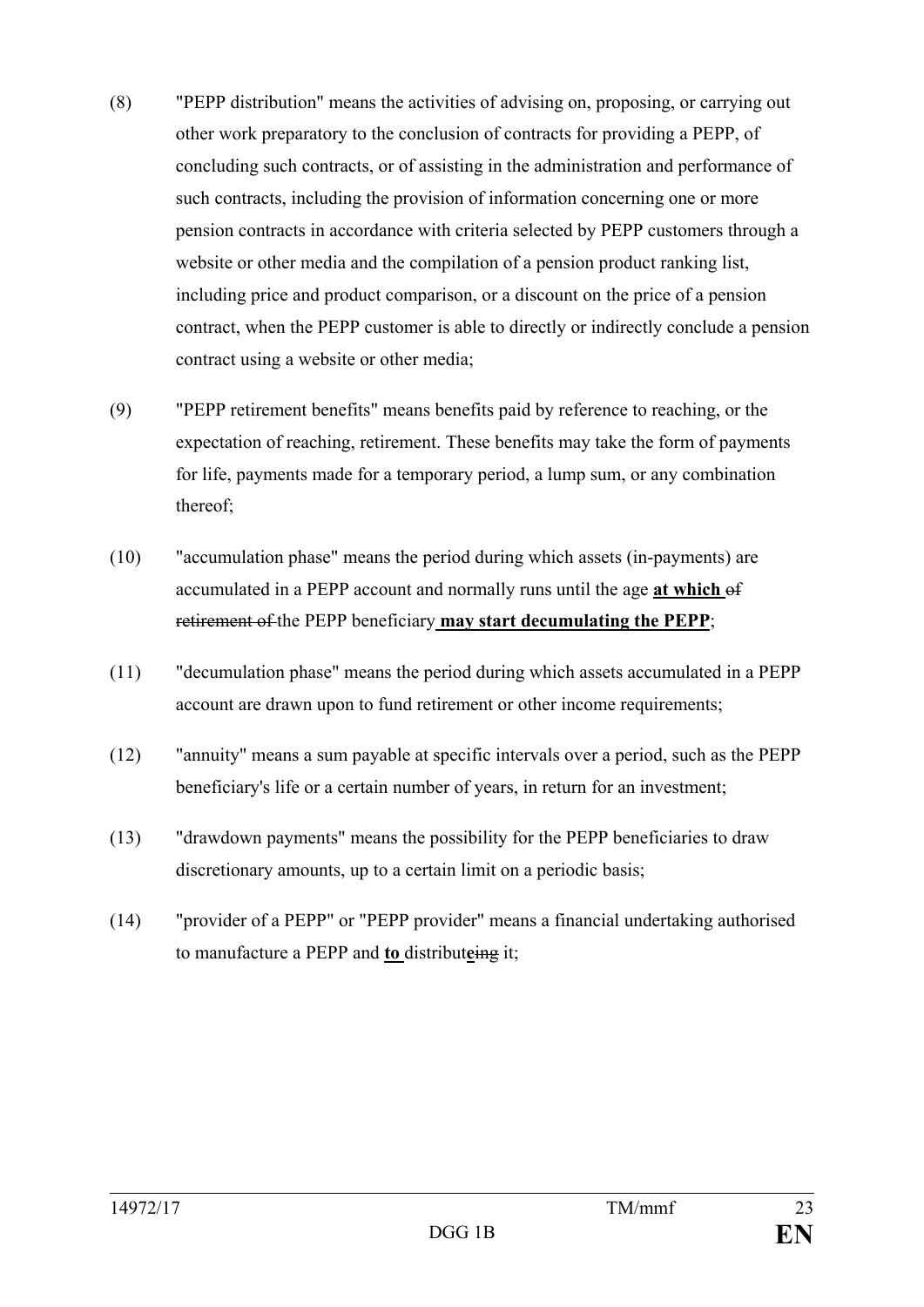- (8) "PEPP distribution" means the activities of advising on, proposing, or carrying out other work preparatory to the conclusion of contracts for providing a PEPP, of concluding such contracts, or of assisting in the administration and performance of such contracts, including the provision of information concerning one or more pension contracts in accordance with criteria selected by PEPP customers through a website or other media and the compilation of a pension product ranking list, including price and product comparison, or a discount on the price of a pension contract, when the PEPP customer is able to directly or indirectly conclude a pension contract using a website or other media;
- (9) "PEPP retirement benefits" means benefits paid by reference to reaching, or the expectation of reaching, retirement. These benefits may take the form of payments for life, payments made for a temporary period, a lump sum, or any combination thereof;
- (10) "accumulation phase" means the period during which assets (in-payments) are accumulated in a PEPP account and normally runs until the age **at which** of retirement of the PEPP beneficiary **may start decumulating the PEPP**;
- (11) "decumulation phase" means the period during which assets accumulated in a PEPP account are drawn upon to fund retirement or other income requirements;
- (12) "annuity" means a sum payable at specific intervals over a period, such as the PEPP beneficiary's life or a certain number of years, in return for an investment;
- (13) "drawdown payments" means the possibility for the PEPP beneficiaries to draw discretionary amounts, up to a certain limit on a periodic basis;
- (14) "provider of a PEPP" or "PEPP provider" means a financial undertaking authorised to manufacture a PEPP and **to** distribut**e**ing it;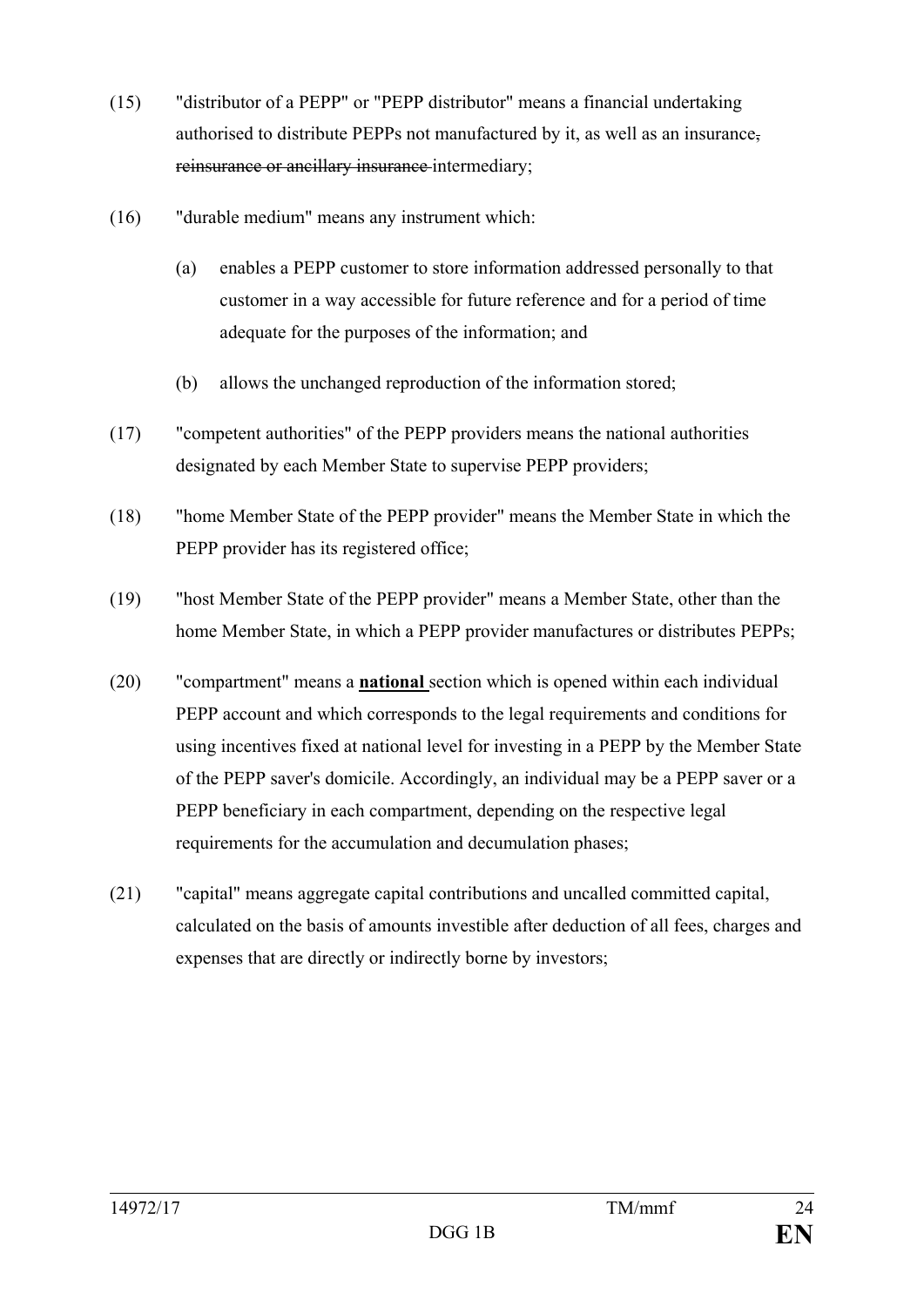- (15) "distributor of a PEPP" or "PEPP distributor" means a financial undertaking authorised to distribute PEPPs not manufactured by it, as well as an insurance, reinsurance or ancillary insurance intermediary;
- (16) "durable medium" means any instrument which:
	- (a) enables a PEPP customer to store information addressed personally to that customer in a way accessible for future reference and for a period of time adequate for the purposes of the information; and
	- (b) allows the unchanged reproduction of the information stored;
- (17) "competent authorities" of the PEPP providers means the national authorities designated by each Member State to supervise PEPP providers;
- (18) "home Member State of the PEPP provider" means the Member State in which the PEPP provider has its registered office;
- (19) "host Member State of the PEPP provider" means a Member State, other than the home Member State, in which a PEPP provider manufactures or distributes PEPPs;
- (20) "compartment" means a **national** section which is opened within each individual PEPP account and which corresponds to the legal requirements and conditions for using incentives fixed at national level for investing in a PEPP by the Member State of the PEPP saver's domicile. Accordingly, an individual may be a PEPP saver or a PEPP beneficiary in each compartment, depending on the respective legal requirements for the accumulation and decumulation phases;
- (21) "capital" means aggregate capital contributions and uncalled committed capital, calculated on the basis of amounts investible after deduction of all fees, charges and expenses that are directly or indirectly borne by investors;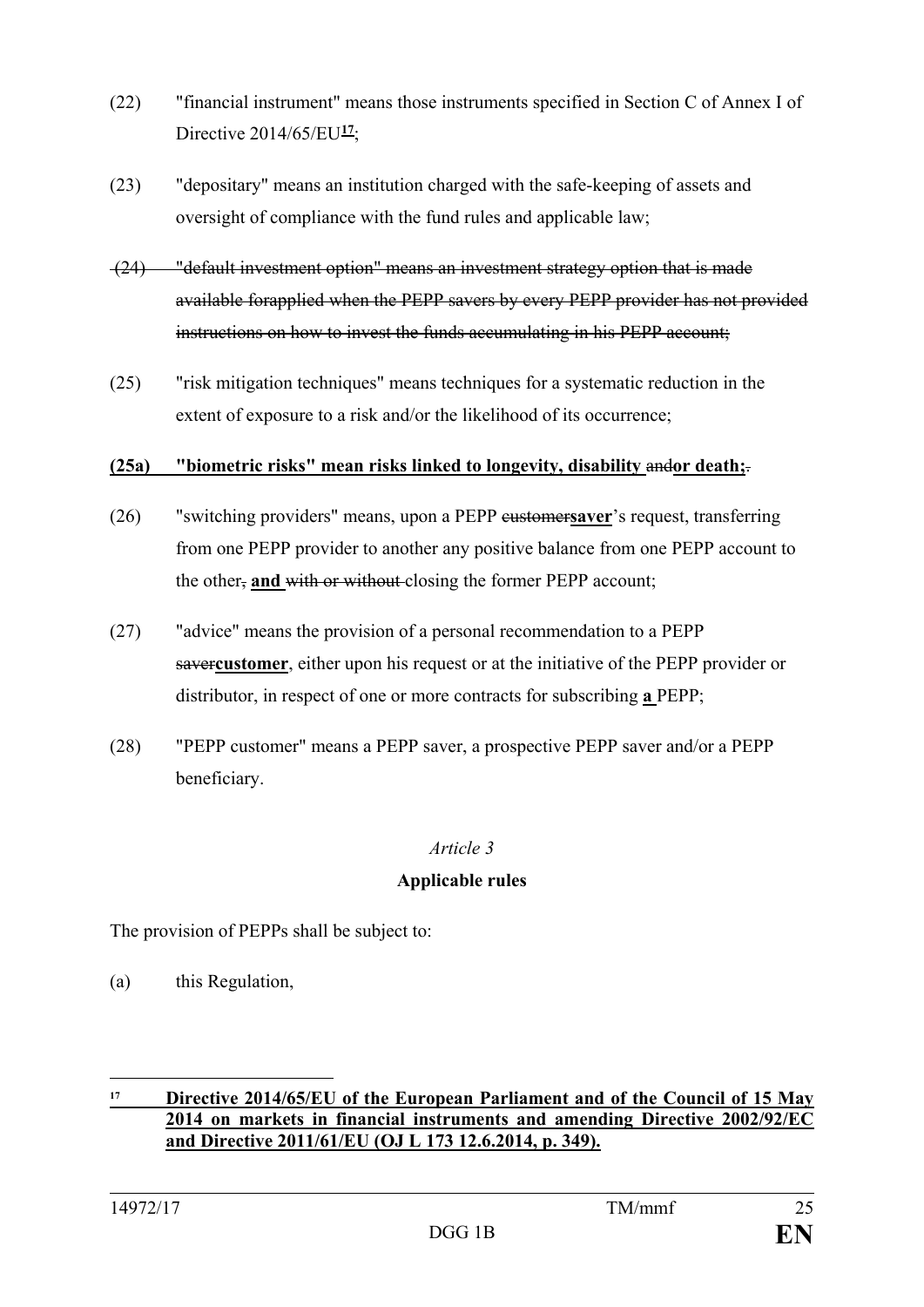- (22) "financial instrument" means those instruments specified in Section C of Annex I of Directive 2014/65/EU**[17](#page-25-0)**;
- (23) "depositary" means an institution charged with the safe-keeping of assets and oversight of compliance with the fund rules and applicable law;
- (24) "default investment option" means an investment strategy option that is made available forapplied when the PEPP savers by every PEPP provider has not provided instructions on how to invest the funds accumulating in his PEPP account;
- (25) "risk mitigation techniques" means techniques for a systematic reduction in the extent of exposure to a risk and/or the likelihood of its occurrence;

#### **(25a) "biometric risks" mean risks linked to longevity, disability** and**or death;**.

- (26) "switching providers" means, upon a PEPP customer**saver**'s request, transferring from one PEPP provider to another any positive balance from one PEPP account to the other, **and** with or without closing the former PEPP account;
- (27) "advice" means the provision of a personal recommendation to a PEPP saver**customer**, either upon his request or at the initiative of the PEPP provider or distributor, in respect of one or more contracts for subscribing **a** PEPP;
- (28) "PEPP customer" means a PEPP saver, a prospective PEPP saver and/or a PEPP beneficiary.

#### *Article 3*

#### **Applicable rules**

The provision of PEPPs shall be subject to:

(a) this Regulation,

<u>.</u>

<span id="page-25-0"></span>**<sup>17</sup> Directive 2014/65/EU of the European Parliament and of the Council of 15 May 2014 on markets in financial instruments and amending Directive 2002/92/EC and Directive 2011/61/EU (OJ L 173 12.6.2014, p. 349).**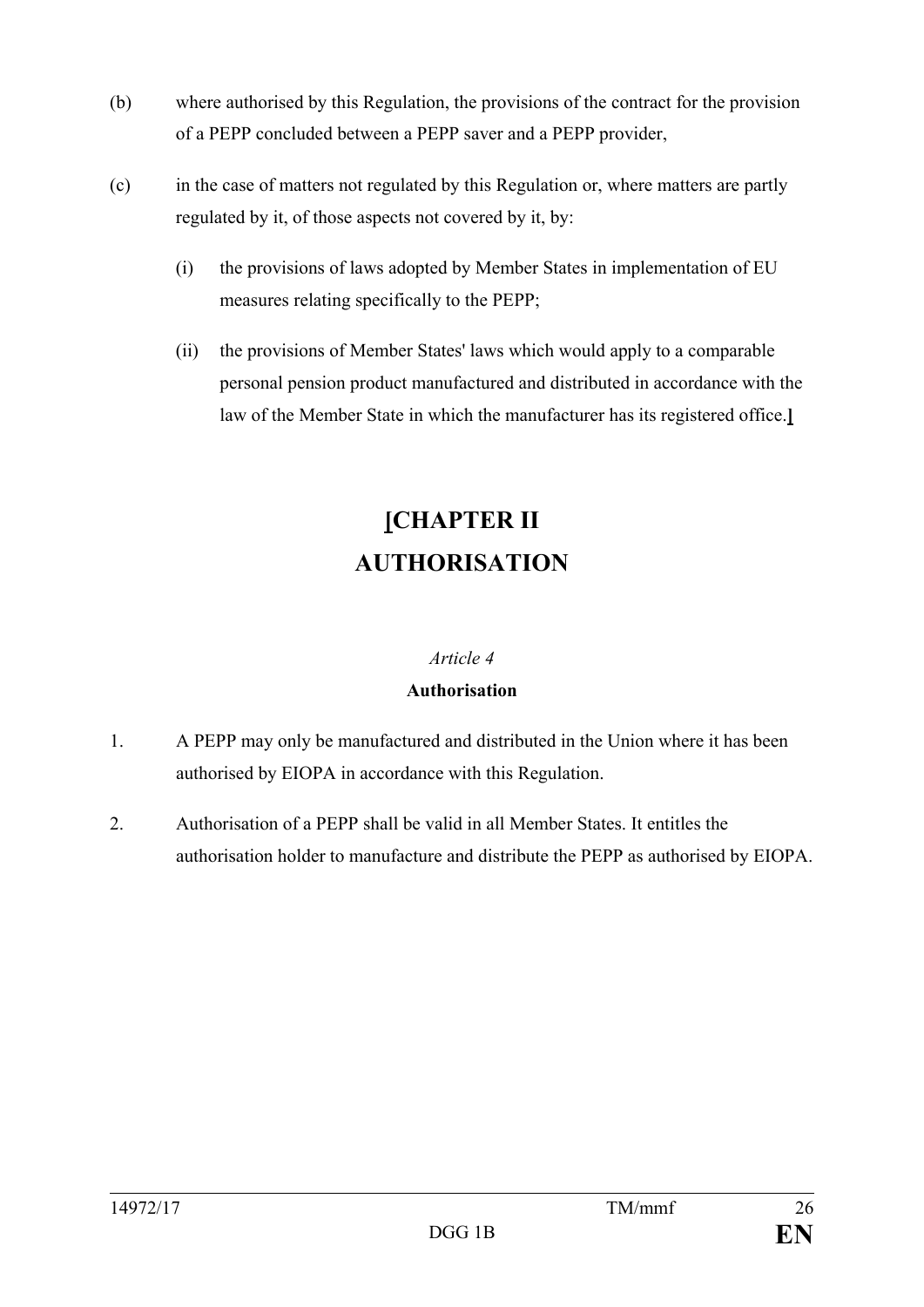- (b) where authorised by this Regulation, the provisions of the contract for the provision of a PEPP concluded between a PEPP saver and a PEPP provider,
- (c) in the case of matters not regulated by this Regulation or, where matters are partly regulated by it, of those aspects not covered by it, by:
	- (i) the provisions of laws adopted by Member States in implementation of EU measures relating specifically to the PEPP;
	- (ii) the provisions of Member States' laws which would apply to a comparable personal pension product manufactured and distributed in accordance with the law of the Member State in which the manufacturer has its registered office.**]**

# **[CHAPTER II AUTHORISATION**

### *Article 4*

## **Authorisation**

- 1. A PEPP may only be manufactured and distributed in the Union where it has been authorised by EIOPA in accordance with this Regulation.
- 2. Authorisation of a PEPP shall be valid in all Member States. It entitles the authorisation holder to manufacture and distribute the PEPP as authorised by EIOPA.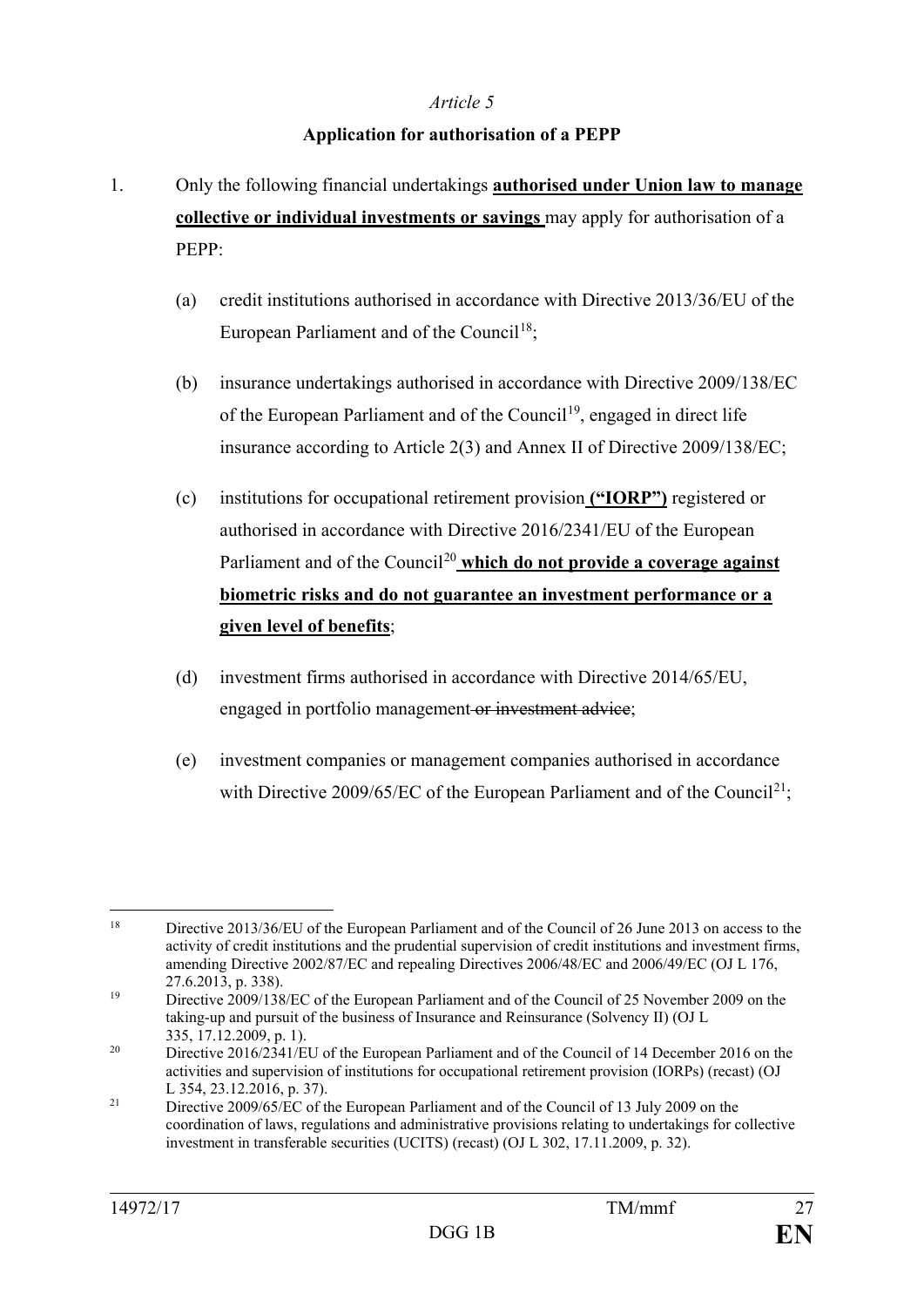#### **Application for authorisation of a PEPP**

- 1. Only the following financial undertakings **authorised under Union law to manage collective or individual investments or savings** may apply for authorisation of a PEPP:
	- (a) credit institutions authorised in accordance with Directive 2013/36/EU of the European Parliament and of the Council<sup>[18](#page-27-0)</sup>;
	- (b) insurance undertakings authorised in accordance with Directive 2009/138/EC of the European Parliament and of the Council<sup>19</sup>, engaged in direct life insurance according to Article 2(3) and Annex II of Directive 2009/138/EC;
	- (c) institutions for occupational retirement provision **("IORP")** registered or authorised in accordance with Directive 2016/2341/EU of the European Parliament and of the Council<sup>[20](#page-27-2)</sup> which do not provide a coverage against **biometric risks and do not guarantee an investment performance or a given level of benefits**;
	- (d) investment firms authorised in accordance with Directive 2014/65/EU, engaged in portfolio management or investment advice;
	- (e) investment companies or management companies authorised in accordance with Directive 2009/65/EC of the European Parliament and of the Council<sup>21</sup>;

<span id="page-27-0"></span> <sup>18</sup> Directive 2013/36/EU of the European Parliament and of the Council of 26 June 2013 on access to the activity of credit institutions and the prudential supervision of credit institutions and investment firms, amending Directive 2002/87/EC and repealing Directives 2006/48/EC and 2006/49/EC (OJ L 176, 27.6.2013, p. 338).

<span id="page-27-1"></span><sup>&</sup>lt;sup>19</sup> Directive 2009/138/EC of the European Parliament and of the Council of 25 November 2009 on the taking-up and pursuit of the business of Insurance and Reinsurance (Solvency II) (OJ L 335, 17.12.2009, p. 1).

<span id="page-27-2"></span><sup>&</sup>lt;sup>20</sup> Directive 2016/2341/EU of the European Parliament and of the Council of 14 December 2016 on the activities and supervision of institutions for occupational retirement provision (IORPs) (recast) (OJ L 354, 23.12.2016, p. 37).

<span id="page-27-3"></span><sup>&</sup>lt;sup>21</sup> Directive 2009/65/EC of the European Parliament and of the Council of 13 July 2009 on the coordination of laws, regulations and administrative provisions relating to undertakings for collective investment in transferable securities (UCITS) (recast) (OJ L 302, 17.11.2009, p. 32).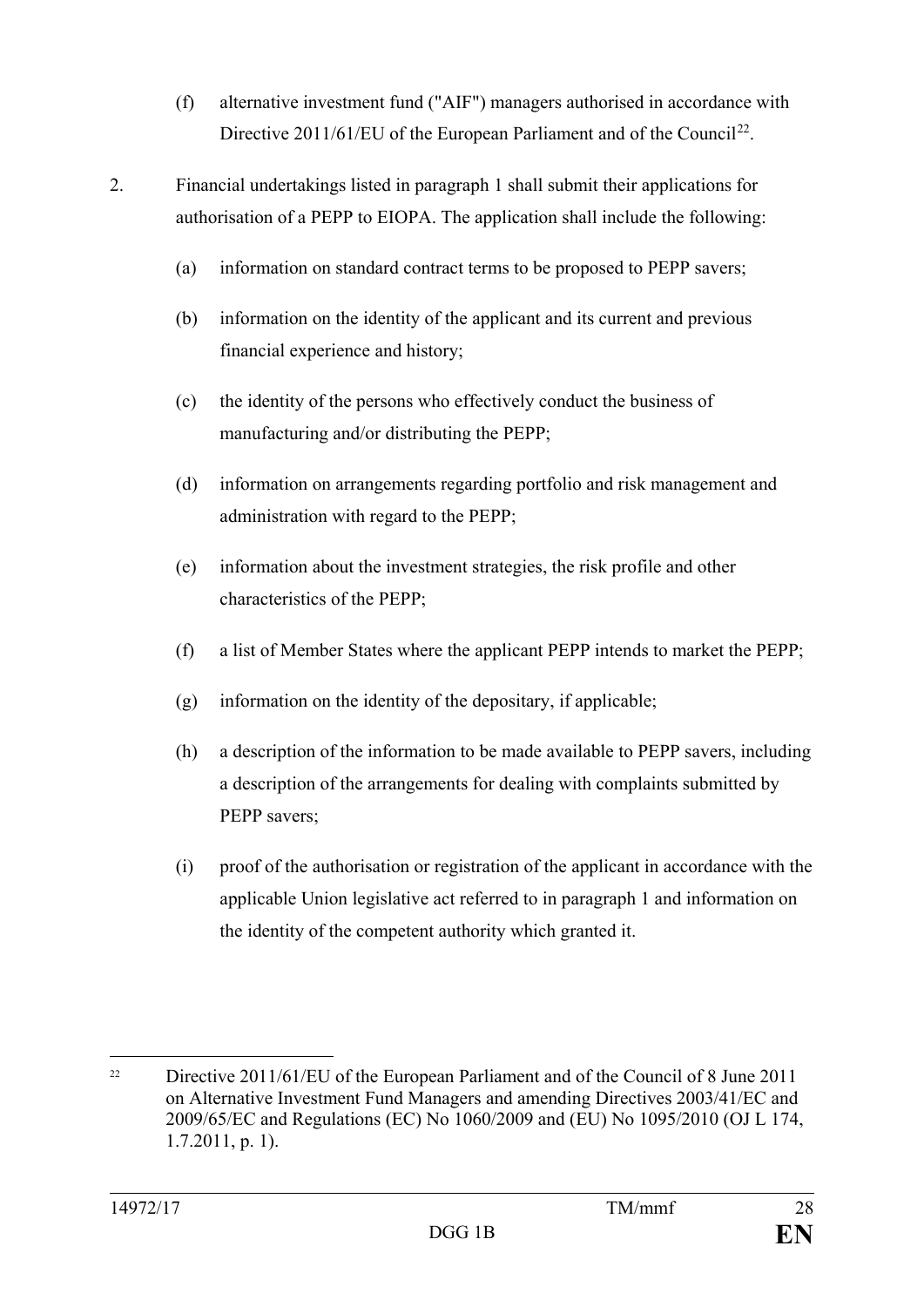- (f) alternative investment fund ("AIF") managers authorised in accordance with Directive 2011/61/EU of the European Parliament and of the Council<sup>[22](#page-28-0)</sup>.
- 2. Financial undertakings listed in paragraph 1 shall submit their applications for authorisation of a PEPP to EIOPA. The application shall include the following:
	- (a) information on standard contract terms to be proposed to PEPP savers;
	- (b) information on the identity of the applicant and its current and previous financial experience and history;
	- (c) the identity of the persons who effectively conduct the business of manufacturing and/or distributing the PEPP;
	- (d) information on arrangements regarding portfolio and risk management and administration with regard to the PEPP;
	- (e) information about the investment strategies, the risk profile and other characteristics of the PEPP;
	- (f) a list of Member States where the applicant PEPP intends to market the PEPP;
	- (g) information on the identity of the depositary, if applicable;
	- (h) a description of the information to be made available to PEPP savers, including a description of the arrangements for dealing with complaints submitted by PEPP savers:
	- (i) proof of the authorisation or registration of the applicant in accordance with the applicable Union legislative act referred to in paragraph 1 and information on the identity of the competent authority which granted it.

<span id="page-28-0"></span><sup>&</sup>lt;sup>22</sup> Directive 2011/61/EU of the European Parliament and of the Council of 8 June 2011 on Alternative Investment Fund Managers and amending Directives 2003/41/EC and 2009/65/EC and Regulations (EC) No 1060/2009 and (EU) No 1095/2010 (OJ L 174, 1.7.2011, p. 1).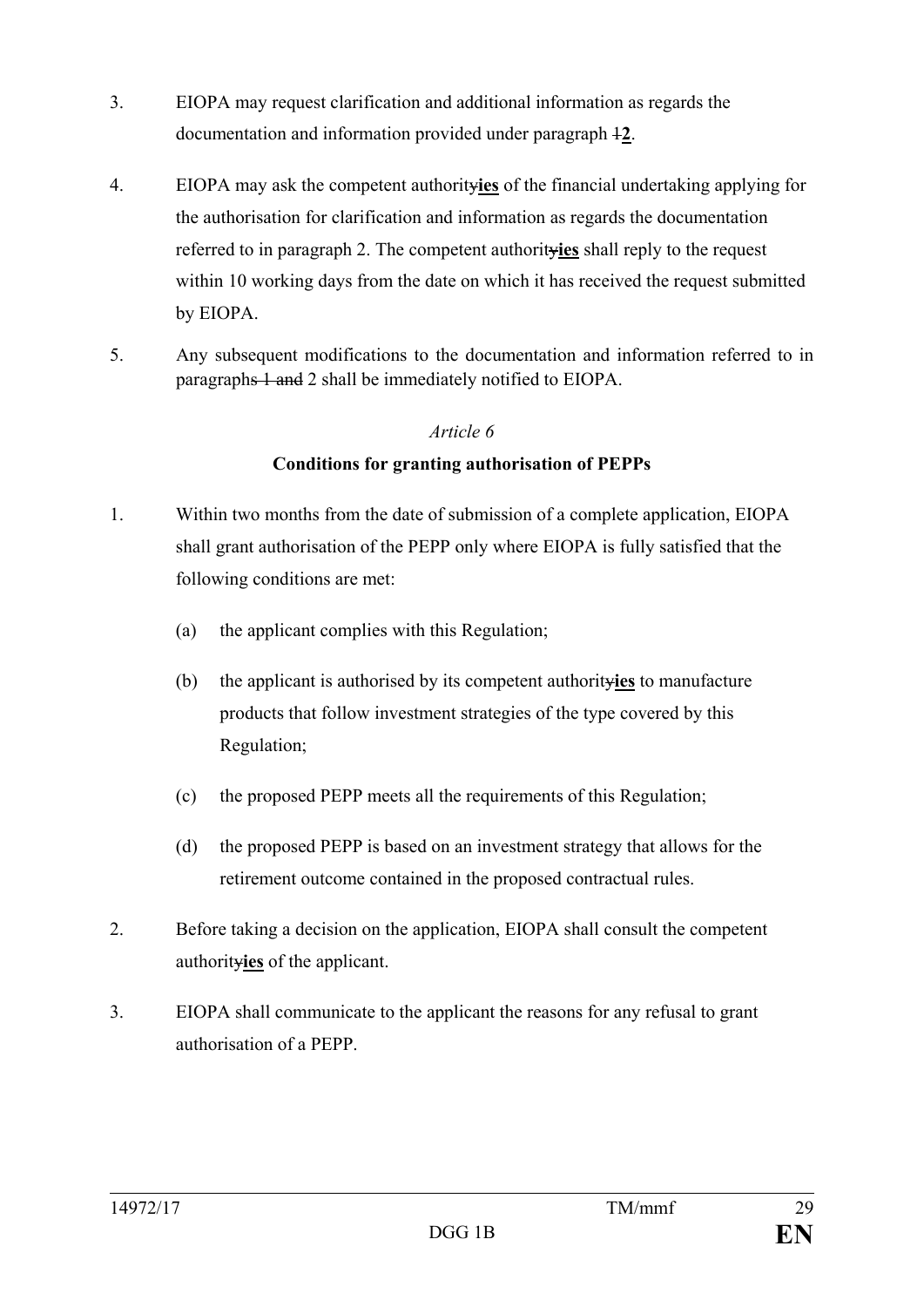- 3. EIOPA may request clarification and additional information as regards the documentation and information provided under paragraph 1**2**.
- 4. EIOPA may ask the competent authority**ies** of the financial undertaking applying for the authorisation for clarification and information as regards the documentation referred to in paragraph 2. The competent authority**ies** shall reply to the request within 10 working days from the date on which it has received the request submitted by EIOPA.
- 5. Any subsequent modifications to the documentation and information referred to in paragraphs 1 and 2 shall be immediately notified to EIOPA.

## **Conditions for granting authorisation of PEPPs**

- 1. Within two months from the date of submission of a complete application, EIOPA shall grant authorisation of the PEPP only where EIOPA is fully satisfied that the following conditions are met:
	- (a) the applicant complies with this Regulation;
	- (b) the applicant is authorised by its competent authority**ies** to manufacture products that follow investment strategies of the type covered by this Regulation;
	- (c) the proposed PEPP meets all the requirements of this Regulation;
	- (d) the proposed PEPP is based on an investment strategy that allows for the retirement outcome contained in the proposed contractual rules.
- 2. Before taking a decision on the application, EIOPA shall consult the competent authority**ies** of the applicant.
- 3. EIOPA shall communicate to the applicant the reasons for any refusal to grant authorisation of a PEPP.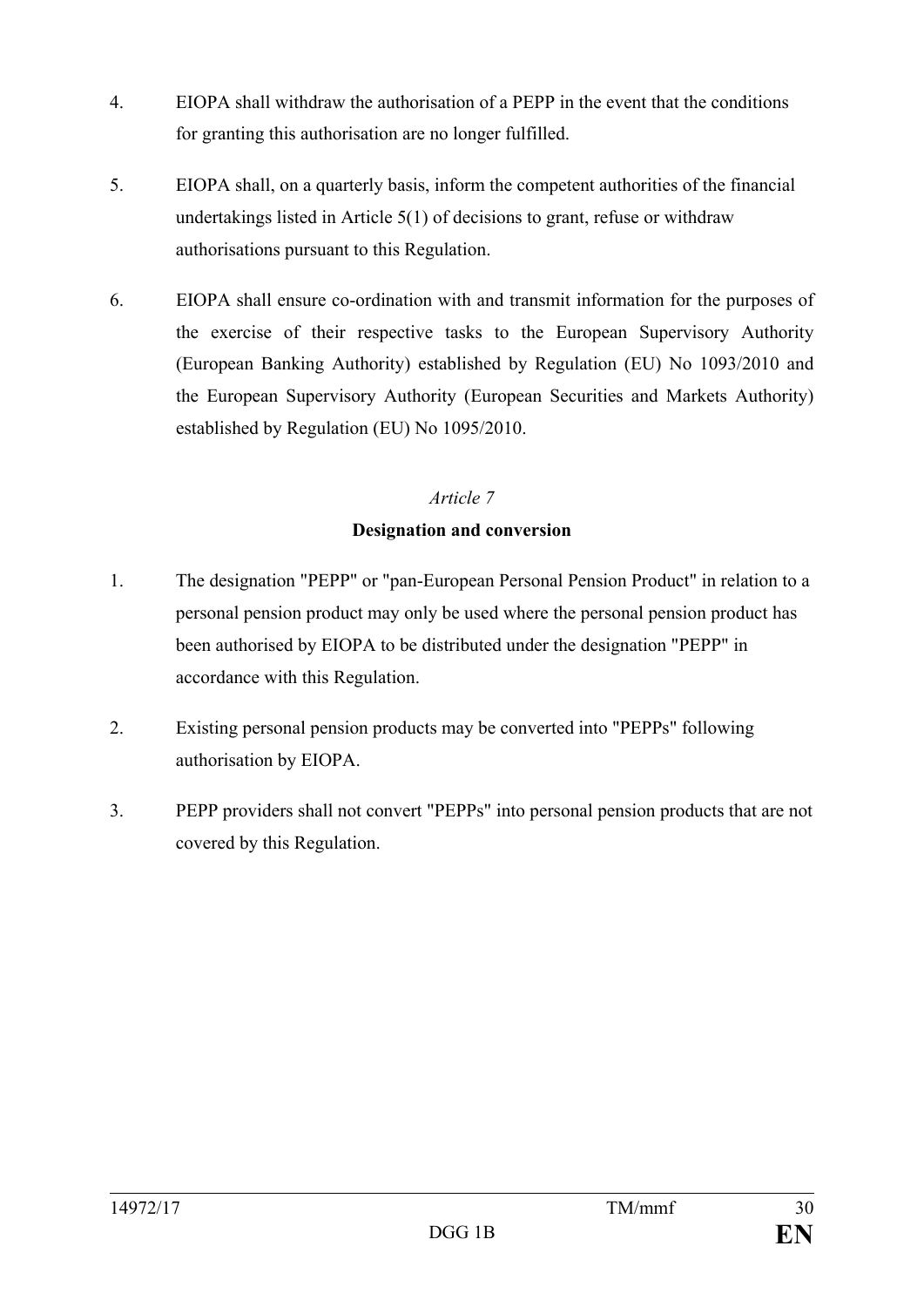- 4. EIOPA shall withdraw the authorisation of a PEPP in the event that the conditions for granting this authorisation are no longer fulfilled.
- 5. EIOPA shall, on a quarterly basis, inform the competent authorities of the financial undertakings listed in Article 5(1) of decisions to grant, refuse or withdraw authorisations pursuant to this Regulation.
- 6. EIOPA shall ensure co-ordination with and transmit information for the purposes of the exercise of their respective tasks to the European Supervisory Authority (European Banking Authority) established by Regulation (EU) No 1093/2010 and the European Supervisory Authority (European Securities and Markets Authority) established by Regulation (EU) No 1095/2010.

#### **Designation and conversion**

- 1. The designation "PEPP" or "pan-European Personal Pension Product" in relation to a personal pension product may only be used where the personal pension product has been authorised by EIOPA to be distributed under the designation "PEPP" in accordance with this Regulation.
- 2. Existing personal pension products may be converted into "PEPPs" following authorisation by EIOPA.
- 3. PEPP providers shall not convert "PEPPs" into personal pension products that are not covered by this Regulation.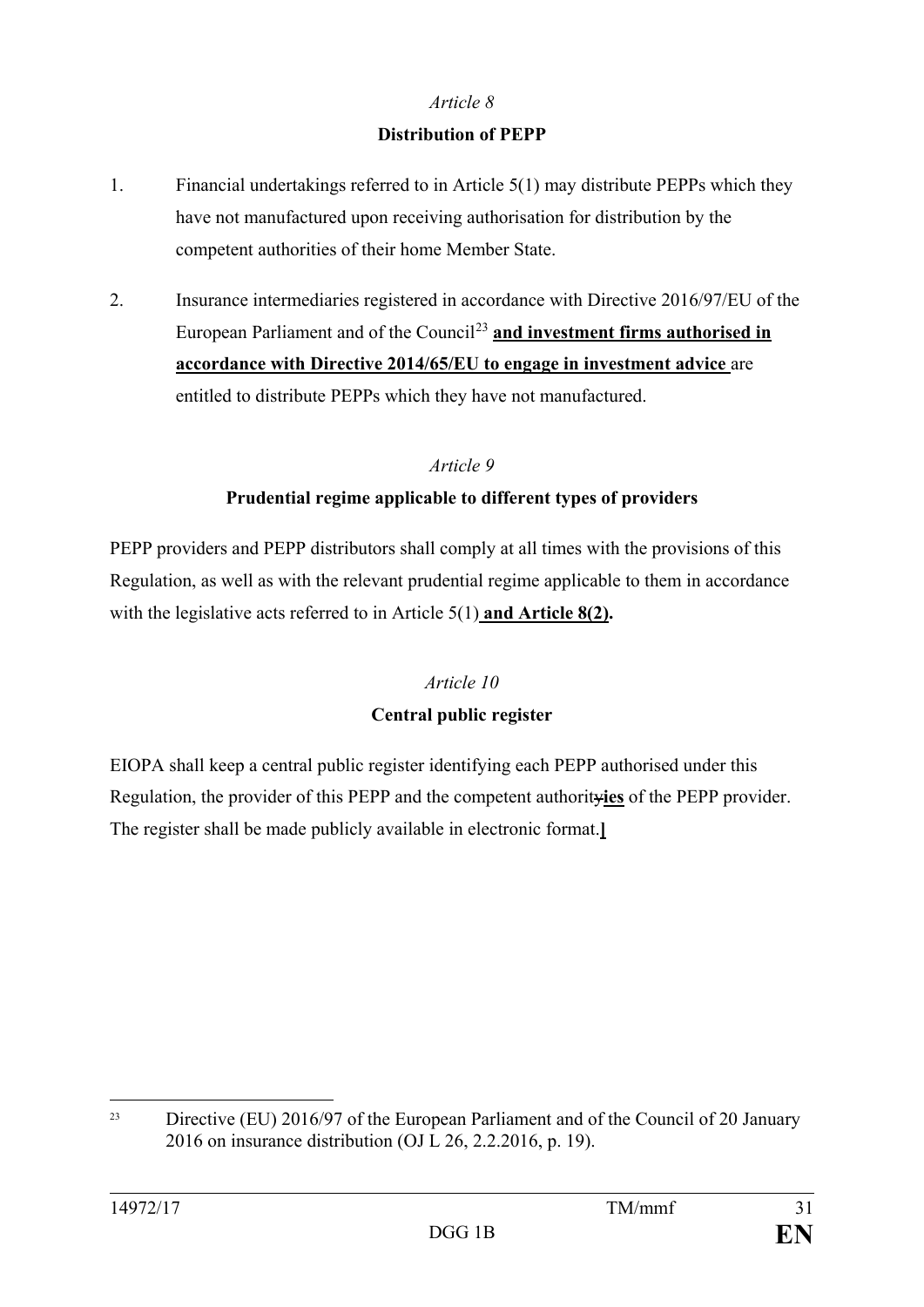### **Distribution of PEPP**

- 1. Financial undertakings referred to in Article 5(1) may distribute PEPPs which they have not manufactured upon receiving authorisation for distribution by the competent authorities of their home Member State.
- 2. Insurance intermediaries registered in accordance with Directive 2016/97/EU of the European Parliament and of the Council<sup>[23](#page-31-0)</sup> and investment firms authorised in **accordance with Directive 2014/65/EU to engage in investment advice** are entitled to distribute PEPPs which they have not manufactured.

## *Article 9*

## **Prudential regime applicable to different types of providers**

PEPP providers and PEPP distributors shall comply at all times with the provisions of this Regulation, as well as with the relevant prudential regime applicable to them in accordance with the legislative acts referred to in Article 5(1) **and Article 8(2).**

## *Article 10*

#### **Central public register**

EIOPA shall keep a central public register identifying each PEPP authorised under this Regulation, the provider of this PEPP and the competent authority**ies** of the PEPP provider. The register shall be made publicly available in electronic format.**]**

<span id="page-31-0"></span><sup>&</sup>lt;sup>23</sup> Directive (EU) 2016/97 of the European Parliament and of the Council of 20 January 2016 on insurance distribution (OJ L 26, 2.2.2016, p. 19).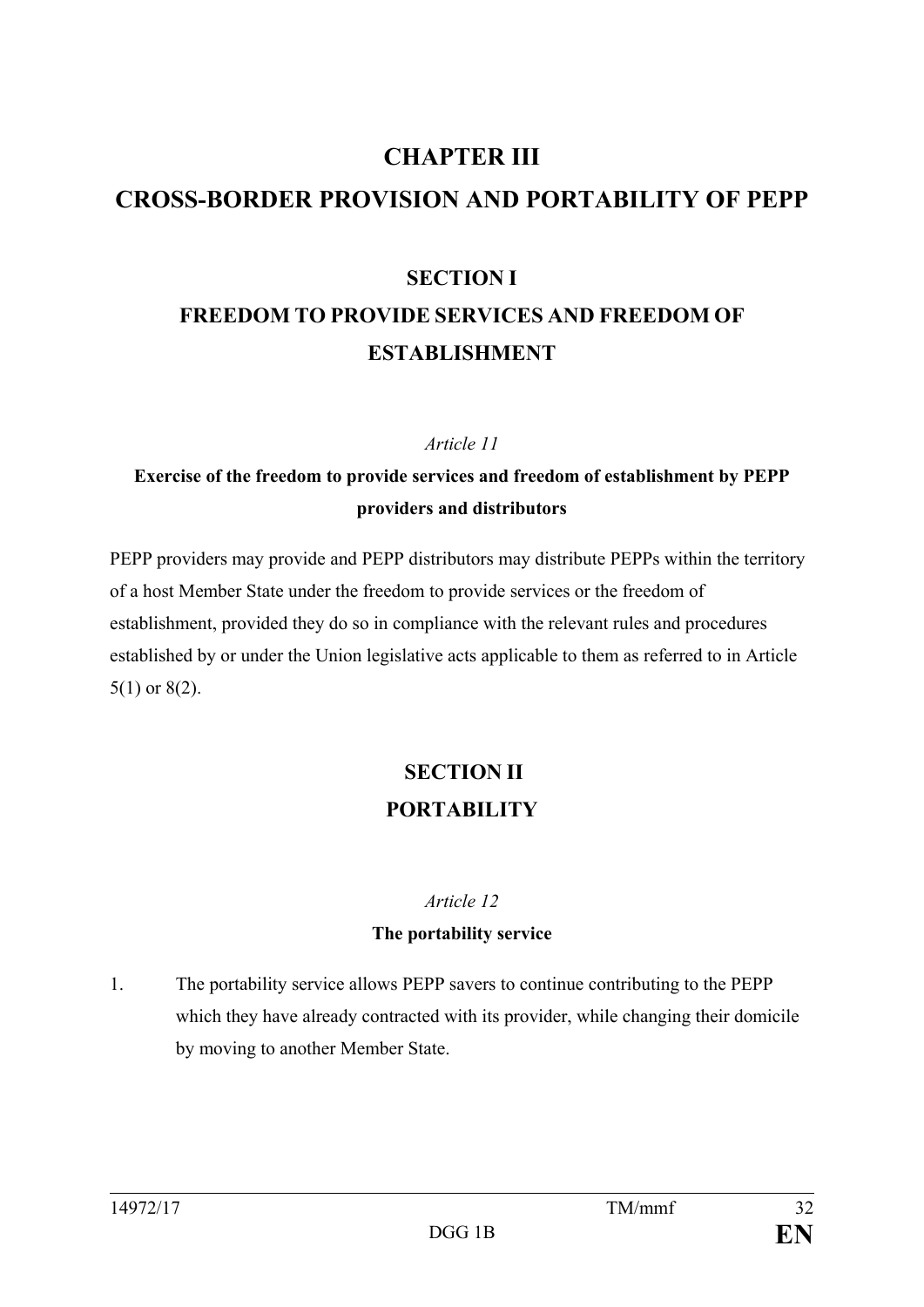# **CHAPTER III CROSS-BORDER PROVISION AND PORTABILITY OF PEPP**

## **SECTION I FREEDOM TO PROVIDE SERVICES AND FREEDOM OF ESTABLISHMENT**

#### *Article 11*

## **Exercise of the freedom to provide services and freedom of establishment by PEPP providers and distributors**

PEPP providers may provide and PEPP distributors may distribute PEPPs within the territory of a host Member State under the freedom to provide services or the freedom of establishment, provided they do so in compliance with the relevant rules and procedures established by or under the Union legislative acts applicable to them as referred to in Article 5(1) or 8(2).

## **SECTION II PORTABILITY**

#### *Article 12*

#### **The portability service**

1. The portability service allows PEPP savers to continue contributing to the PEPP which they have already contracted with its provider, while changing their domicile by moving to another Member State.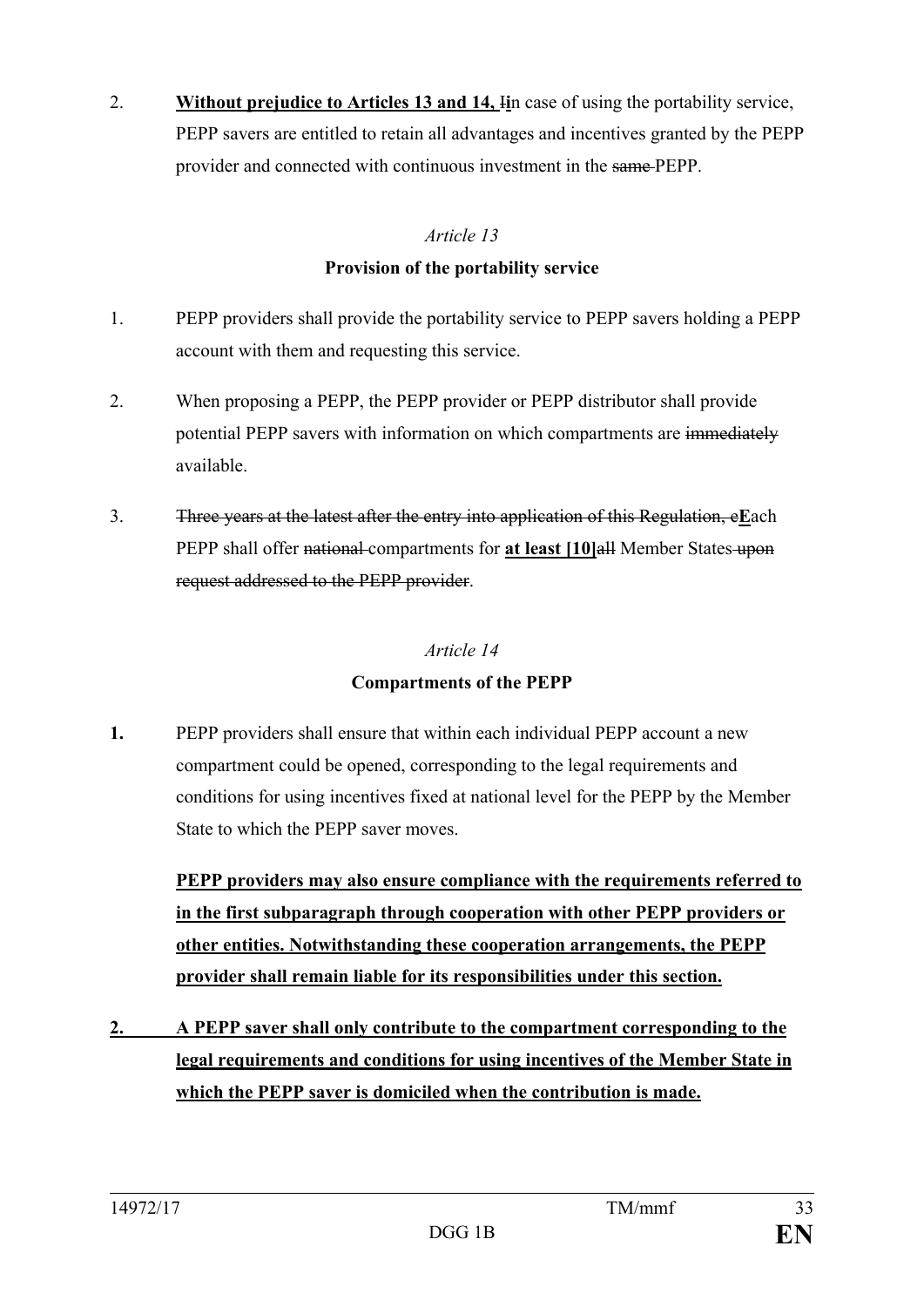2. **Without prejudice to Articles 13 and 14,** I**i**n case of using the portability service, PEPP savers are entitled to retain all advantages and incentives granted by the PEPP provider and connected with continuous investment in the same PEPP.

## *Article 13*

### **Provision of the portability service**

- 1. PEPP providers shall provide the portability service to PEPP savers holding a PEPP account with them and requesting this service.
- 2. When proposing a PEPP, the PEPP provider or PEPP distributor shall provide potential PEPP savers with information on which compartments are immediately available.
- 3. Three years at the latest after the entry into application of this Regulation, e**E**ach PEPP shall offer national compartments for **at least [10]**all Member States upon request addressed to the PEPP provider.

## *Article 14*

## **Compartments of the PEPP**

**1.** PEPP providers shall ensure that within each individual PEPP account a new compartment could be opened, corresponding to the legal requirements and conditions for using incentives fixed at national level for the PEPP by the Member State to which the PEPP saver moves.

**PEPP providers may also ensure compliance with the requirements referred to in the first subparagraph through cooperation with other PEPP providers or other entities. Notwithstanding these cooperation arrangements, the PEPP provider shall remain liable for its responsibilities under this section.**

**2. A PEPP saver shall only contribute to the compartment corresponding to the legal requirements and conditions for using incentives of the Member State in which the PEPP saver is domiciled when the contribution is made.**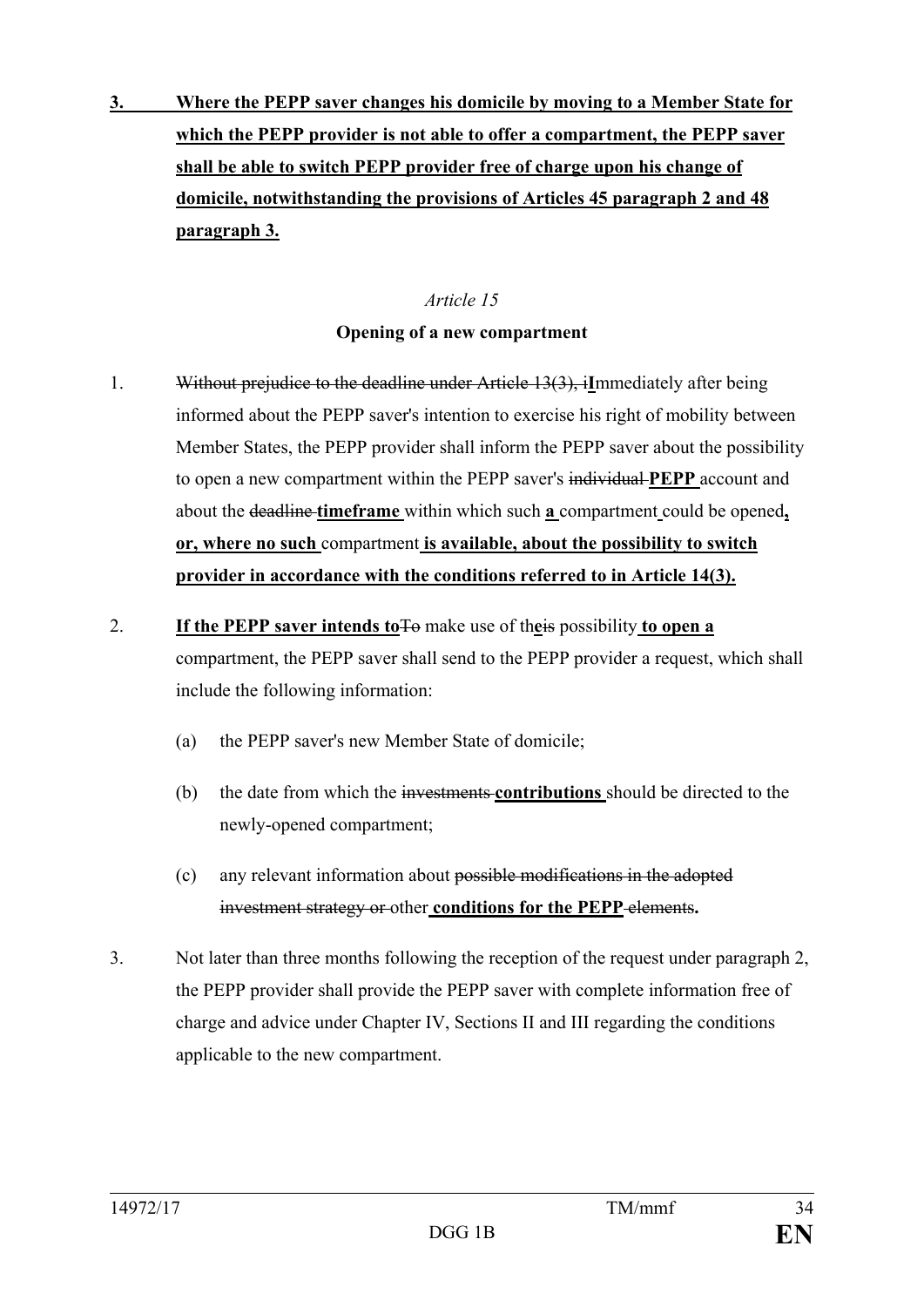**3. Where the PEPP saver changes his domicile by moving to a Member State for which the PEPP provider is not able to offer a compartment, the PEPP saver shall be able to switch PEPP provider free of charge upon his change of domicile, notwithstanding the provisions of Articles 45 paragraph 2 and 48 paragraph 3.** 

### *Article 15*

### **Opening of a new compartment**

- 1. Without prejudice to the deadline under Article 13(3), i**I**mmediately after being informed about the PEPP saver's intention to exercise his right of mobility between Member States, the PEPP provider shall inform the PEPP saver about the possibility to open a new compartment within the PEPP saver's individual **PEPP** account and about the deadline **timeframe** within which such **a** compartment could be opened**, or, where no such** compartment **is available, about the possibility to switch provider in accordance with the conditions referred to in Article 14(3).**
- 2. **If the PEPP saver intends to**To make use of th**e**is possibility **to open a**  compartment, the PEPP saver shall send to the PEPP provider a request, which shall include the following information:
	- (a) the PEPP saver's new Member State of domicile;
	- (b) the date from which the investments **contributions** should be directed to the newly-opened compartment;
	- (c) any relevant information about possible modifications in the adopted investment strategy or other **conditions for the PEPP** elements**.**
- 3. Not later than three months following the reception of the request under paragraph 2, the PEPP provider shall provide the PEPP saver with complete information free of charge and advice under Chapter IV, Sections II and III regarding the conditions applicable to the new compartment.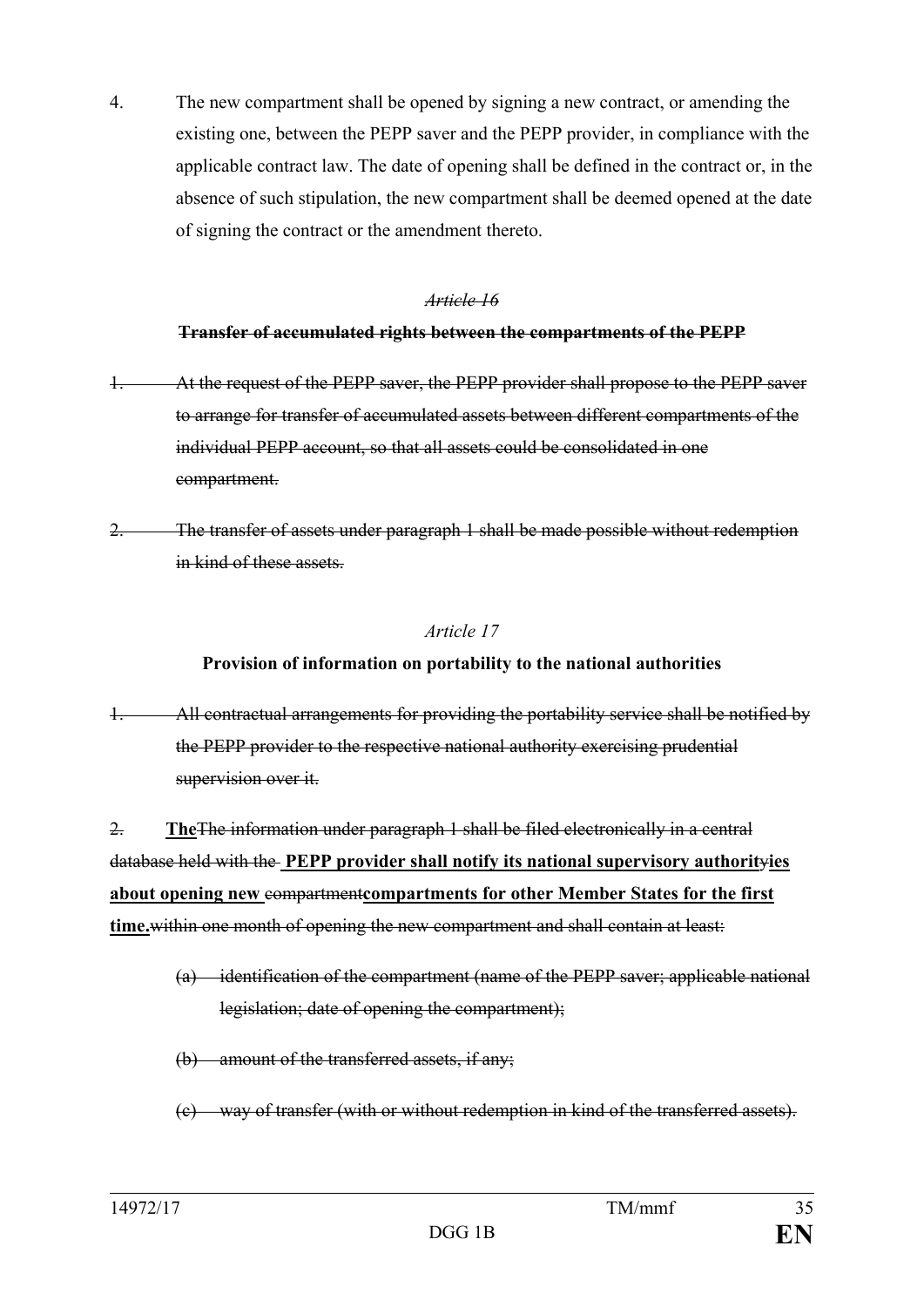4. The new compartment shall be opened by signing a new contract, or amending the existing one, between the PEPP saver and the PEPP provider, in compliance with the applicable contract law. The date of opening shall be defined in the contract or, in the absence of such stipulation, the new compartment shall be deemed opened at the date of signing the contract or the amendment thereto.

#### *Article 16*

## **Transfer of accumulated rights between the compartments of the PEPP**

- At the request of the PEPP saver, the PEPP provider shall propose to the PEPP saver to arrange for transfer of accumulated assets between different compartments of the individual PEPP account, so that all assets could be consolidated in one compartment.
- 2. The transfer of assets under paragraph 1 shall be made possible without redemption in kind of these assets.

#### *Article 17*

## **Provision of information on portability to the national authorities**

All contractual arrangements for providing the portability service shall be notified by the PEPP provider to the respective national authority exercising prudential supervision over it.

2. **The**The information under paragraph 1 shall be filed electronically in a central database held with the **PEPP provider shall notify its national supervisory authorit**y**ies about opening new** compartment**compartments for other Member States for the first time.**within one month of opening the new compartment and shall contain at least:

- (a) identification of the compartment (name of the PEPP saver; applicable national legislation; date of opening the compartment);
- (b) amount of the transferred assets, if any;
- (c) way of transfer (with or without redemption in kind of the transferred assets).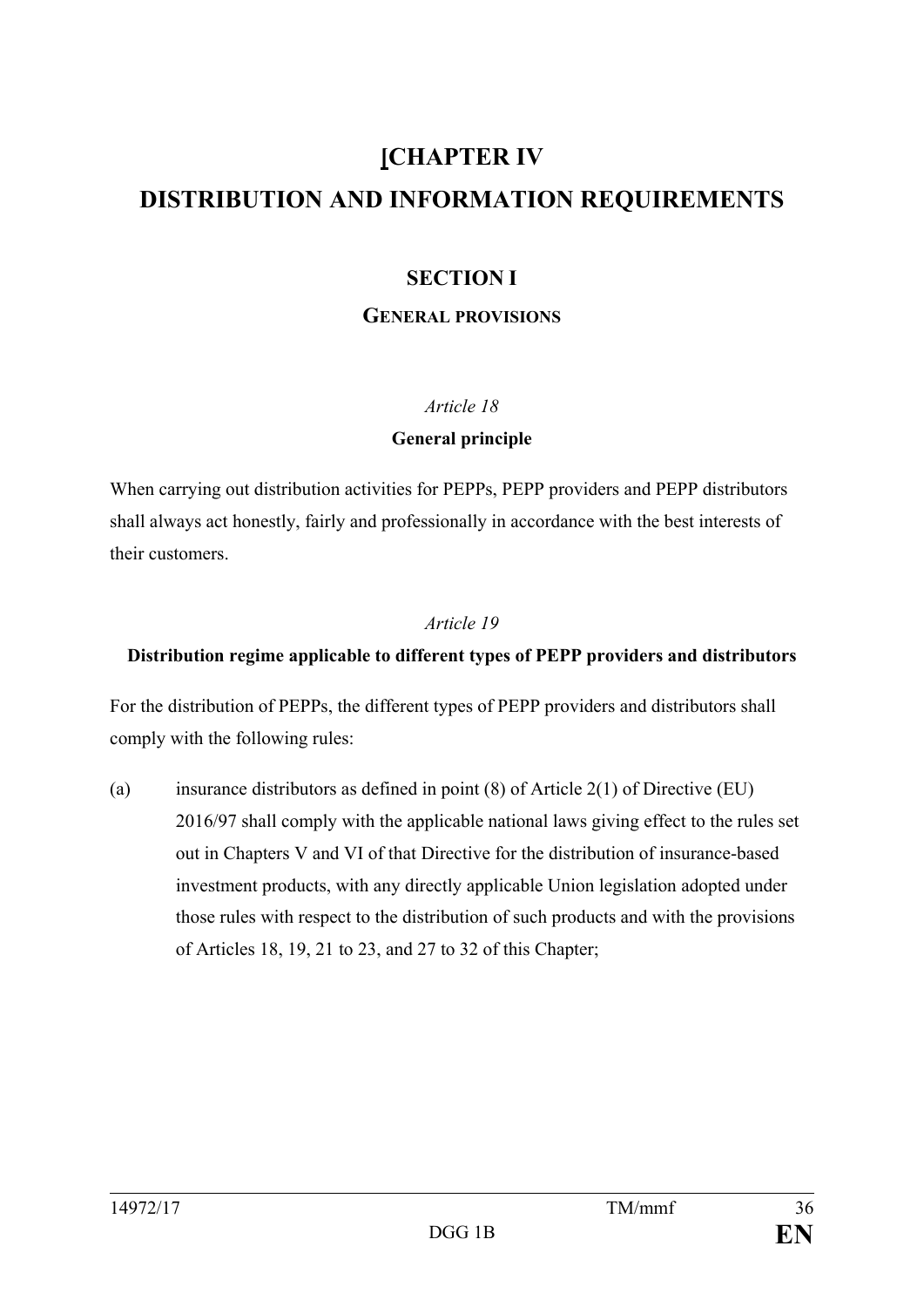# **[CHAPTER IV DISTRIBUTION AND INFORMATION REQUIREMENTS**

## **SECTION I**

#### **GENERAL PROVISIONS**

#### *Article 18*

#### **General principle**

When carrying out distribution activities for PEPPs, PEPP providers and PEPP distributors shall always act honestly, fairly and professionally in accordance with the best interests of their customers.

#### *Article 19*

## **Distribution regime applicable to different types of PEPP providers and distributors**

For the distribution of PEPPs, the different types of PEPP providers and distributors shall comply with the following rules:

(a) insurance distributors as defined in point  $(8)$  of Article 2(1) of Directive (EU) 2016/97 shall comply with the applicable national laws giving effect to the rules set out in Chapters V and VI of that Directive for the distribution of insurance-based investment products, with any directly applicable Union legislation adopted under those rules with respect to the distribution of such products and with the provisions of Articles 18, 19, 21 to 23, and 27 to 32 of this Chapter;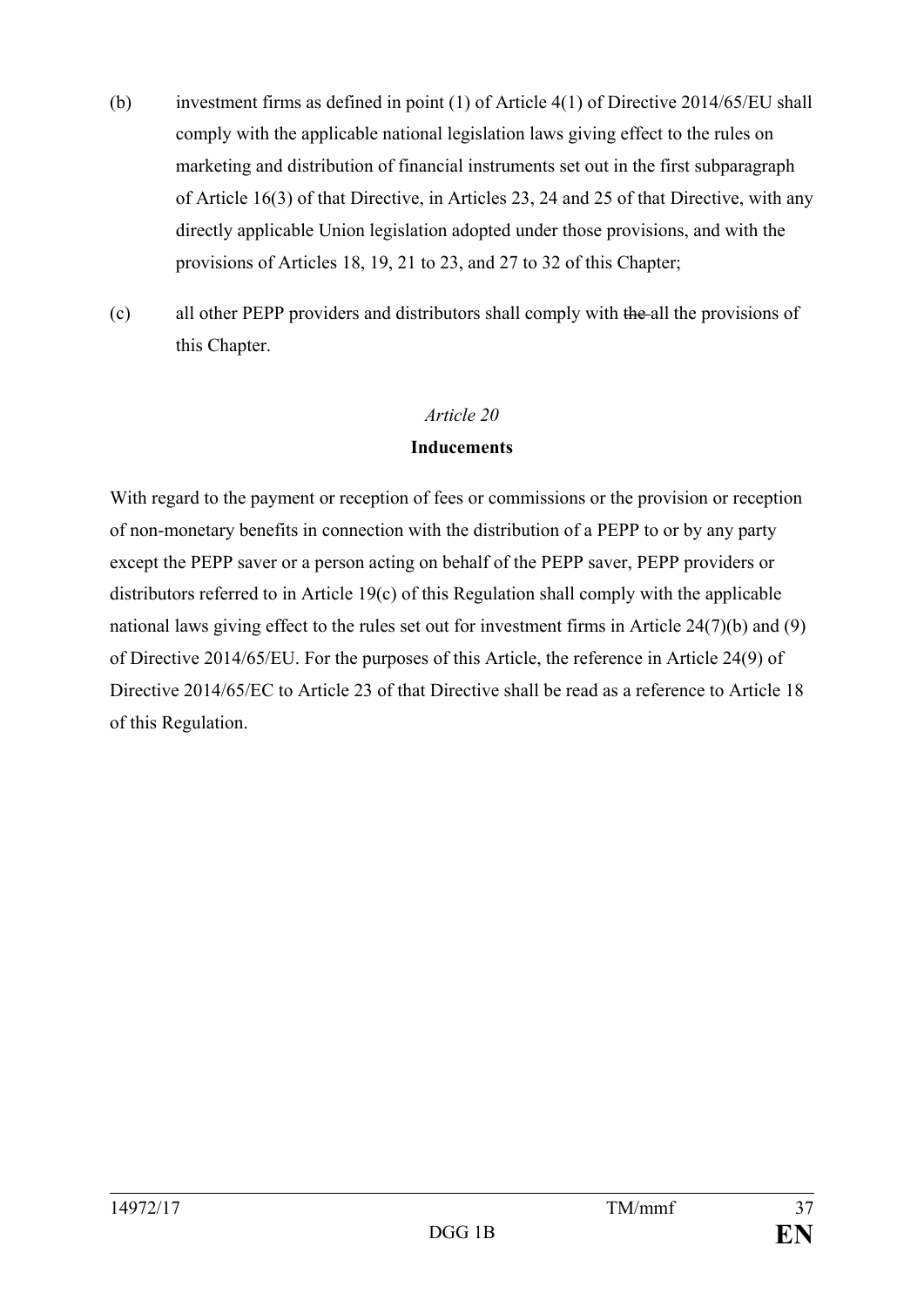- (b) investment firms as defined in point (1) of Article 4(1) of Directive 2014/65/EU shall comply with the applicable national legislation laws giving effect to the rules on marketing and distribution of financial instruments set out in the first subparagraph of Article 16(3) of that Directive, in Articles 23, 24 and 25 of that Directive, with any directly applicable Union legislation adopted under those provisions, and with the provisions of Articles 18, 19, 21 to 23, and 27 to 32 of this Chapter;
- (c) all other PEPP providers and distributors shall comply with the all the provisions of this Chapter.

#### **Inducements**

With regard to the payment or reception of fees or commissions or the provision or reception of non-monetary benefits in connection with the distribution of a PEPP to or by any party except the PEPP saver or a person acting on behalf of the PEPP saver, PEPP providers or distributors referred to in Article 19(c) of this Regulation shall comply with the applicable national laws giving effect to the rules set out for investment firms in Article 24(7)(b) and (9) of Directive 2014/65/EU. For the purposes of this Article, the reference in Article 24(9) of Directive 2014/65/EC to Article 23 of that Directive shall be read as a reference to Article 18 of this Regulation.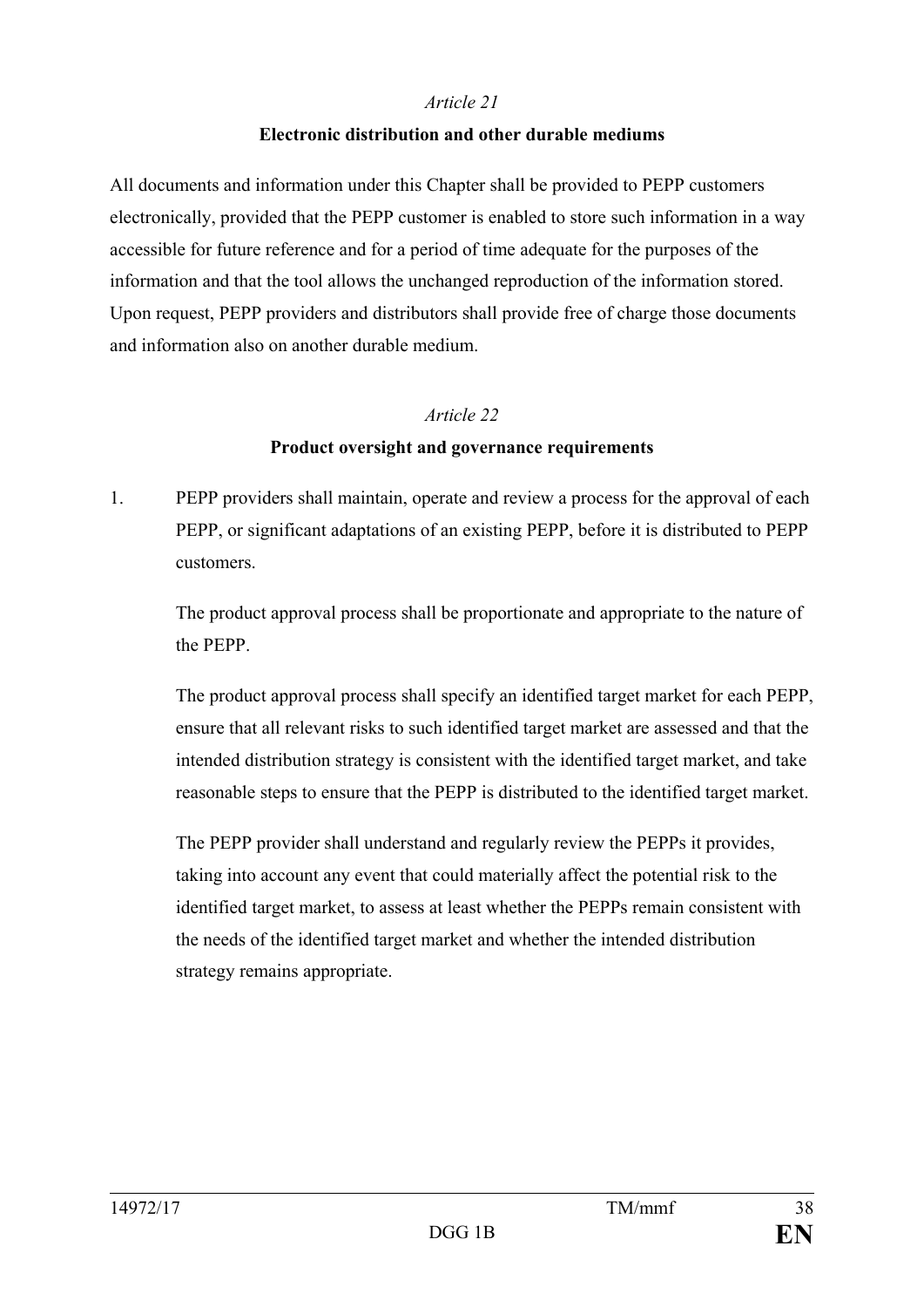#### **Electronic distribution and other durable mediums**

All documents and information under this Chapter shall be provided to PEPP customers electronically, provided that the PEPP customer is enabled to store such information in a way accessible for future reference and for a period of time adequate for the purposes of the information and that the tool allows the unchanged reproduction of the information stored. Upon request, PEPP providers and distributors shall provide free of charge those documents and information also on another durable medium.

#### *Article 22*

#### **Product oversight and governance requirements**

1. PEPP providers shall maintain, operate and review a process for the approval of each PEPP, or significant adaptations of an existing PEPP, before it is distributed to PEPP customers.

The product approval process shall be proportionate and appropriate to the nature of the PEPP.

The product approval process shall specify an identified target market for each PEPP, ensure that all relevant risks to such identified target market are assessed and that the intended distribution strategy is consistent with the identified target market, and take reasonable steps to ensure that the PEPP is distributed to the identified target market.

The PEPP provider shall understand and regularly review the PEPPs it provides, taking into account any event that could materially affect the potential risk to the identified target market, to assess at least whether the PEPPs remain consistent with the needs of the identified target market and whether the intended distribution strategy remains appropriate.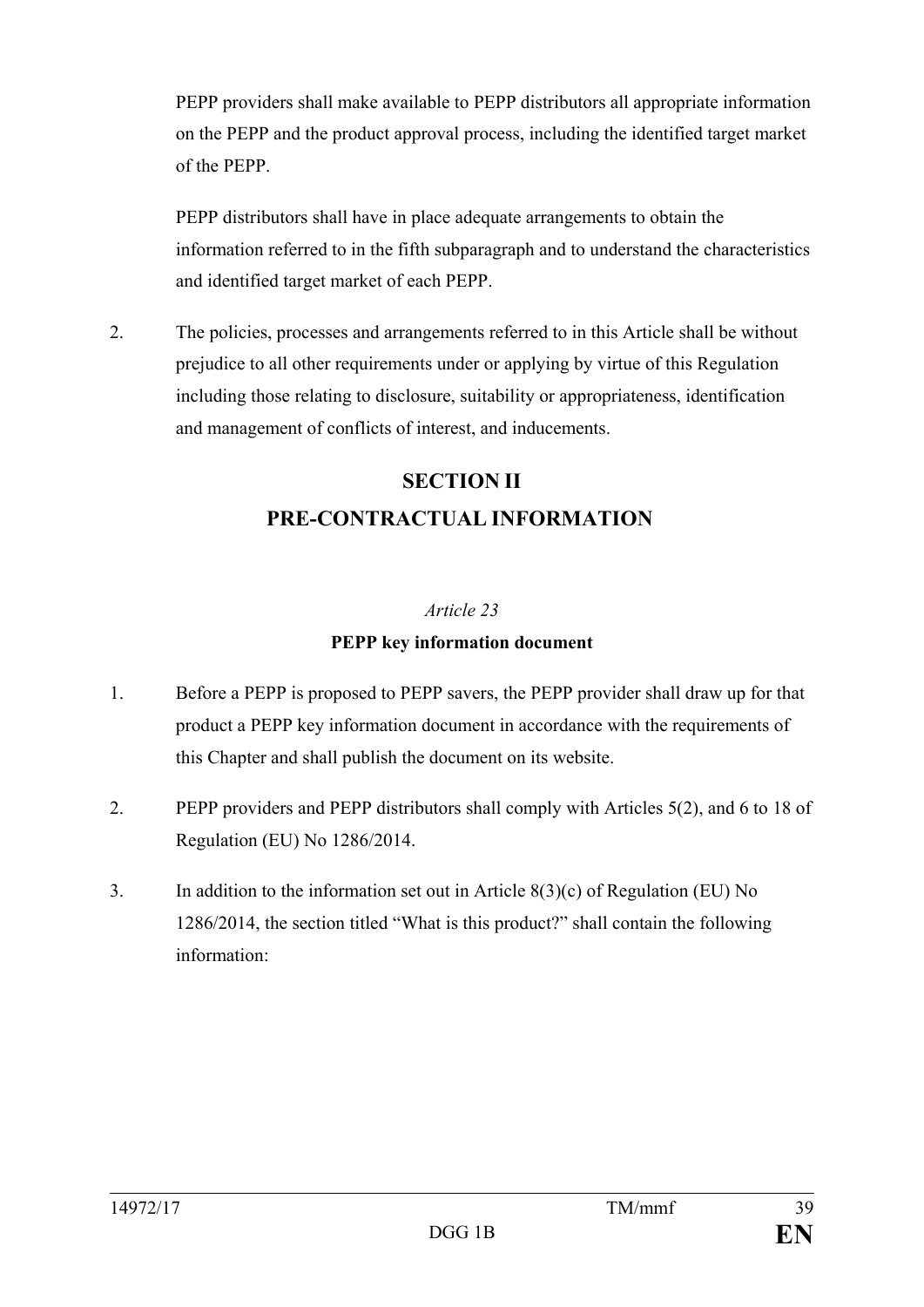PEPP providers shall make available to PEPP distributors all appropriate information on the PEPP and the product approval process, including the identified target market of the PEPP.

PEPP distributors shall have in place adequate arrangements to obtain the information referred to in the fifth subparagraph and to understand the characteristics and identified target market of each PEPP.

2. The policies, processes and arrangements referred to in this Article shall be without prejudice to all other requirements under or applying by virtue of this Regulation including those relating to disclosure, suitability or appropriateness, identification and management of conflicts of interest, and inducements.

## **SECTION II PRE-CONTRACTUAL INFORMATION**

#### *Article 23*

#### **PEPP key information document**

- 1. Before a PEPP is proposed to PEPP savers, the PEPP provider shall draw up for that product a PEPP key information document in accordance with the requirements of this Chapter and shall publish the document on its website.
- 2. PEPP providers and PEPP distributors shall comply with Articles 5(2), and 6 to 18 of Regulation (EU) No 1286/2014.
- 3. In addition to the information set out in Article 8(3)(c) of Regulation (EU) No 1286/2014, the section titled "What is this product?" shall contain the following information: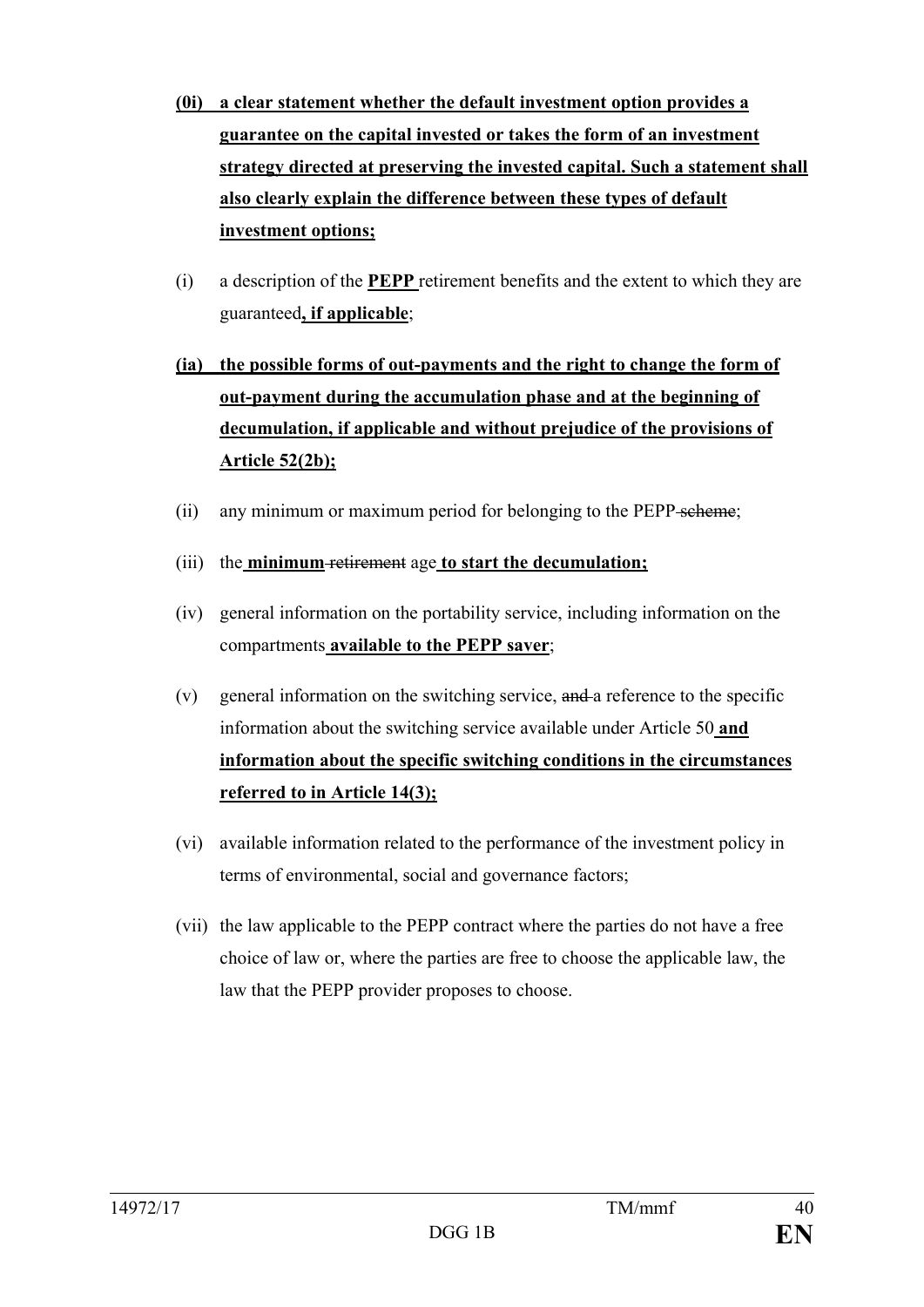- **(0i) a clear statement whether the default investment option provides a guarantee on the capital invested or takes the form of an investment strategy directed at preserving the invested capital. Such a statement shall also clearly explain the difference between these types of default investment options;**
- (i) a description of the **PEPP** retirement benefits and the extent to which they are guaranteed**, if applicable**;
- **(ia) the possible forms of out-payments and the right to change the form of out-payment during the accumulation phase and at the beginning of decumulation, if applicable and without prejudice of the provisions of Article 52(2b);**
- (ii) any minimum or maximum period for belonging to the PEPP scheme;
- (iii) the **minimum** retirement age **to start the decumulation;**
- (iv) general information on the portability service, including information on the compartments **available to the PEPP saver**;
- (v) general information on the switching service, and a reference to the specific information about the switching service available under Article 50 **and information about the specific switching conditions in the circumstances referred to in Article 14(3);**
- (vi) available information related to the performance of the investment policy in terms of environmental, social and governance factors;
- (vii) the law applicable to the PEPP contract where the parties do not have a free choice of law or, where the parties are free to choose the applicable law, the law that the PEPP provider proposes to choose.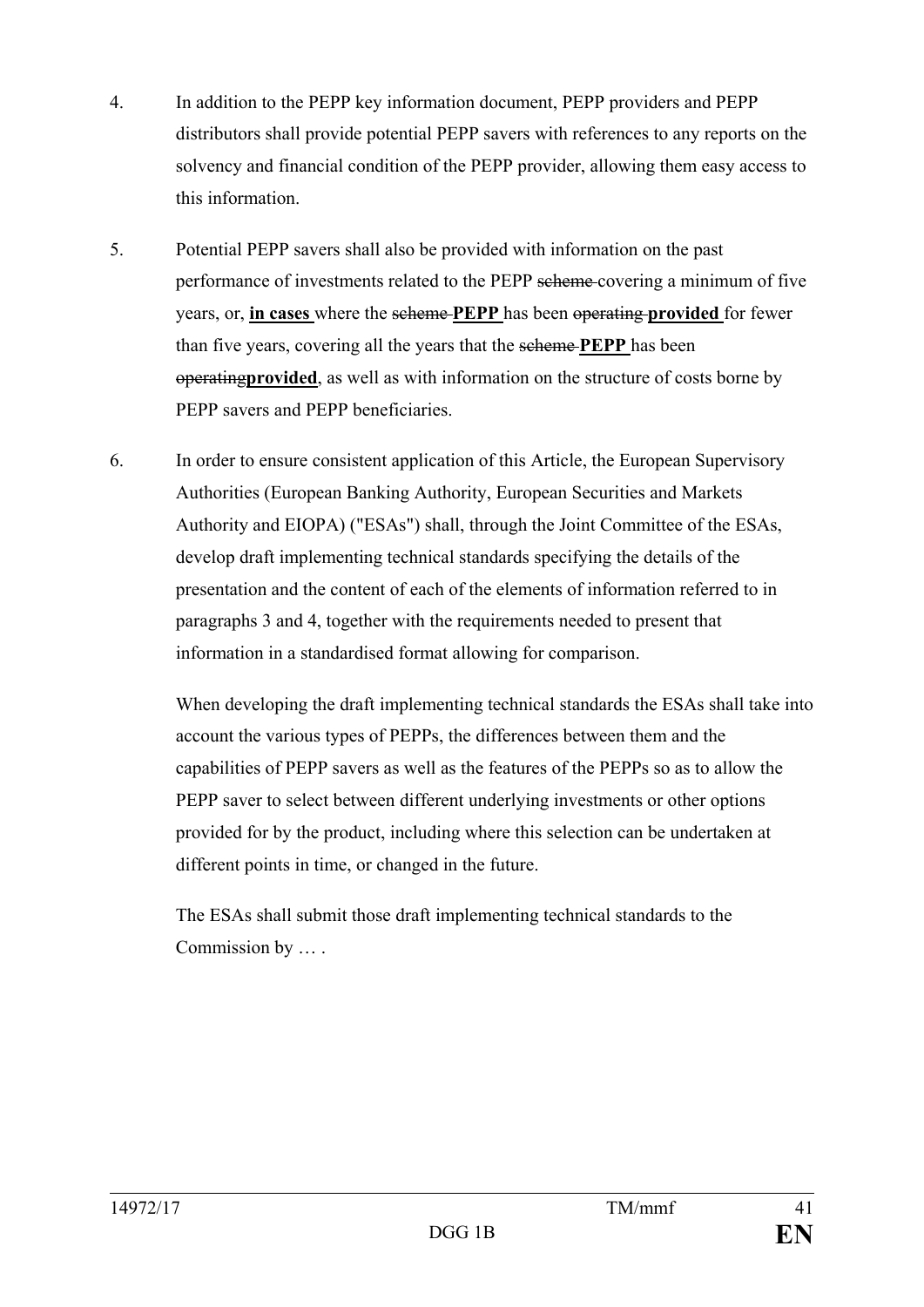- 4. In addition to the PEPP key information document, PEPP providers and PEPP distributors shall provide potential PEPP savers with references to any reports on the solvency and financial condition of the PEPP provider, allowing them easy access to this information.
- 5. Potential PEPP savers shall also be provided with information on the past performance of investments related to the PEPP scheme covering a minimum of five years, or, **in cases** where the scheme **PEPP** has been operating **provided** for fewer than five years, covering all the years that the scheme **PEPP** has been operating**provided**, as well as with information on the structure of costs borne by PEPP savers and PEPP beneficiaries.
- 6. In order to ensure consistent application of this Article, the European Supervisory Authorities (European Banking Authority, European Securities and Markets Authority and EIOPA) ("ESAs") shall, through the Joint Committee of the ESAs, develop draft implementing technical standards specifying the details of the presentation and the content of each of the elements of information referred to in paragraphs 3 and 4, together with the requirements needed to present that information in a standardised format allowing for comparison.

When developing the draft implementing technical standards the ESAs shall take into account the various types of PEPPs, the differences between them and the capabilities of PEPP savers as well as the features of the PEPPs so as to allow the PEPP saver to select between different underlying investments or other options provided for by the product, including where this selection can be undertaken at different points in time, or changed in the future.

The ESAs shall submit those draft implementing technical standards to the Commission by … .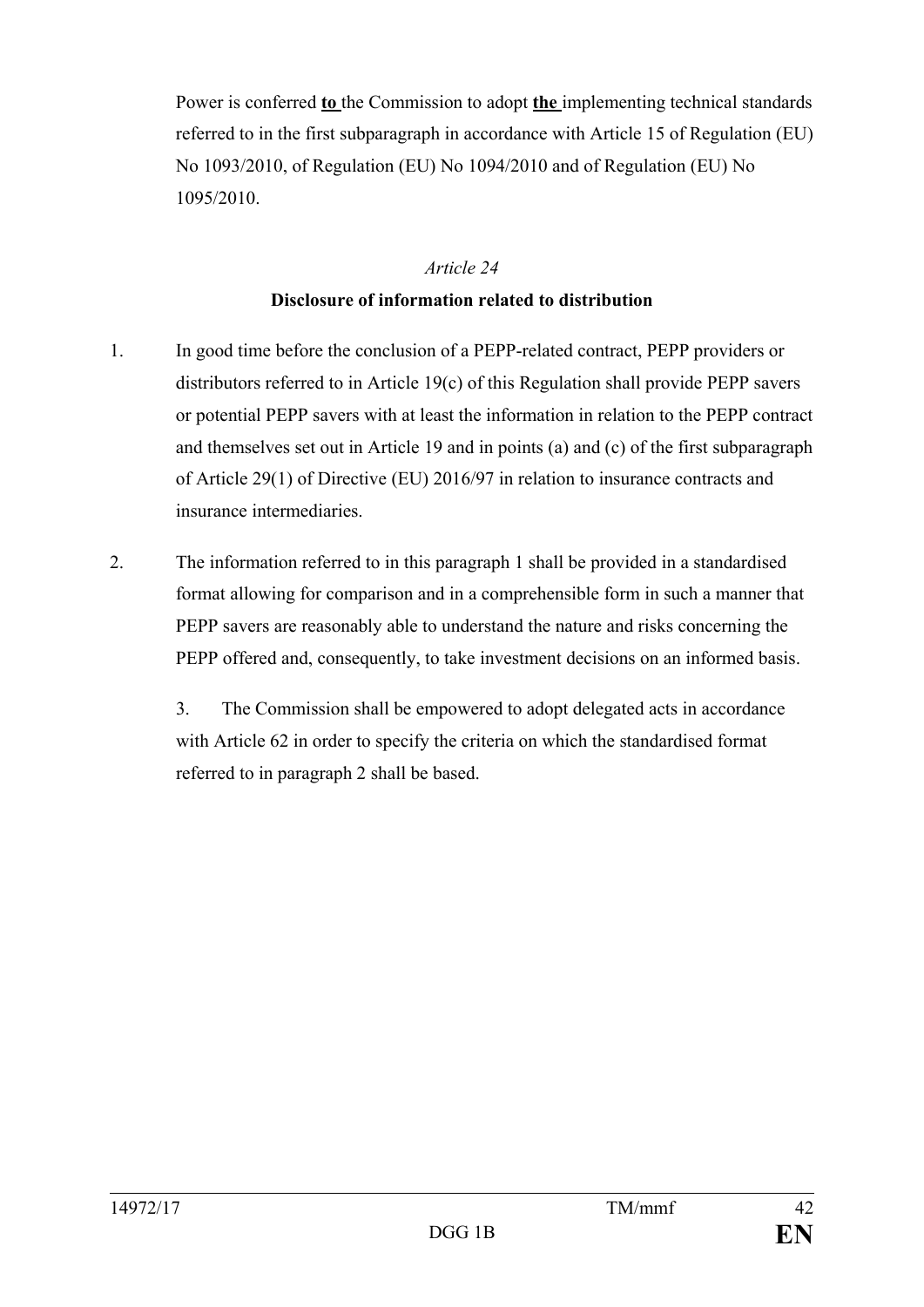Power is conferred **to** the Commission to adopt **the** implementing technical standards referred to in the first subparagraph in accordance with Article 15 of Regulation (EU) No 1093/2010, of Regulation (EU) No 1094/2010 and of Regulation (EU) No 1095/2010.

#### *Article 24*

#### **Disclosure of information related to distribution**

- 1. In good time before the conclusion of a PEPP-related contract, PEPP providers or distributors referred to in Article 19(c) of this Regulation shall provide PEPP savers or potential PEPP savers with at least the information in relation to the PEPP contract and themselves set out in Article 19 and in points (a) and (c) of the first subparagraph of Article 29(1) of Directive (EU) 2016/97 in relation to insurance contracts and insurance intermediaries.
- 2. The information referred to in this paragraph 1 shall be provided in a standardised format allowing for comparison and in a comprehensible form in such a manner that PEPP savers are reasonably able to understand the nature and risks concerning the PEPP offered and, consequently, to take investment decisions on an informed basis.

3. The Commission shall be empowered to adopt delegated acts in accordance with Article 62 in order to specify the criteria on which the standardised format referred to in paragraph 2 shall be based.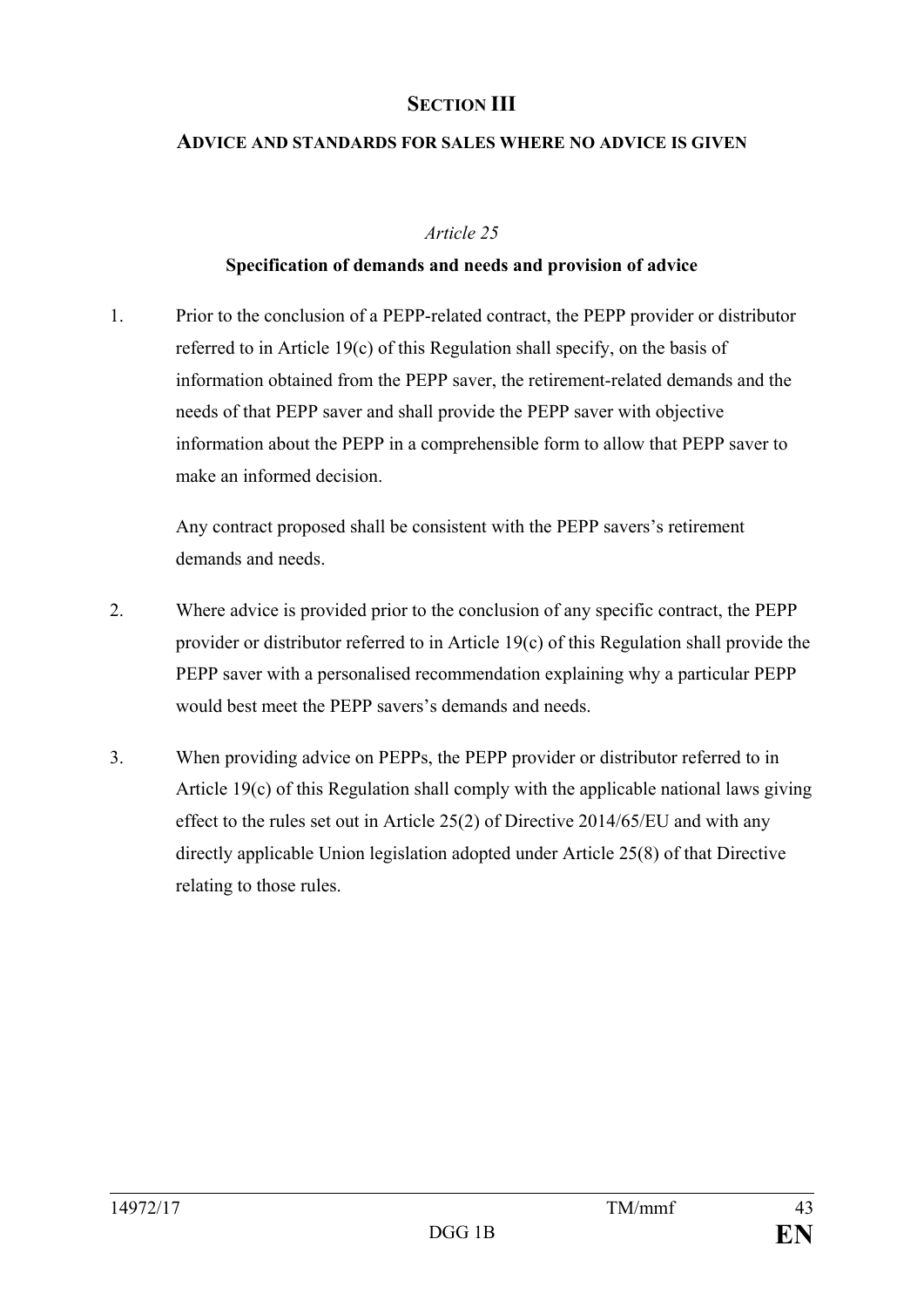## **SECTION III**

#### **ADVICE AND STANDARDS FOR SALES WHERE NO ADVICE IS GIVEN**

#### *Article 25*

#### **Specification of demands and needs and provision of advice**

1. Prior to the conclusion of a PEPP-related contract, the PEPP provider or distributor referred to in Article 19(c) of this Regulation shall specify, on the basis of information obtained from the PEPP saver, the retirement-related demands and the needs of that PEPP saver and shall provide the PEPP saver with objective information about the PEPP in a comprehensible form to allow that PEPP saver to make an informed decision.

Any contract proposed shall be consistent with the PEPP savers's retirement demands and needs.

- 2. Where advice is provided prior to the conclusion of any specific contract, the PEPP provider or distributor referred to in Article 19(c) of this Regulation shall provide the PEPP saver with a personalised recommendation explaining why a particular PEPP would best meet the PEPP savers's demands and needs.
- 3. When providing advice on PEPPs, the PEPP provider or distributor referred to in Article 19(c) of this Regulation shall comply with the applicable national laws giving effect to the rules set out in Article 25(2) of Directive 2014/65/EU and with any directly applicable Union legislation adopted under Article 25(8) of that Directive relating to those rules.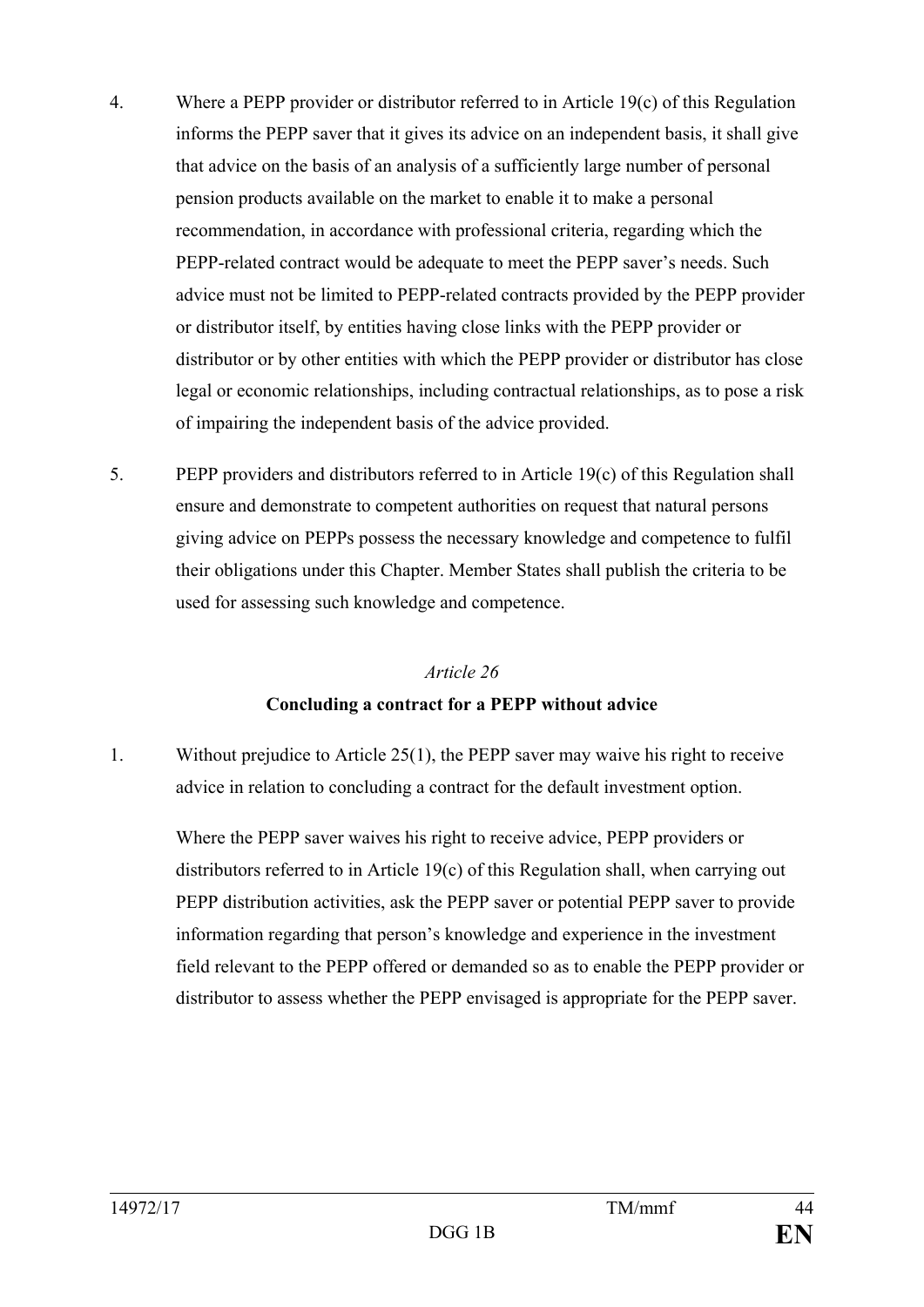- 4. Where a PEPP provider or distributor referred to in Article 19(c) of this Regulation informs the PEPP saver that it gives its advice on an independent basis, it shall give that advice on the basis of an analysis of a sufficiently large number of personal pension products available on the market to enable it to make a personal recommendation, in accordance with professional criteria, regarding which the PEPP-related contract would be adequate to meet the PEPP saver's needs. Such advice must not be limited to PEPP-related contracts provided by the PEPP provider or distributor itself, by entities having close links with the PEPP provider or distributor or by other entities with which the PEPP provider or distributor has close legal or economic relationships, including contractual relationships, as to pose a risk of impairing the independent basis of the advice provided.
- 5. PEPP providers and distributors referred to in Article 19(c) of this Regulation shall ensure and demonstrate to competent authorities on request that natural persons giving advice on PEPPs possess the necessary knowledge and competence to fulfil their obligations under this Chapter. Member States shall publish the criteria to be used for assessing such knowledge and competence.

## *Article 26* **Concluding a contract for a PEPP without advice**

1. Without prejudice to Article 25(1), the PEPP saver may waive his right to receive advice in relation to concluding a contract for the default investment option.

Where the PEPP saver waives his right to receive advice, PEPP providers or distributors referred to in Article 19(c) of this Regulation shall, when carrying out PEPP distribution activities, ask the PEPP saver or potential PEPP saver to provide information regarding that person's knowledge and experience in the investment field relevant to the PEPP offered or demanded so as to enable the PEPP provider or distributor to assess whether the PEPP envisaged is appropriate for the PEPP saver.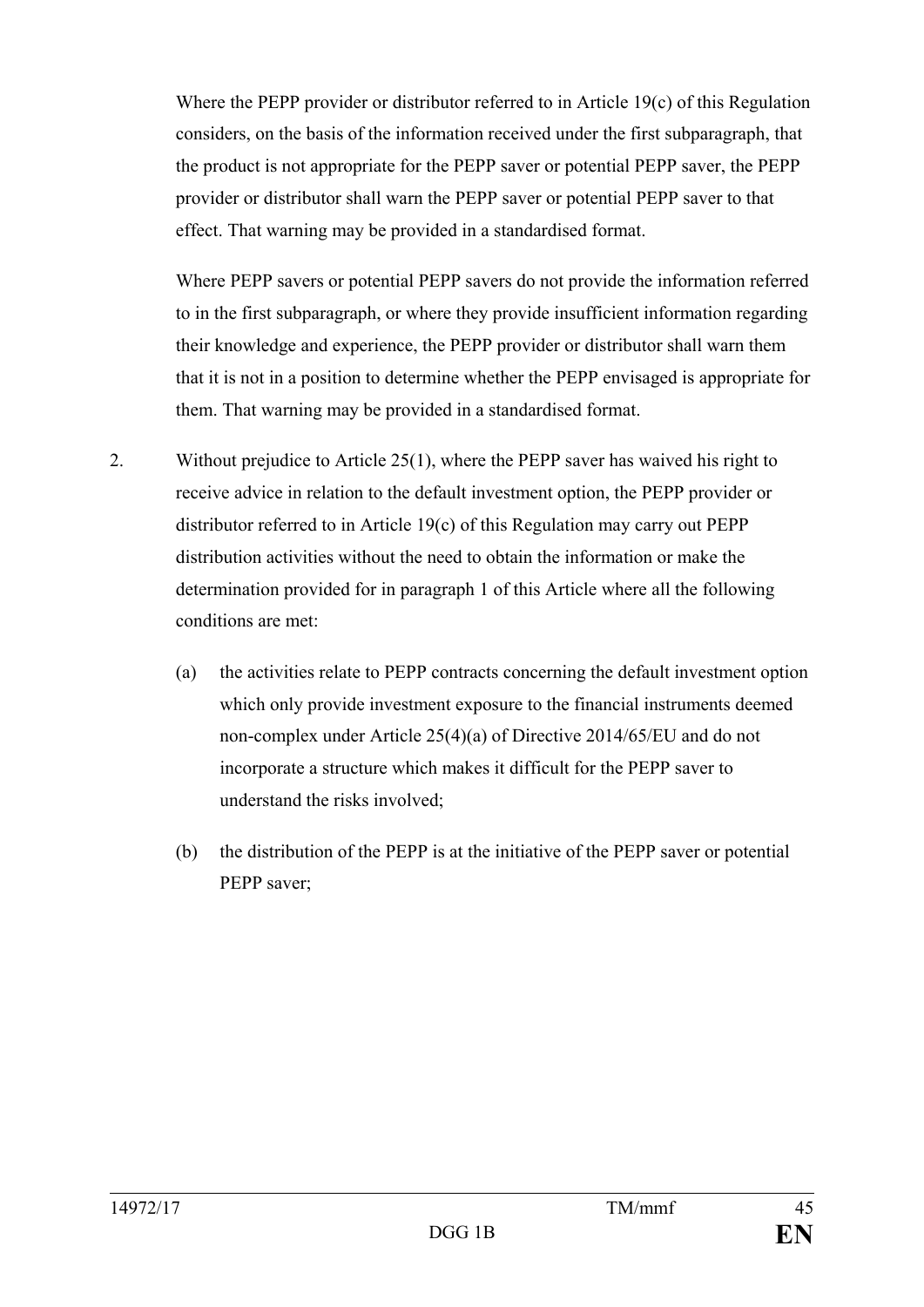Where the PEPP provider or distributor referred to in Article 19(c) of this Regulation considers, on the basis of the information received under the first subparagraph, that the product is not appropriate for the PEPP saver or potential PEPP saver, the PEPP provider or distributor shall warn the PEPP saver or potential PEPP saver to that effect. That warning may be provided in a standardised format.

Where PEPP savers or potential PEPP savers do not provide the information referred to in the first subparagraph, or where they provide insufficient information regarding their knowledge and experience, the PEPP provider or distributor shall warn them that it is not in a position to determine whether the PEPP envisaged is appropriate for them. That warning may be provided in a standardised format.

- 2. Without prejudice to Article 25(1), where the PEPP saver has waived his right to receive advice in relation to the default investment option, the PEPP provider or distributor referred to in Article 19(c) of this Regulation may carry out PEPP distribution activities without the need to obtain the information or make the determination provided for in paragraph 1 of this Article where all the following conditions are met:
	- (a) the activities relate to PEPP contracts concerning the default investment option which only provide investment exposure to the financial instruments deemed non-complex under Article 25(4)(a) of Directive 2014/65/EU and do not incorporate a structure which makes it difficult for the PEPP saver to understand the risks involved;
	- (b) the distribution of the PEPP is at the initiative of the PEPP saver or potential PEPP saver;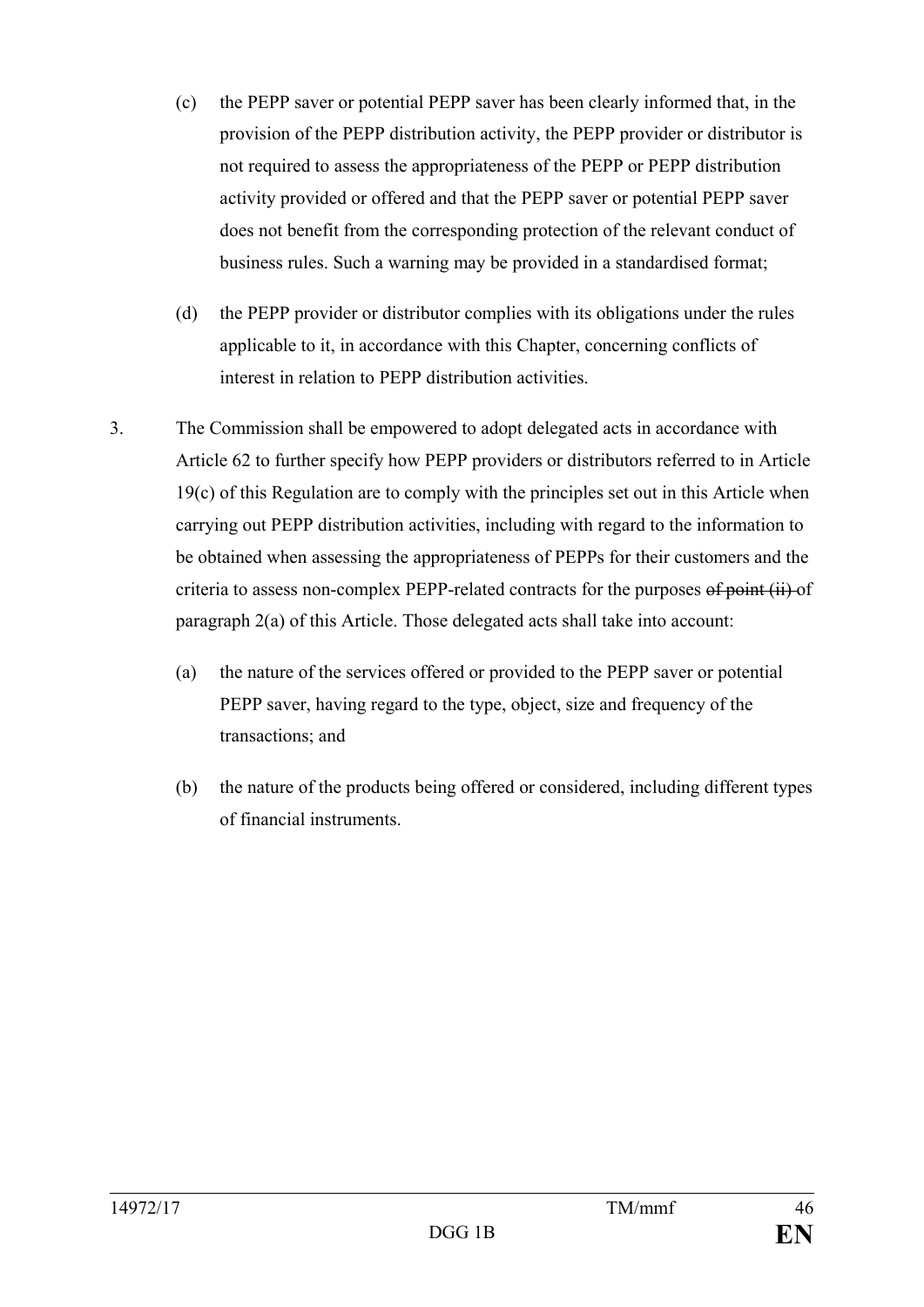- (c) the PEPP saver or potential PEPP saver has been clearly informed that, in the provision of the PEPP distribution activity, the PEPP provider or distributor is not required to assess the appropriateness of the PEPP or PEPP distribution activity provided or offered and that the PEPP saver or potential PEPP saver does not benefit from the corresponding protection of the relevant conduct of business rules. Such a warning may be provided in a standardised format;
- (d) the PEPP provider or distributor complies with its obligations under the rules applicable to it, in accordance with this Chapter, concerning conflicts of interest in relation to PEPP distribution activities.
- 3. The Commission shall be empowered to adopt delegated acts in accordance with Article 62 to further specify how PEPP providers or distributors referred to in Article 19(c) of this Regulation are to comply with the principles set out in this Article when carrying out PEPP distribution activities, including with regard to the information to be obtained when assessing the appropriateness of PEPPs for their customers and the criteria to assess non-complex PEPP-related contracts for the purposes of point (ii) of paragraph 2(a) of this Article. Those delegated acts shall take into account:
	- (a) the nature of the services offered or provided to the PEPP saver or potential PEPP saver, having regard to the type, object, size and frequency of the transactions; and
	- (b) the nature of the products being offered or considered, including different types of financial instruments.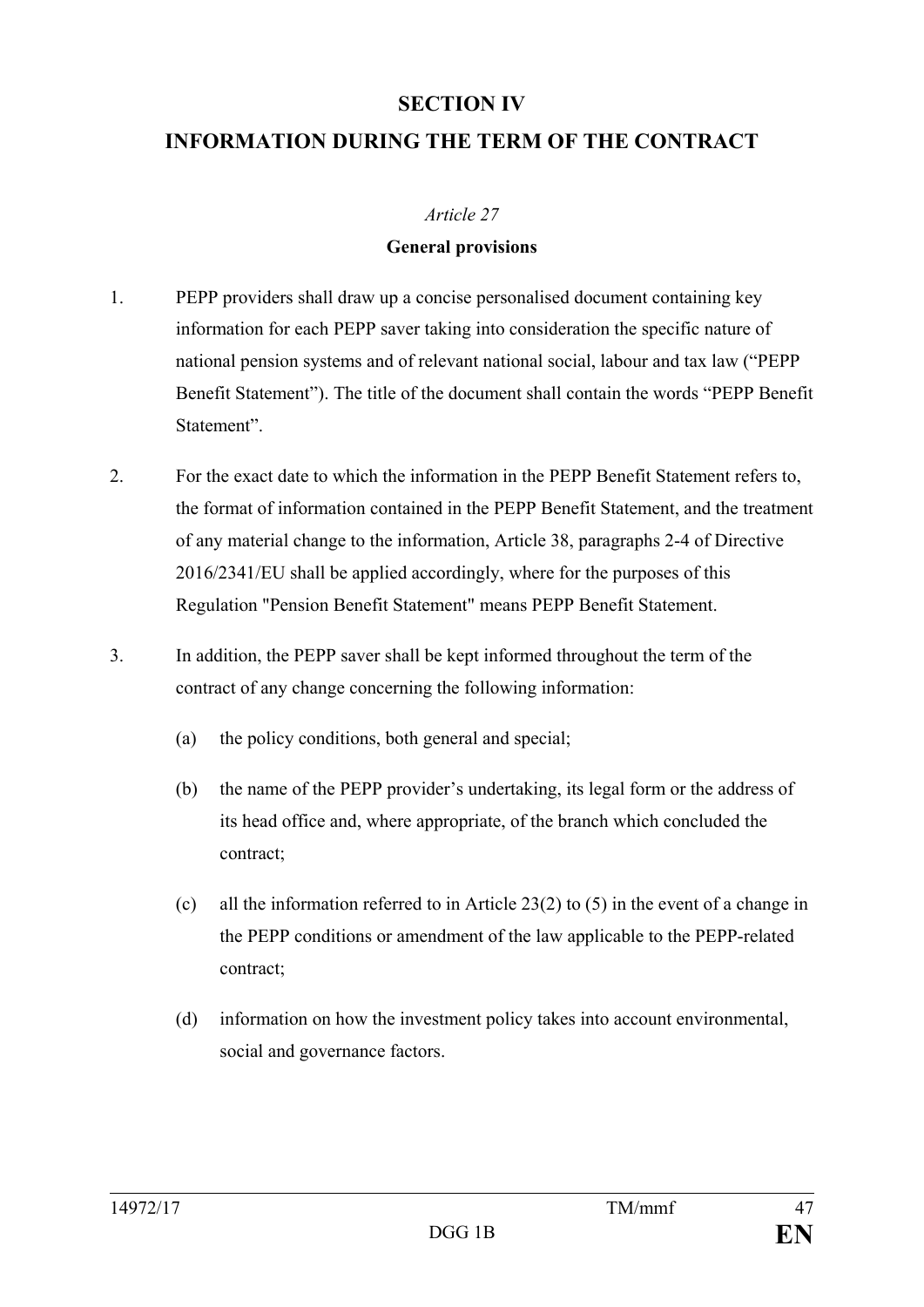## **SECTION IV**

## **INFORMATION DURING THE TERM OF THE CONTRACT**

#### *Article 27*

#### **General provisions**

- 1. PEPP providers shall draw up a concise personalised document containing key information for each PEPP saver taking into consideration the specific nature of national pension systems and of relevant national social, labour and tax law ("PEPP Benefit Statement"). The title of the document shall contain the words "PEPP Benefit Statement".
- 2. For the exact date to which the information in the PEPP Benefit Statement refers to, the format of information contained in the PEPP Benefit Statement, and the treatment of any material change to the information, Article 38, paragraphs 2-4 of Directive 2016/2341/EU shall be applied accordingly, where for the purposes of this Regulation "Pension Benefit Statement" means PEPP Benefit Statement.
- 3. In addition, the PEPP saver shall be kept informed throughout the term of the contract of any change concerning the following information:
	- (a) the policy conditions, both general and special;
	- (b) the name of the PEPP provider's undertaking, its legal form or the address of its head office and, where appropriate, of the branch which concluded the contract;
	- (c) all the information referred to in Article 23(2) to (5) in the event of a change in the PEPP conditions or amendment of the law applicable to the PEPP-related contract;
	- (d) information on how the investment policy takes into account environmental, social and governance factors.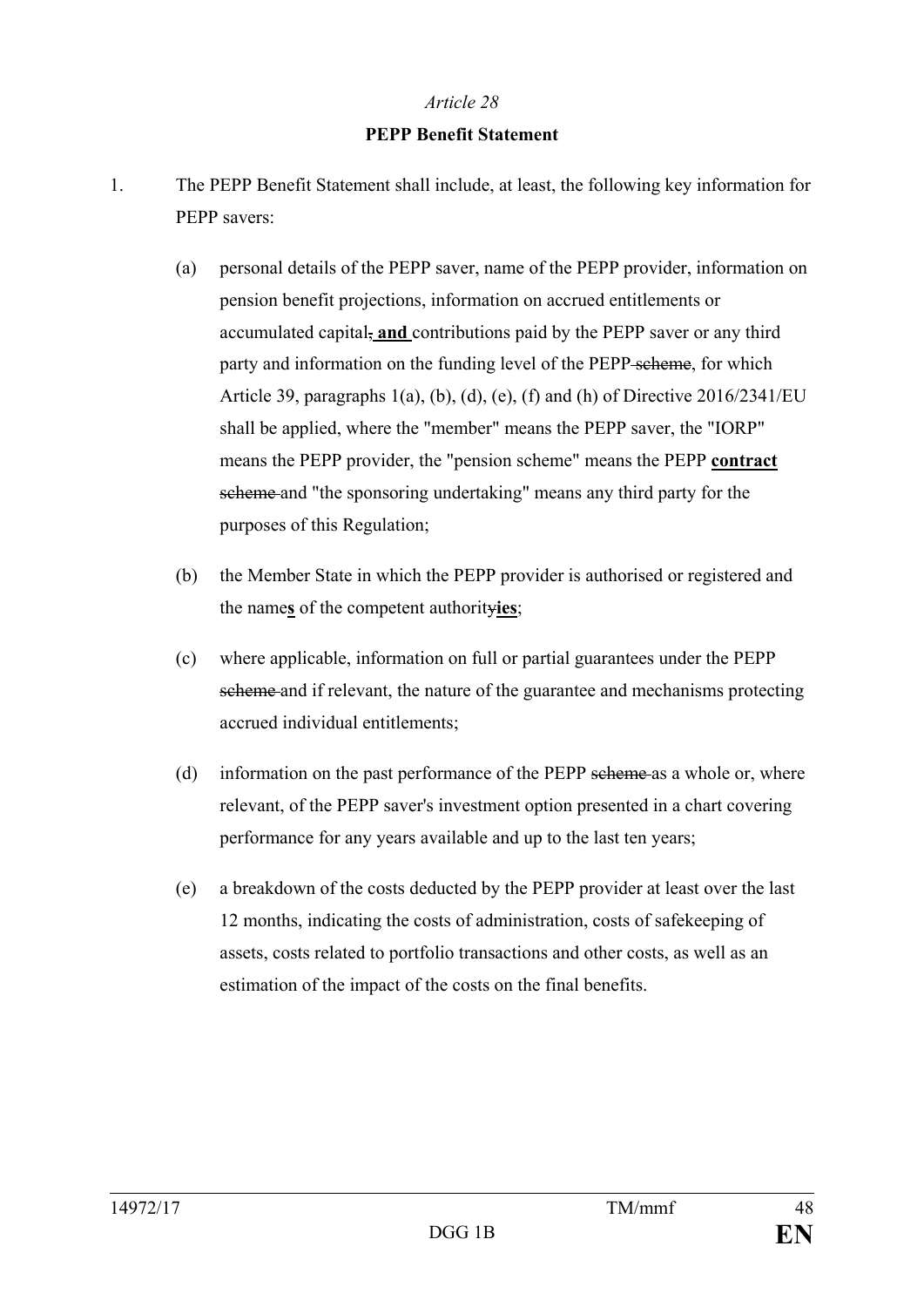#### **PEPP Benefit Statement**

- 1. The PEPP Benefit Statement shall include, at least, the following key information for PEPP savers:
	- (a) personal details of the PEPP saver, name of the PEPP provider, information on pension benefit projections, information on accrued entitlements or accumulated capital, **and** contributions paid by the PEPP saver or any third party and information on the funding level of the PEPP scheme, for which Article 39, paragraphs  $1(a)$ , (b), (d), (e), (f) and (h) of Directive 2016/2341/EU shall be applied, where the "member" means the PEPP saver, the "IORP" means the PEPP provider, the "pension scheme" means the PEPP **contract** scheme and "the sponsoring undertaking" means any third party for the purposes of this Regulation;
	- (b) the Member State in which the PEPP provider is authorised or registered and the name**s** of the competent authority**ies**;
	- (c) where applicable, information on full or partial guarantees under the PEPP scheme and if relevant, the nature of the guarantee and mechanisms protecting accrued individual entitlements;
	- (d) information on the past performance of the PEPP scheme as a whole or, where relevant, of the PEPP saver's investment option presented in a chart covering performance for any years available and up to the last ten years;
	- (e) a breakdown of the costs deducted by the PEPP provider at least over the last 12 months, indicating the costs of administration, costs of safekeeping of assets, costs related to portfolio transactions and other costs, as well as an estimation of the impact of the costs on the final benefits.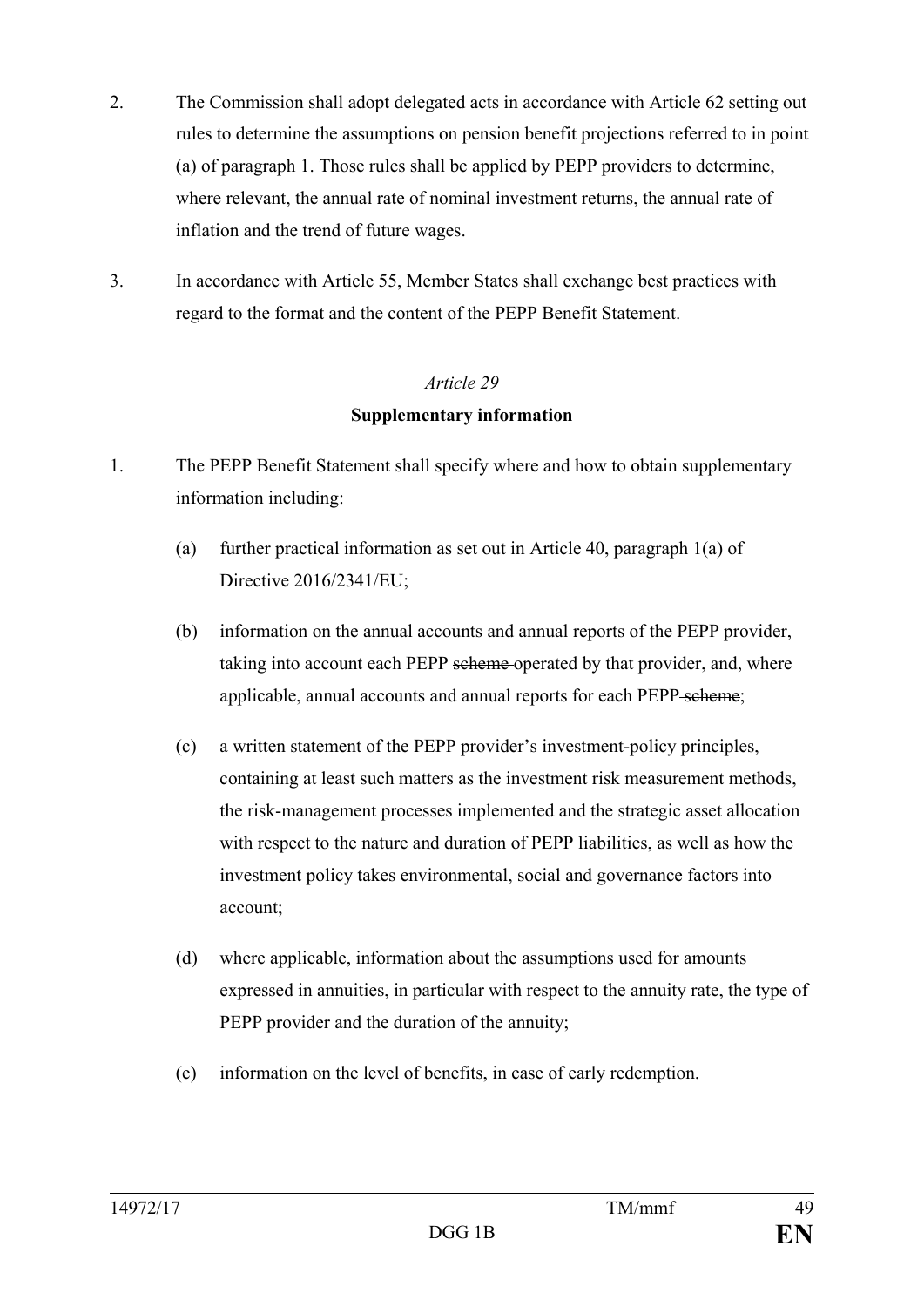- 2. The Commission shall adopt delegated acts in accordance with Article 62 setting out rules to determine the assumptions on pension benefit projections referred to in point (a) of paragraph 1. Those rules shall be applied by PEPP providers to determine, where relevant, the annual rate of nominal investment returns, the annual rate of inflation and the trend of future wages.
- 3. In accordance with Article 55, Member States shall exchange best practices with regard to the format and the content of the PEPP Benefit Statement.

#### **Supplementary information**

- 1. The PEPP Benefit Statement shall specify where and how to obtain supplementary information including:
	- (a) further practical information as set out in Article 40, paragraph 1(a) of Directive 2016/2341/EU;
	- (b) information on the annual accounts and annual reports of the PEPP provider, taking into account each PEPP scheme operated by that provider, and, where applicable, annual accounts and annual reports for each PEPP scheme;
	- (c) a written statement of the PEPP provider's investment-policy principles, containing at least such matters as the investment risk measurement methods, the risk-management processes implemented and the strategic asset allocation with respect to the nature and duration of PEPP liabilities, as well as how the investment policy takes environmental, social and governance factors into account;
	- (d) where applicable, information about the assumptions used for amounts expressed in annuities, in particular with respect to the annuity rate, the type of PEPP provider and the duration of the annuity;
	- (e) information on the level of benefits, in case of early redemption.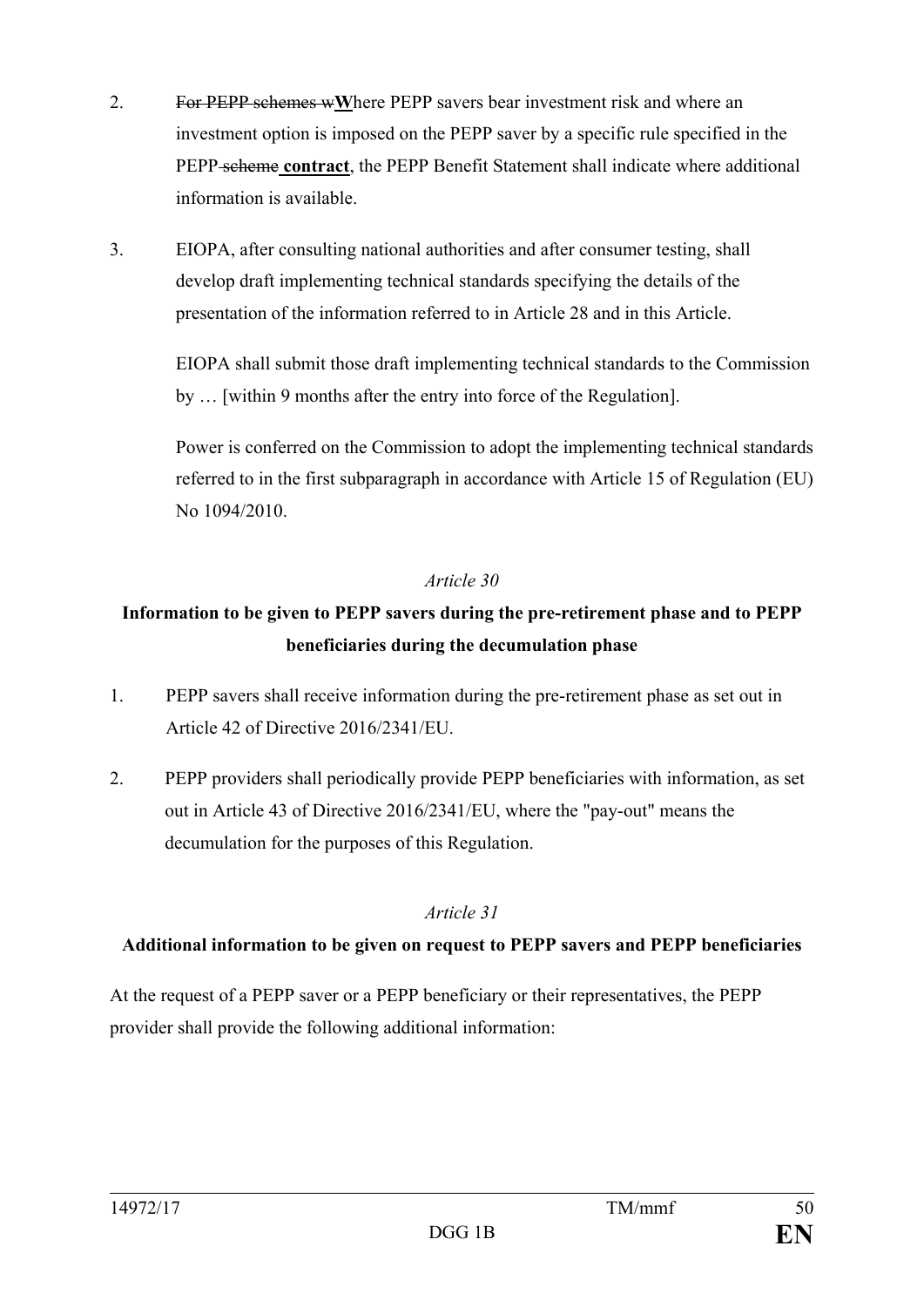- 2. For PEPP schemes w**W**here PEPP savers bear investment risk and where an investment option is imposed on the PEPP saver by a specific rule specified in the PEPP scheme **contract**, the PEPP Benefit Statement shall indicate where additional information is available.
- 3. EIOPA, after consulting national authorities and after consumer testing, shall develop draft implementing technical standards specifying the details of the presentation of the information referred to in Article 28 and in this Article.

EIOPA shall submit those draft implementing technical standards to the Commission by … [within 9 months after the entry into force of the Regulation].

Power is conferred on the Commission to adopt the implementing technical standards referred to in the first subparagraph in accordance with Article 15 of Regulation (EU) No 1094/2010.

## *Article 30*

## **Information to be given to PEPP savers during the pre-retirement phase and to PEPP beneficiaries during the decumulation phase**

- 1. PEPP savers shall receive information during the pre-retirement phase as set out in Article 42 of Directive 2016/2341/EU.
- 2. PEPP providers shall periodically provide PEPP beneficiaries with information, as set out in Article 43 of Directive 2016/2341/EU, where the "pay-out" means the decumulation for the purposes of this Regulation.

#### *Article 31*

#### **Additional information to be given on request to PEPP savers and PEPP beneficiaries**

At the request of a PEPP saver or a PEPP beneficiary or their representatives, the PEPP provider shall provide the following additional information: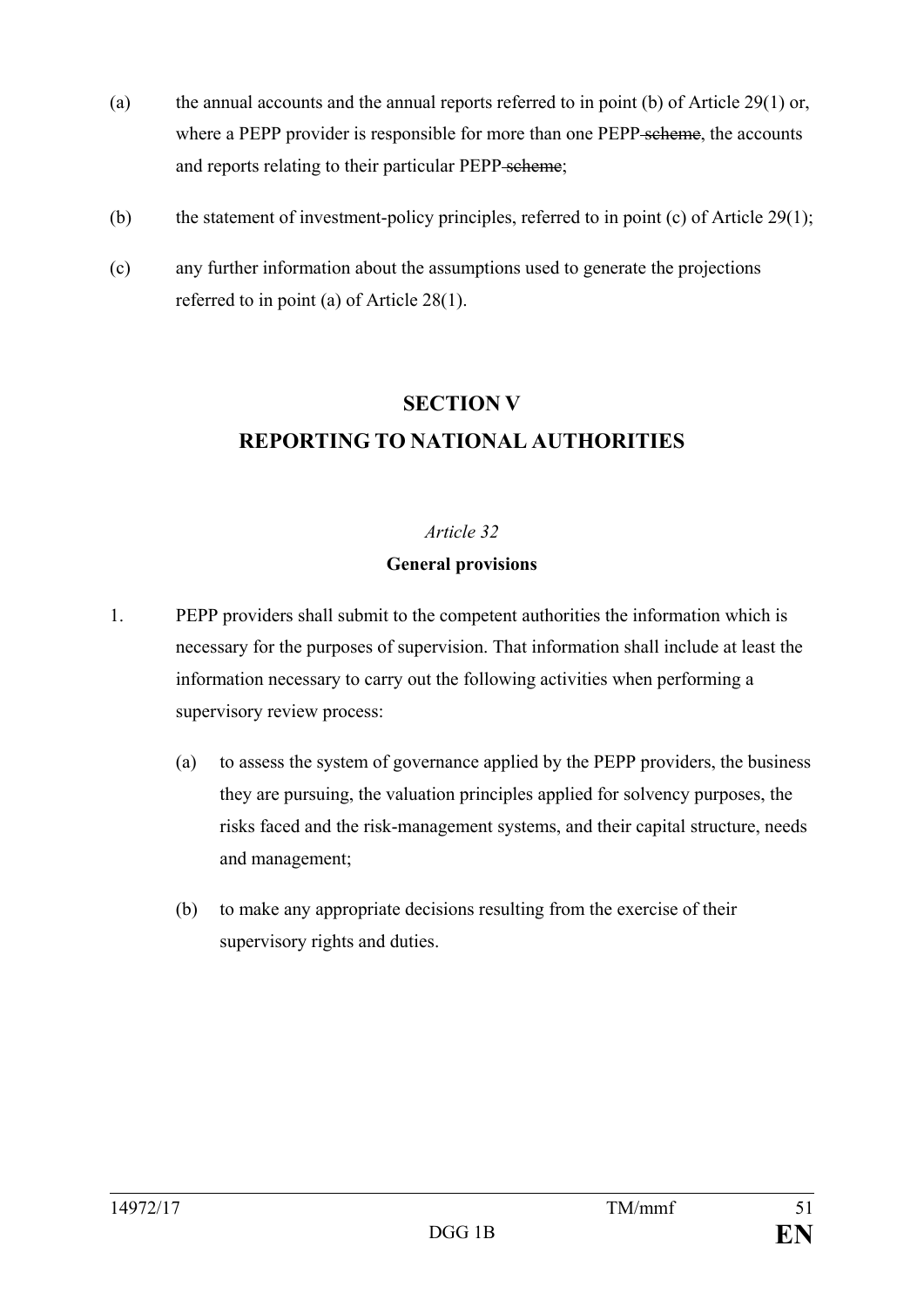- (a) the annual accounts and the annual reports referred to in point (b) of Article 29(1) or, where a PEPP provider is responsible for more than one PEPP scheme, the accounts and reports relating to their particular PEPP scheme;
- (b) the statement of investment-policy principles, referred to in point (c) of Article 29(1);
- (c) any further information about the assumptions used to generate the projections referred to in point (a) of Article 28(1).

## **SECTION V REPORTING TO NATIONAL AUTHORITIES**

#### *Article 32*

#### **General provisions**

- 1. PEPP providers shall submit to the competent authorities the information which is necessary for the purposes of supervision. That information shall include at least the information necessary to carry out the following activities when performing a supervisory review process:
	- (a) to assess the system of governance applied by the PEPP providers, the business they are pursuing, the valuation principles applied for solvency purposes, the risks faced and the risk-management systems, and their capital structure, needs and management;
	- (b) to make any appropriate decisions resulting from the exercise of their supervisory rights and duties.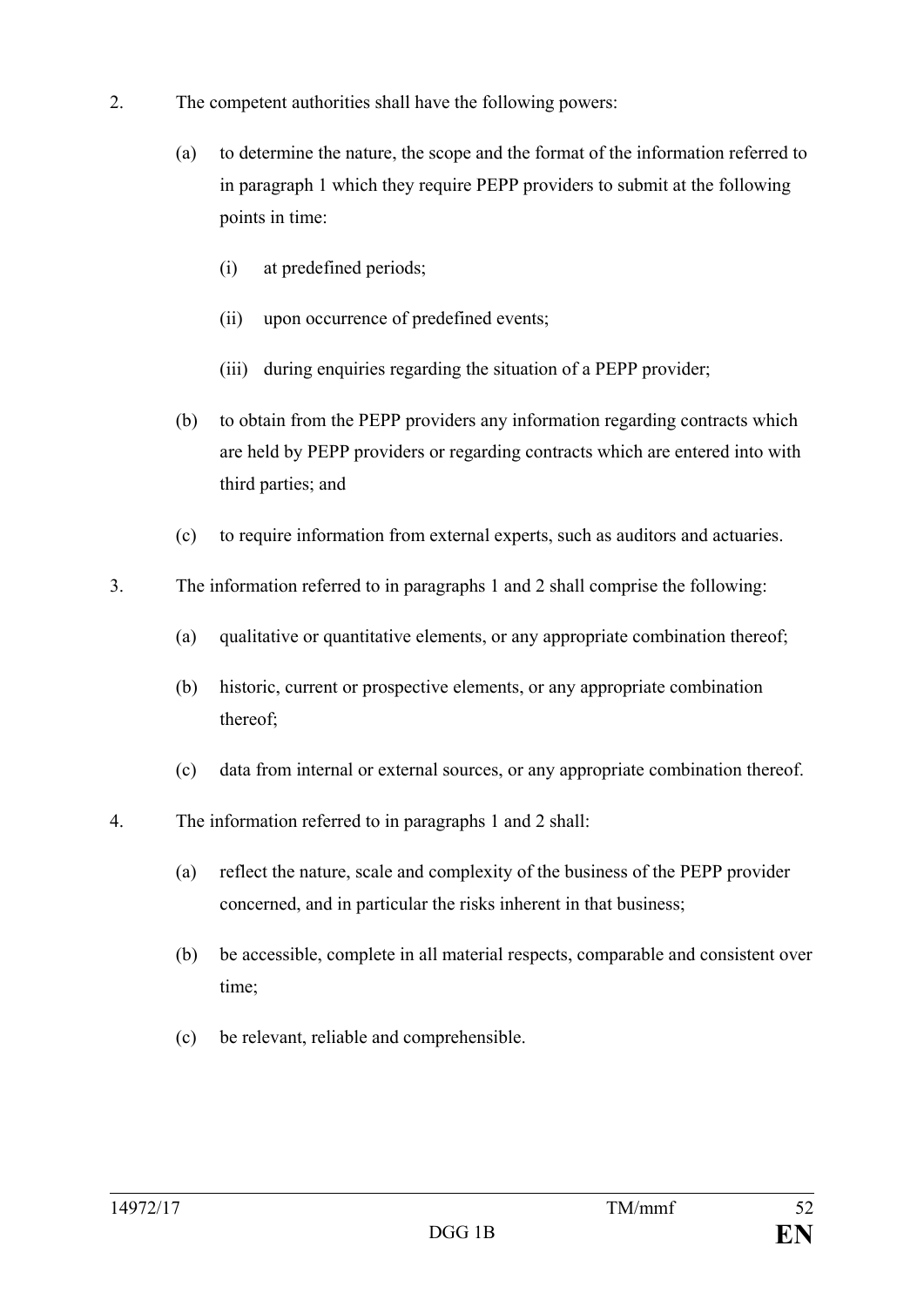- 2. The competent authorities shall have the following powers:
	- (a) to determine the nature, the scope and the format of the information referred to in paragraph 1 which they require PEPP providers to submit at the following points in time:
		- (i) at predefined periods;
		- (ii) upon occurrence of predefined events;
		- (iii) during enquiries regarding the situation of a PEPP provider;
	- (b) to obtain from the PEPP providers any information regarding contracts which are held by PEPP providers or regarding contracts which are entered into with third parties; and
	- (c) to require information from external experts, such as auditors and actuaries.
- 3. The information referred to in paragraphs 1 and 2 shall comprise the following:
	- (a) qualitative or quantitative elements, or any appropriate combination thereof;
	- (b) historic, current or prospective elements, or any appropriate combination thereof;
	- (c) data from internal or external sources, or any appropriate combination thereof.
- 4. The information referred to in paragraphs 1 and 2 shall:
	- (a) reflect the nature, scale and complexity of the business of the PEPP provider concerned, and in particular the risks inherent in that business;
	- (b) be accessible, complete in all material respects, comparable and consistent over time;
	- (c) be relevant, reliable and comprehensible.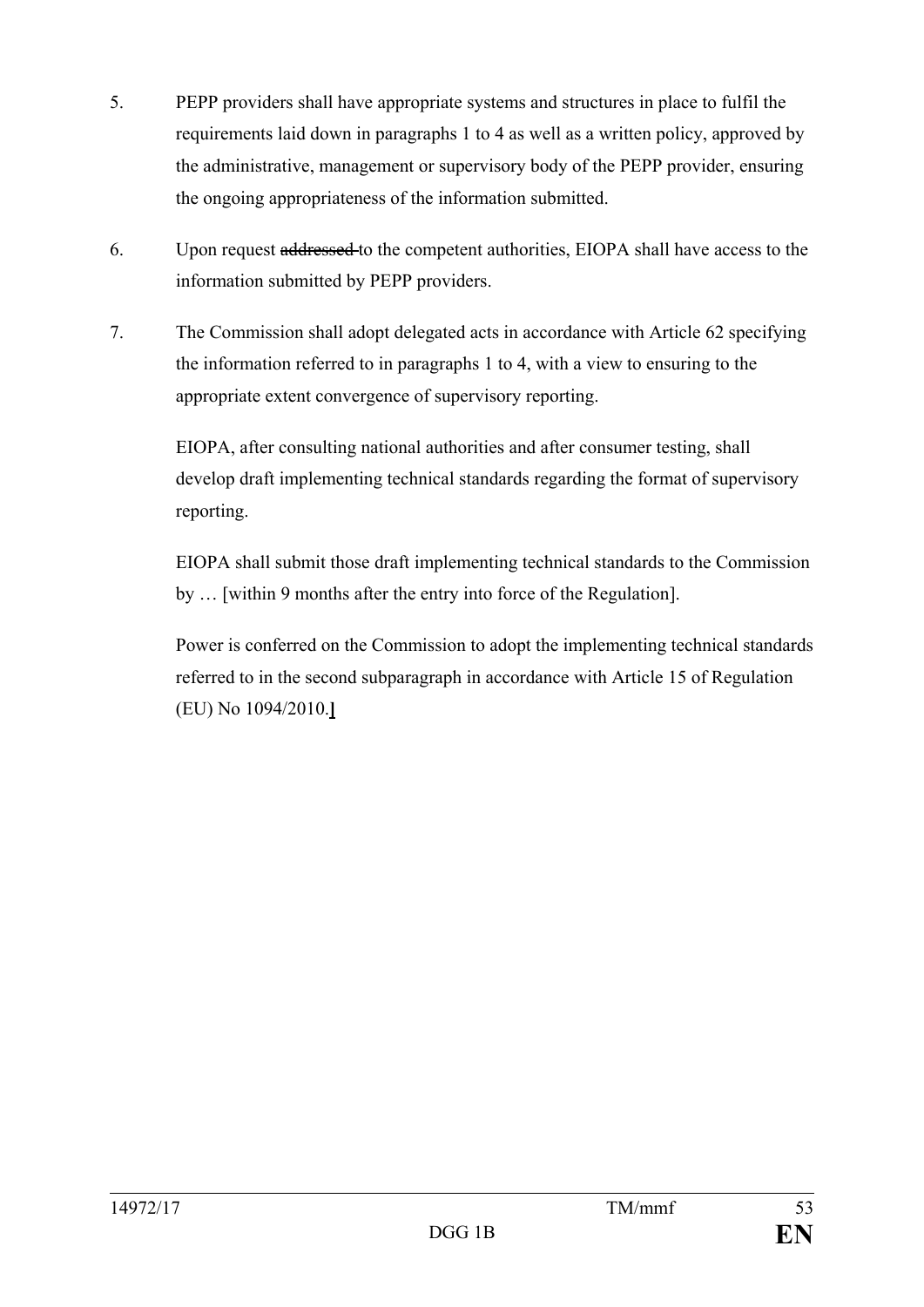- 5. PEPP providers shall have appropriate systems and structures in place to fulfil the requirements laid down in paragraphs 1 to 4 as well as a written policy, approved by the administrative, management or supervisory body of the PEPP provider, ensuring the ongoing appropriateness of the information submitted.
- 6. Upon request addressed to the competent authorities, EIOPA shall have access to the information submitted by PEPP providers.
- 7. The Commission shall adopt delegated acts in accordance with Article 62 specifying the information referred to in paragraphs 1 to 4, with a view to ensuring to the appropriate extent convergence of supervisory reporting.

EIOPA, after consulting national authorities and after consumer testing, shall develop draft implementing technical standards regarding the format of supervisory reporting.

EIOPA shall submit those draft implementing technical standards to the Commission by … [within 9 months after the entry into force of the Regulation].

Power is conferred on the Commission to adopt the implementing technical standards referred to in the second subparagraph in accordance with Article 15 of Regulation (EU) No 1094/2010.**]**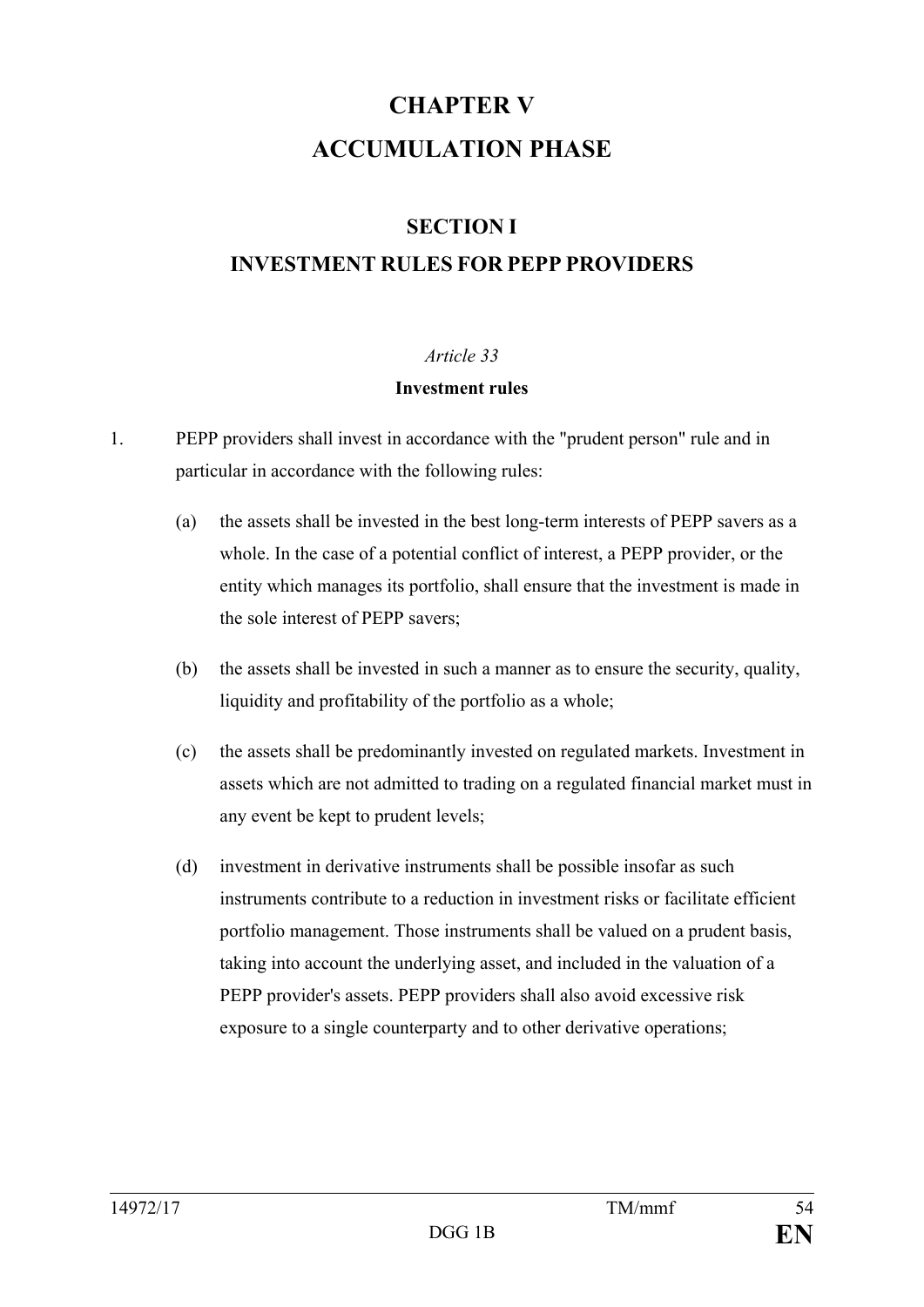# **CHAPTER V ACCUMULATION PHASE**

## **SECTION I**

## **INVESTMENT RULES FOR PEPP PROVIDERS**

## *Article 33*

#### **Investment rules**

- 1. PEPP providers shall invest in accordance with the "prudent person" rule and in particular in accordance with the following rules:
	- (a) the assets shall be invested in the best long-term interests of PEPP savers as a whole. In the case of a potential conflict of interest, a PEPP provider, or the entity which manages its portfolio, shall ensure that the investment is made in the sole interest of PEPP savers;
	- (b) the assets shall be invested in such a manner as to ensure the security, quality, liquidity and profitability of the portfolio as a whole;
	- (c) the assets shall be predominantly invested on regulated markets. Investment in assets which are not admitted to trading on a regulated financial market must in any event be kept to prudent levels;
	- (d) investment in derivative instruments shall be possible insofar as such instruments contribute to a reduction in investment risks or facilitate efficient portfolio management. Those instruments shall be valued on a prudent basis, taking into account the underlying asset, and included in the valuation of a PEPP provider's assets. PEPP providers shall also avoid excessive risk exposure to a single counterparty and to other derivative operations;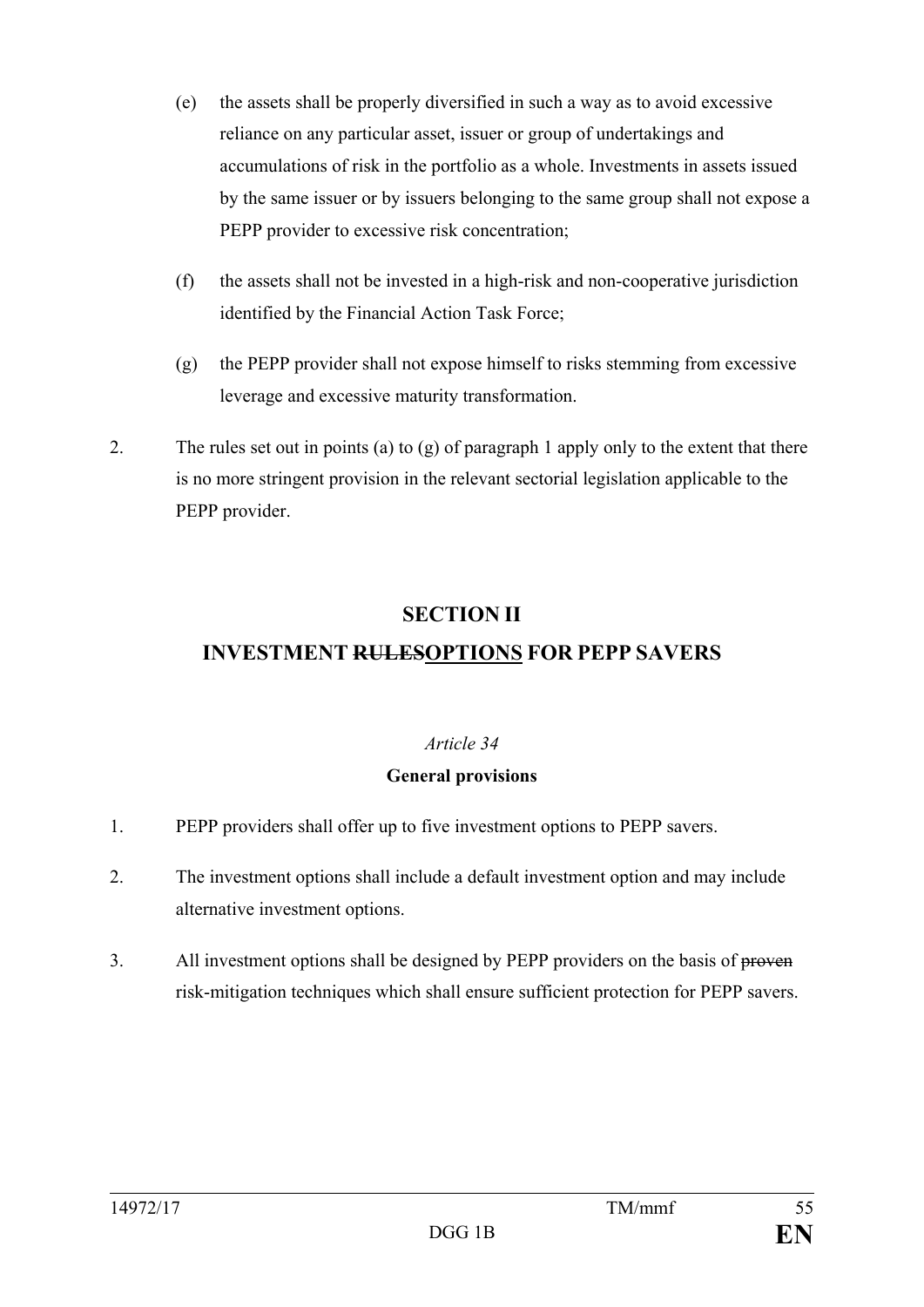- (e) the assets shall be properly diversified in such a way as to avoid excessive reliance on any particular asset, issuer or group of undertakings and accumulations of risk in the portfolio as a whole. Investments in assets issued by the same issuer or by issuers belonging to the same group shall not expose a PEPP provider to excessive risk concentration:
- (f) the assets shall not be invested in a high-risk and non-cooperative jurisdiction identified by the Financial Action Task Force;
- (g) the PEPP provider shall not expose himself to risks stemming from excessive leverage and excessive maturity transformation.
- 2. The rules set out in points (a) to (g) of paragraph 1 apply only to the extent that there is no more stringent provision in the relevant sectorial legislation applicable to the PEPP provider.

## **SECTION II INVESTMENT RULESOPTIONS FOR PEPP SAVERS**

## *Article 34*

#### **General provisions**

- 1. PEPP providers shall offer up to five investment options to PEPP savers.
- 2. The investment options shall include a default investment option and may include alternative investment options.
- 3. All investment options shall be designed by PEPP providers on the basis of proven risk-mitigation techniques which shall ensure sufficient protection for PEPP savers.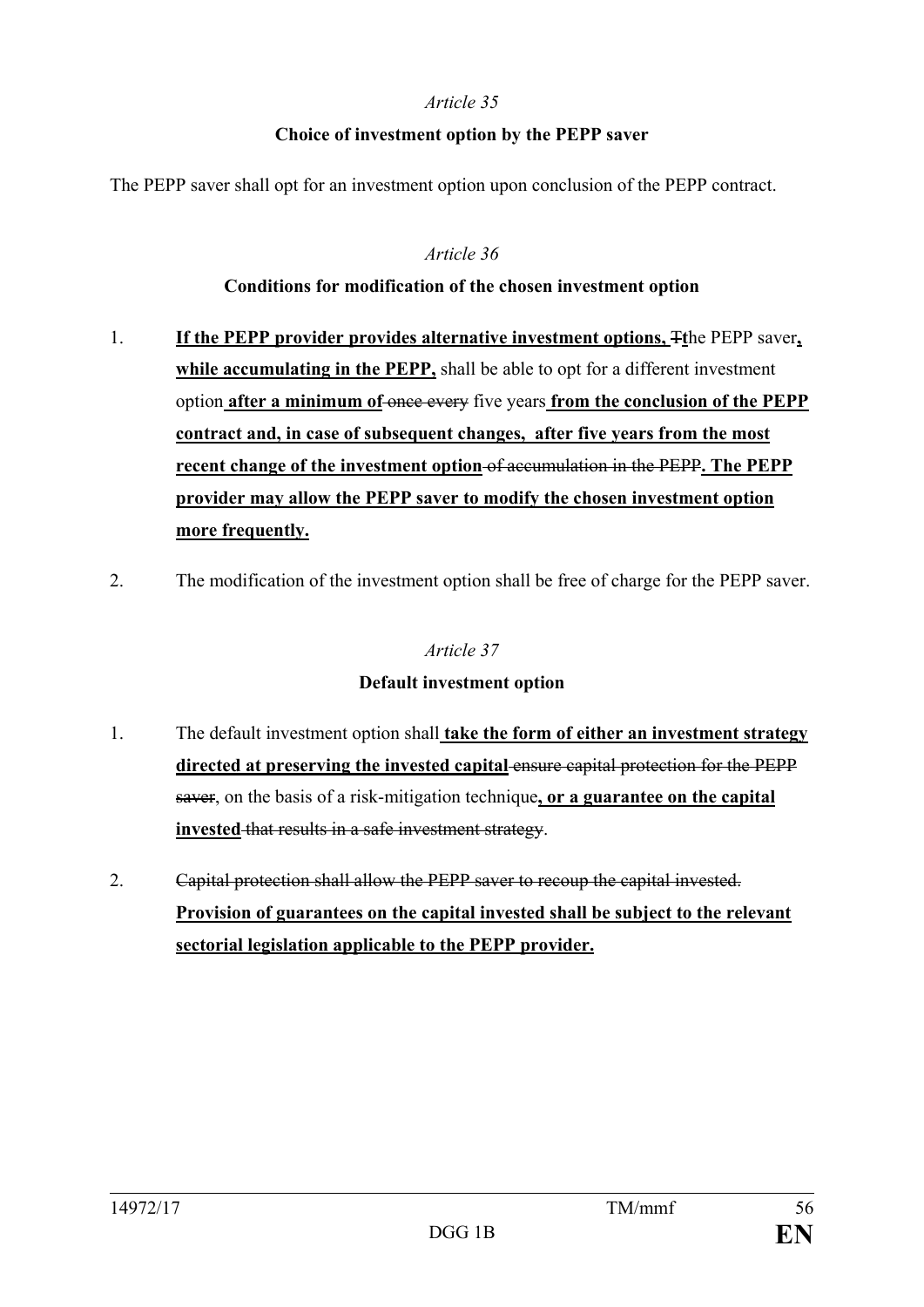#### **Choice of investment option by the PEPP saver**

The PEPP saver shall opt for an investment option upon conclusion of the PEPP contract.

#### *Article 36*

#### **Conditions for modification of the chosen investment option**

- 1. **If the PEPP provider provides alternative investment options,** T**t**he PEPP saver**, while accumulating in the PEPP,** shall be able to opt for a different investment option **after a minimum of** once every five years **from the conclusion of the PEPP contract and, in case of subsequent changes, after five years from the most recent change of the investment option** of accumulation in the PEPP**. The PEPP provider may allow the PEPP saver to modify the chosen investment option more frequently.**
- 2. The modification of the investment option shall be free of charge for the PEPP saver.

#### *Article 37*

#### **Default investment option**

- 1. The default investment option shall **take the form of either an investment strategy directed at preserving the invested capital** ensure capital protection for the PEPP saver, on the basis of a risk-mitigation technique**, or a guarantee on the capital invested** that results in a safe investment strategy.
- 2. Capital protection shall allow the PEPP saver to recoup the capital invested. **Provision of guarantees on the capital invested shall be subject to the relevant sectorial legislation applicable to the PEPP provider.**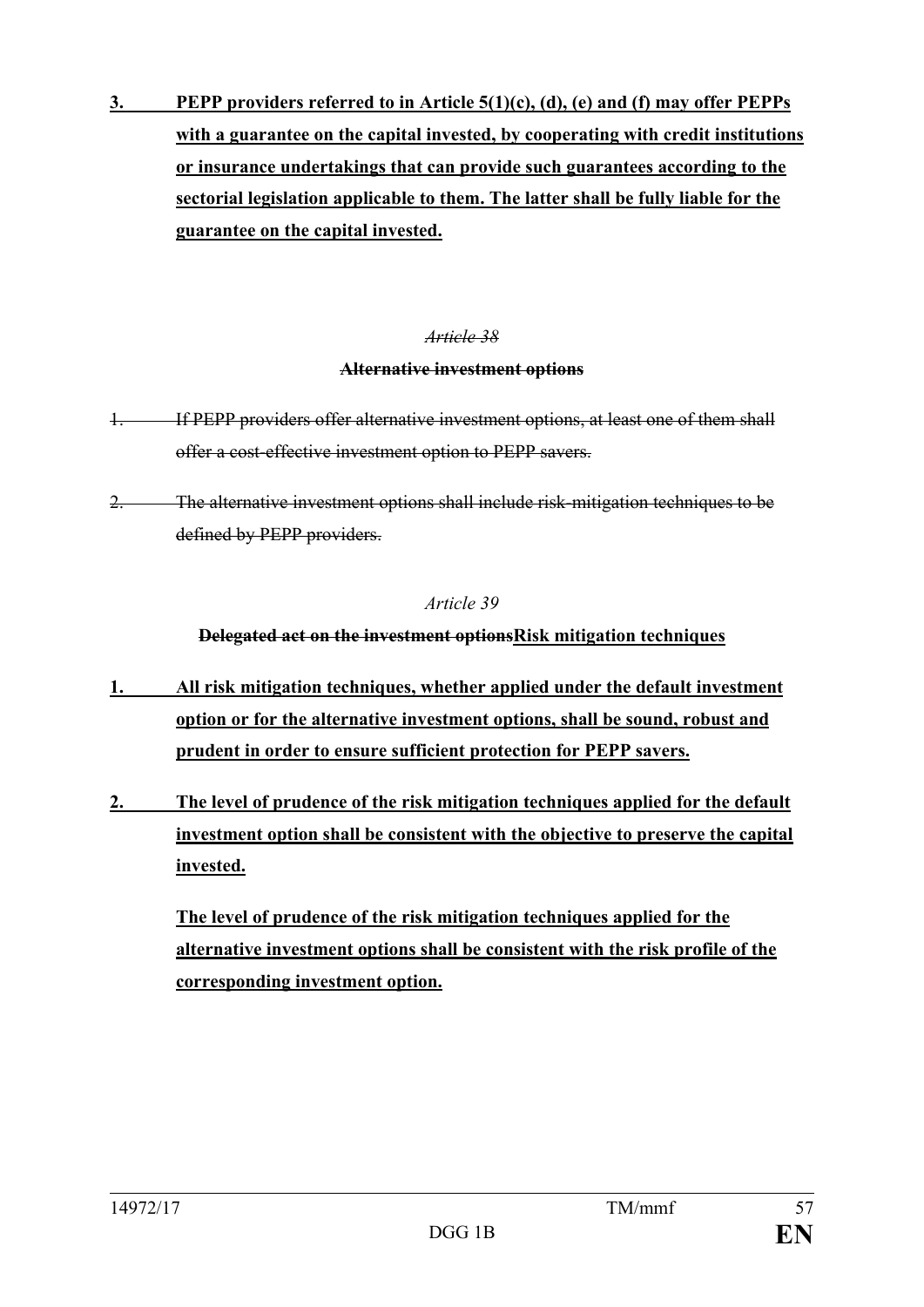**3. PEPP providers referred to in Article 5(1)(c), (d), (e) and (f) may offer PEPPs with a guarantee on the capital invested, by cooperating with credit institutions or insurance undertakings that can provide such guarantees according to the sectorial legislation applicable to them. The latter shall be fully liable for the guarantee on the capital invested.**

#### *Article 38*

#### **Alternative investment options**

- 1. If PEPP providers offer alternative investment options, at least one of them shall offer a cost-effective investment option to PEPP savers.
- 2. The alternative investment options shall include risk-mitigation techniques to be defined by PEPP providers.

#### *Article 39*

**Delegated act on the investment optionsRisk mitigation techniques**

- **1. All risk mitigation techniques, whether applied under the default investment option or for the alternative investment options, shall be sound, robust and prudent in order to ensure sufficient protection for PEPP savers.**
- **2. The level of prudence of the risk mitigation techniques applied for the default investment option shall be consistent with the objective to preserve the capital invested.**

**The level of prudence of the risk mitigation techniques applied for the alternative investment options shall be consistent with the risk profile of the corresponding investment option.**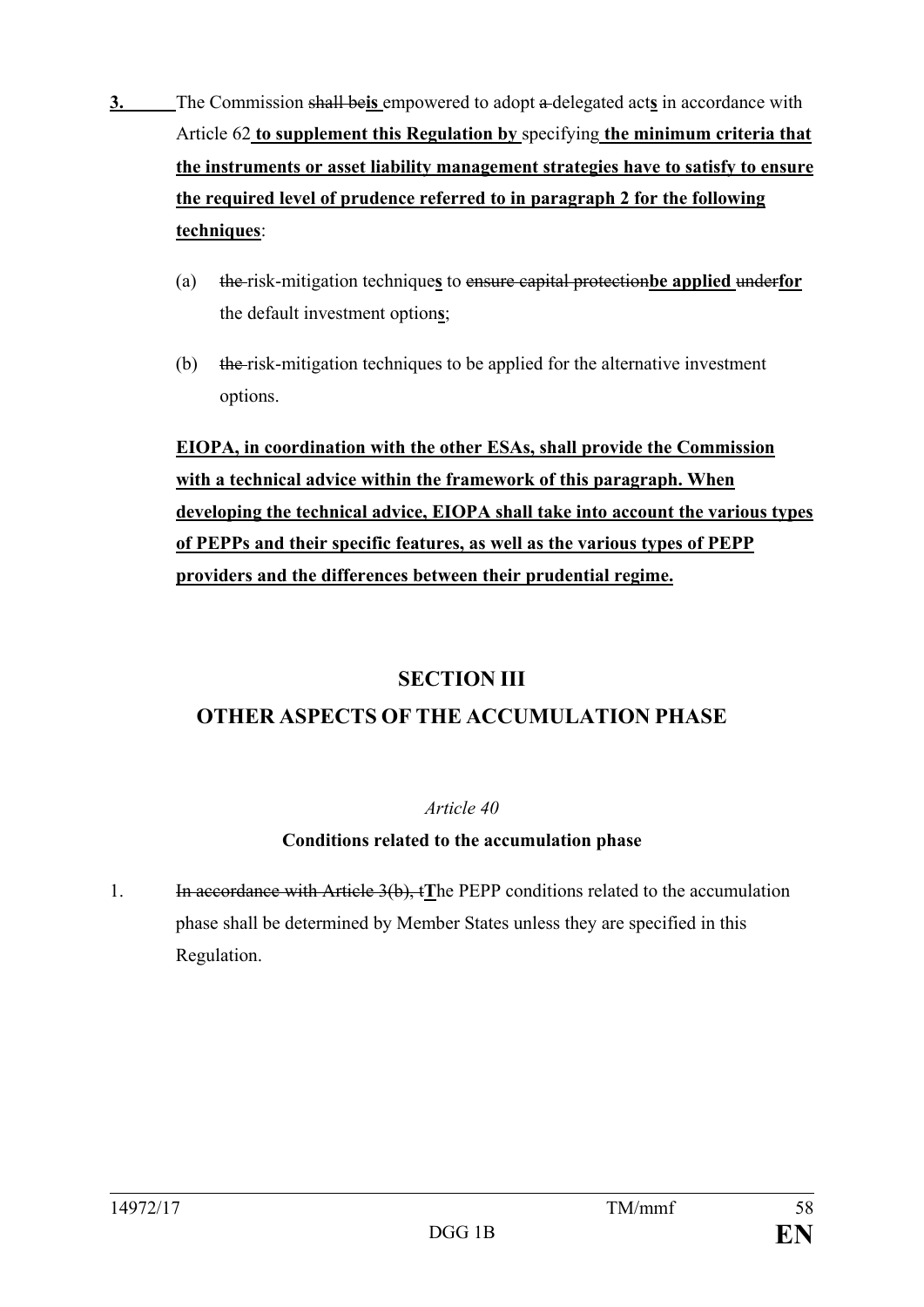- **3.** The Commission shall be**is** empowered to adopt a delegated act**s** in accordance with Article 62 **to supplement this Regulation by** specifying **the minimum criteria that the instruments or asset liability management strategies have to satisfy to ensure the required level of prudence referred to in paragraph 2 for the following techniques**:
	- (a) the risk-mitigation technique**s** to ensure capital protection**be applied** under**for** the default investment option**s**;
	- (b) the risk-mitigation techniques to be applied for the alternative investment options.

**EIOPA, in coordination with the other ESAs, shall provide the Commission with a technical advice within the framework of this paragraph. When developing the technical advice, EIOPA shall take into account the various types of PEPPs and their specific features, as well as the various types of PEPP providers and the differences between their prudential regime.**

## **SECTION III**

## **OTHER ASPECTS OF THE ACCUMULATION PHASE**

## *Article 40*

## **Conditions related to the accumulation phase**

1. In accordance with Article 3(b), t**T**he PEPP conditions related to the accumulation phase shall be determined by Member States unless they are specified in this Regulation.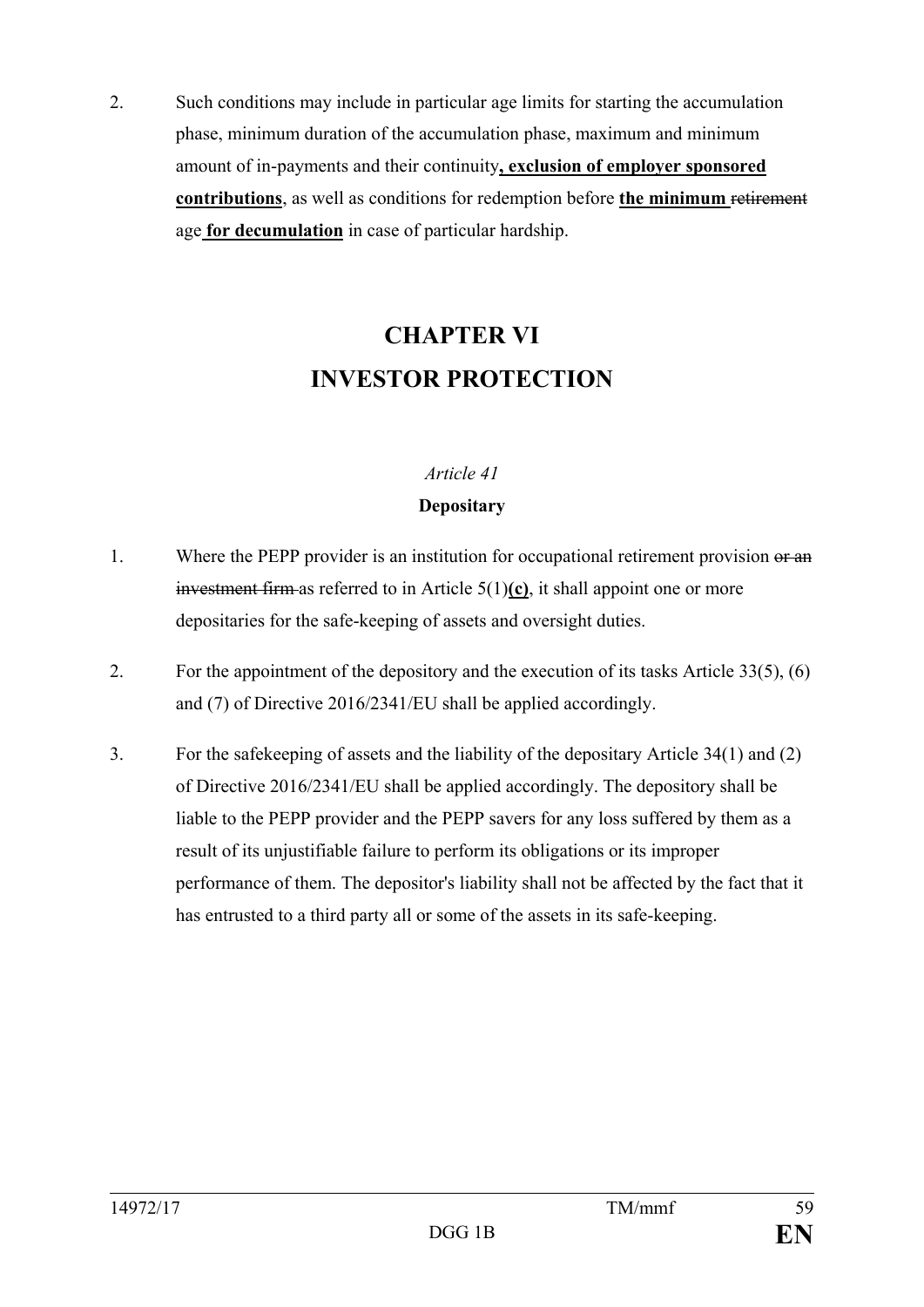2. Such conditions may include in particular age limits for starting the accumulation phase, minimum duration of the accumulation phase, maximum and minimum amount of in-payments and their continuity**, exclusion of employer sponsored contributions**, as well as conditions for redemption before **the minimum** retirement age **for decumulation** in case of particular hardship.

# **CHAPTER VI INVESTOR PROTECTION**

#### *Article 41*

#### **Depositary**

- 1. Where the PEPP provider is an institution for occupational retirement provision or an investment firm as referred to in Article 5(1)**(c)**, it shall appoint one or more depositaries for the safe-keeping of assets and oversight duties.
- 2. For the appointment of the depository and the execution of its tasks Article 33(5), (6) and (7) of Directive 2016/2341/EU shall be applied accordingly.
- 3. For the safekeeping of assets and the liability of the depositary Article 34(1) and (2) of Directive 2016/2341/EU shall be applied accordingly. The depository shall be liable to the PEPP provider and the PEPP savers for any loss suffered by them as a result of its unjustifiable failure to perform its obligations or its improper performance of them. The depositor's liability shall not be affected by the fact that it has entrusted to a third party all or some of the assets in its safe-keeping.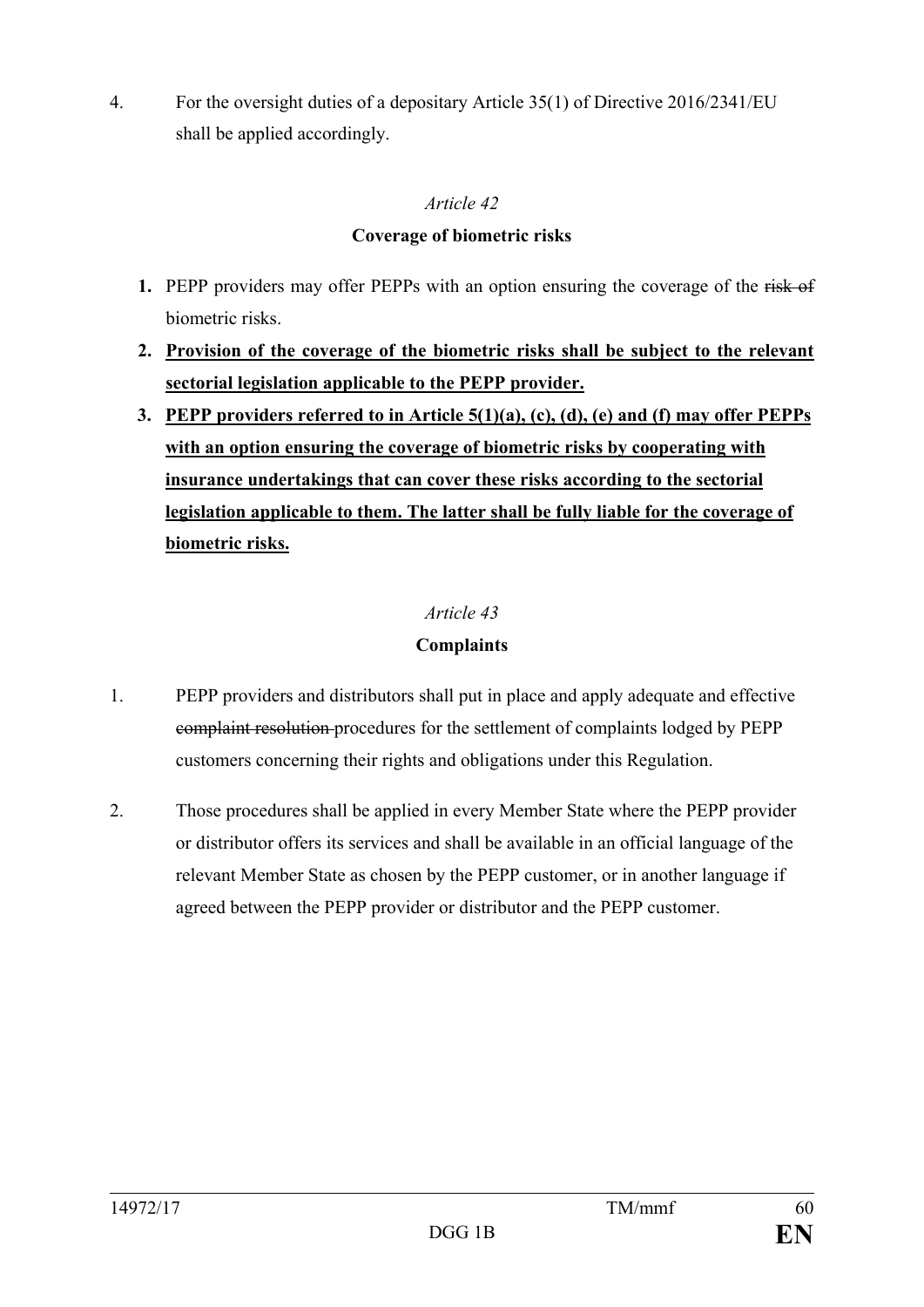4. For the oversight duties of a depositary Article 35(1) of Directive 2016/2341/EU shall be applied accordingly.

#### *Article 42*

#### **Coverage of biometric risks**

- **1.** PEPP providers may offer PEPPs with an option ensuring the coverage of the risk of biometric risks.
- **2. Provision of the coverage of the biometric risks shall be subject to the relevant sectorial legislation applicable to the PEPP provider.**
- **3. PEPP providers referred to in Article 5(1)(a), (c), (d), (e) and (f) may offer PEPPs with an option ensuring the coverage of biometric risks by cooperating with insurance undertakings that can cover these risks according to the sectorial legislation applicable to them. The latter shall be fully liable for the coverage of biometric risks.**

## *Article 43*

## **Complaints**

- 1. PEPP providers and distributors shall put in place and apply adequate and effective complaint resolution procedures for the settlement of complaints lodged by PEPP customers concerning their rights and obligations under this Regulation.
- 2. Those procedures shall be applied in every Member State where the PEPP provider or distributor offers its services and shall be available in an official language of the relevant Member State as chosen by the PEPP customer, or in another language if agreed between the PEPP provider or distributor and the PEPP customer.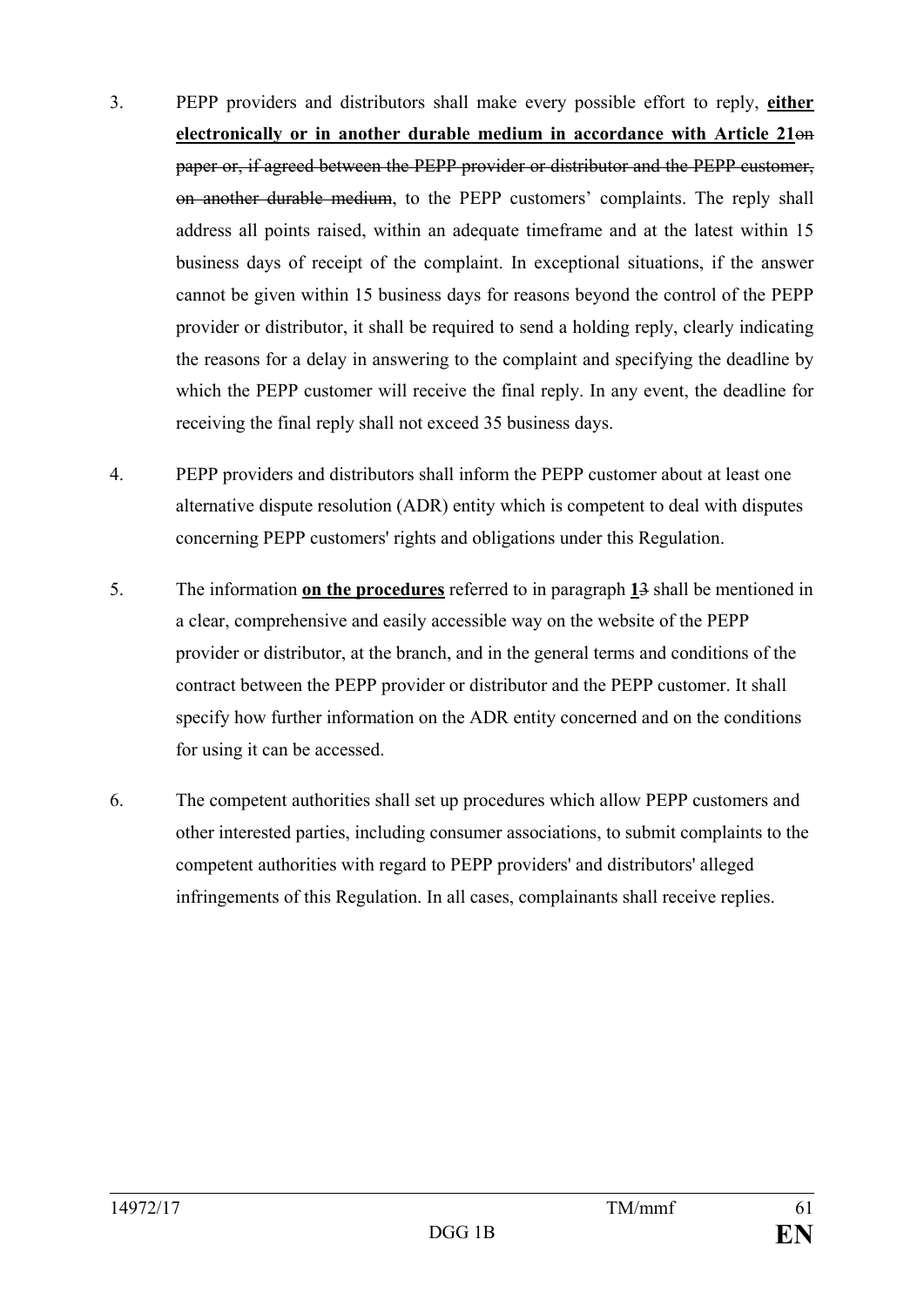- 3. PEPP providers and distributors shall make every possible effort to reply, **either electronically or in another durable medium in accordance with Article 21**on paper or, if agreed between the PEPP provider or distributor and the PEPP customer, on another durable medium, to the PEPP customers' complaints. The reply shall address all points raised, within an adequate timeframe and at the latest within 15 business days of receipt of the complaint. In exceptional situations, if the answer cannot be given within 15 business days for reasons beyond the control of the PEPP provider or distributor, it shall be required to send a holding reply, clearly indicating the reasons for a delay in answering to the complaint and specifying the deadline by which the PEPP customer will receive the final reply. In any event, the deadline for receiving the final reply shall not exceed 35 business days.
- 4. PEPP providers and distributors shall inform the PEPP customer about at least one alternative dispute resolution (ADR) entity which is competent to deal with disputes concerning PEPP customers' rights and obligations under this Regulation.
- 5. The information **on the procedures** referred to in paragraph **1**3 shall be mentioned in a clear, comprehensive and easily accessible way on the website of the PEPP provider or distributor, at the branch, and in the general terms and conditions of the contract between the PEPP provider or distributor and the PEPP customer. It shall specify how further information on the ADR entity concerned and on the conditions for using it can be accessed.
- 6. The competent authorities shall set up procedures which allow PEPP customers and other interested parties, including consumer associations, to submit complaints to the competent authorities with regard to PEPP providers' and distributors' alleged infringements of this Regulation. In all cases, complainants shall receive replies.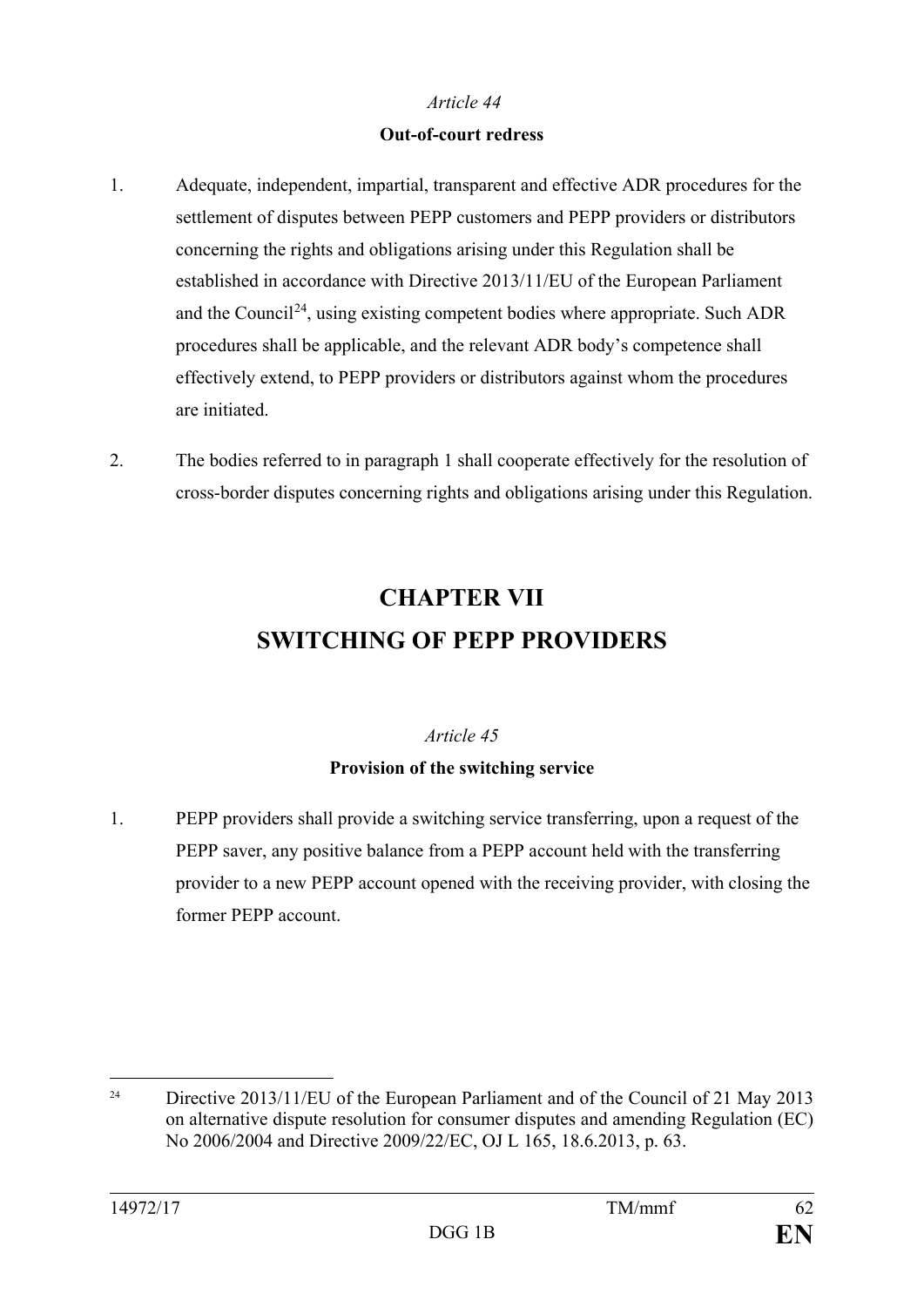#### **Out-of-court redress**

- 1. Adequate, independent, impartial, transparent and effective ADR procedures for the settlement of disputes between PEPP customers and PEPP providers or distributors concerning the rights and obligations arising under this Regulation shall be established in accordance with Directive 2013/11/EU of the European Parliament and the Council<sup>24</sup>, using existing competent bodies where appropriate. Such ADR procedures shall be applicable, and the relevant ADR body's competence shall effectively extend, to PEPP providers or distributors against whom the procedures are initiated.
- 2. The bodies referred to in paragraph 1 shall cooperate effectively for the resolution of cross-border disputes concerning rights and obligations arising under this Regulation.

# **CHAPTER VII SWITCHING OF PEPP PROVIDERS**

#### *Article 45*

## **Provision of the switching service**

1. PEPP providers shall provide a switching service transferring, upon a request of the PEPP saver, any positive balance from a PEPP account held with the transferring provider to a new PEPP account opened with the receiving provider, with closing the former PEPP account.

<span id="page-62-0"></span><sup>&</sup>lt;sup>24</sup> Directive 2013/11/EU of the European Parliament and of the Council of 21 May 2013 on alternative dispute resolution for consumer disputes and amending Regulation (EC) No 2006/2004 and Directive 2009/22/EC, OJ L 165, 18.6.2013, p. 63.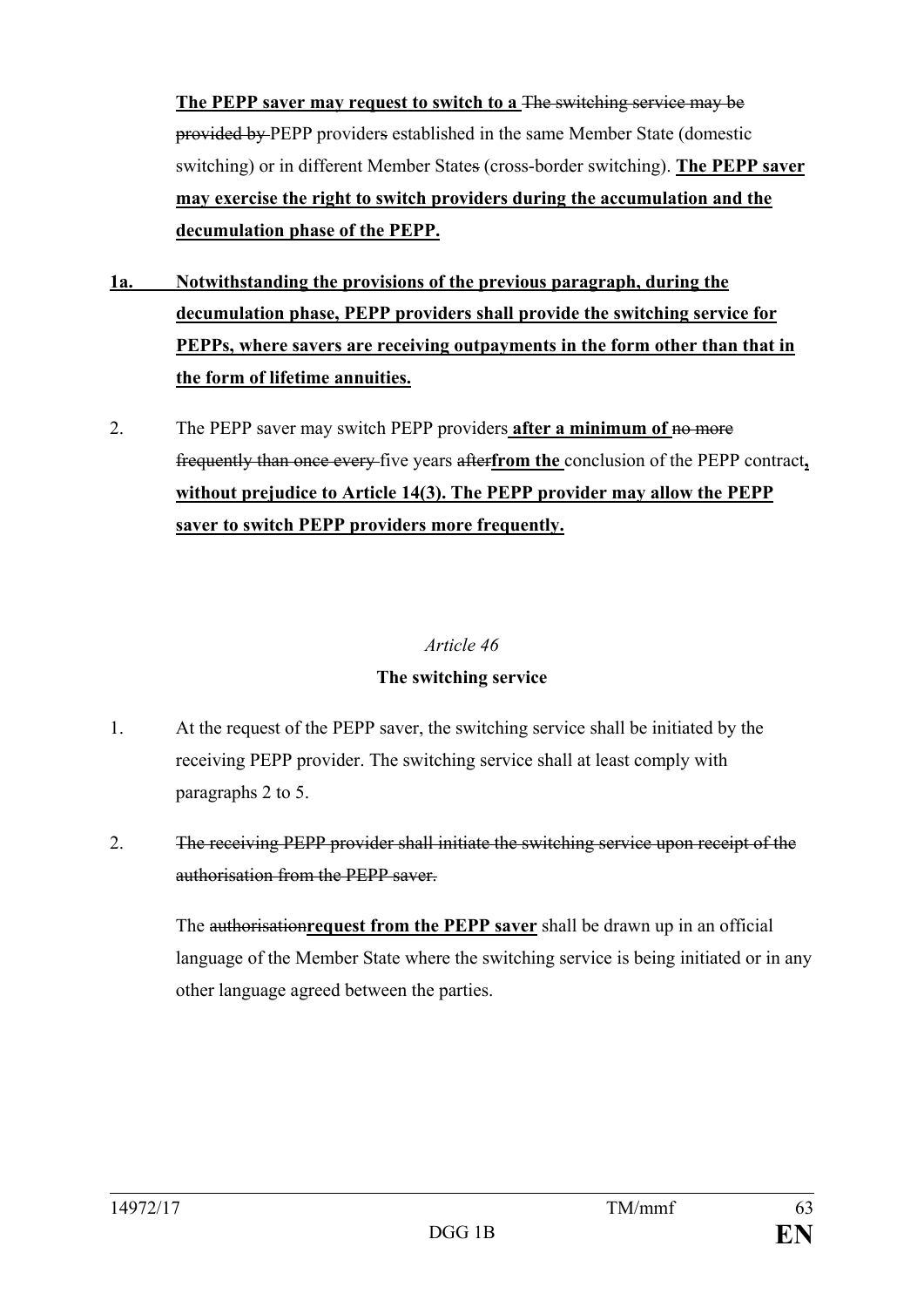The PEPP saver may request to switch to a <del>The switching service may be</del> provided by PEPP providers established in the same Member State (domestic switching) or in different Member States (cross-border switching). **The PEPP saver may exercise the right to switch providers during the accumulation and the decumulation phase of the PEPP.**

- **1a. Notwithstanding the provisions of the previous paragraph, during the decumulation phase, PEPP providers shall provide the switching service for PEPPs, where savers are receiving outpayments in the form other than that in the form of lifetime annuities.**
- 2. The PEPP saver may switch PEPP providers **after a minimum of** no more frequently than once every five years after**from the** conclusion of the PEPP contract**, without prejudice to Article 14(3). The PEPP provider may allow the PEPP saver to switch PEPP providers more frequently.**

#### *Article 46*

#### **The switching service**

- 1. At the request of the PEPP saver, the switching service shall be initiated by the receiving PEPP provider. The switching service shall at least comply with paragraphs 2 to 5.
- 2. The receiving PEPP provider shall initiate the switching service upon receipt of the authorisation from the PEPP saver.

The authorisation**request from the PEPP saver** shall be drawn up in an official language of the Member State where the switching service is being initiated or in any other language agreed between the parties.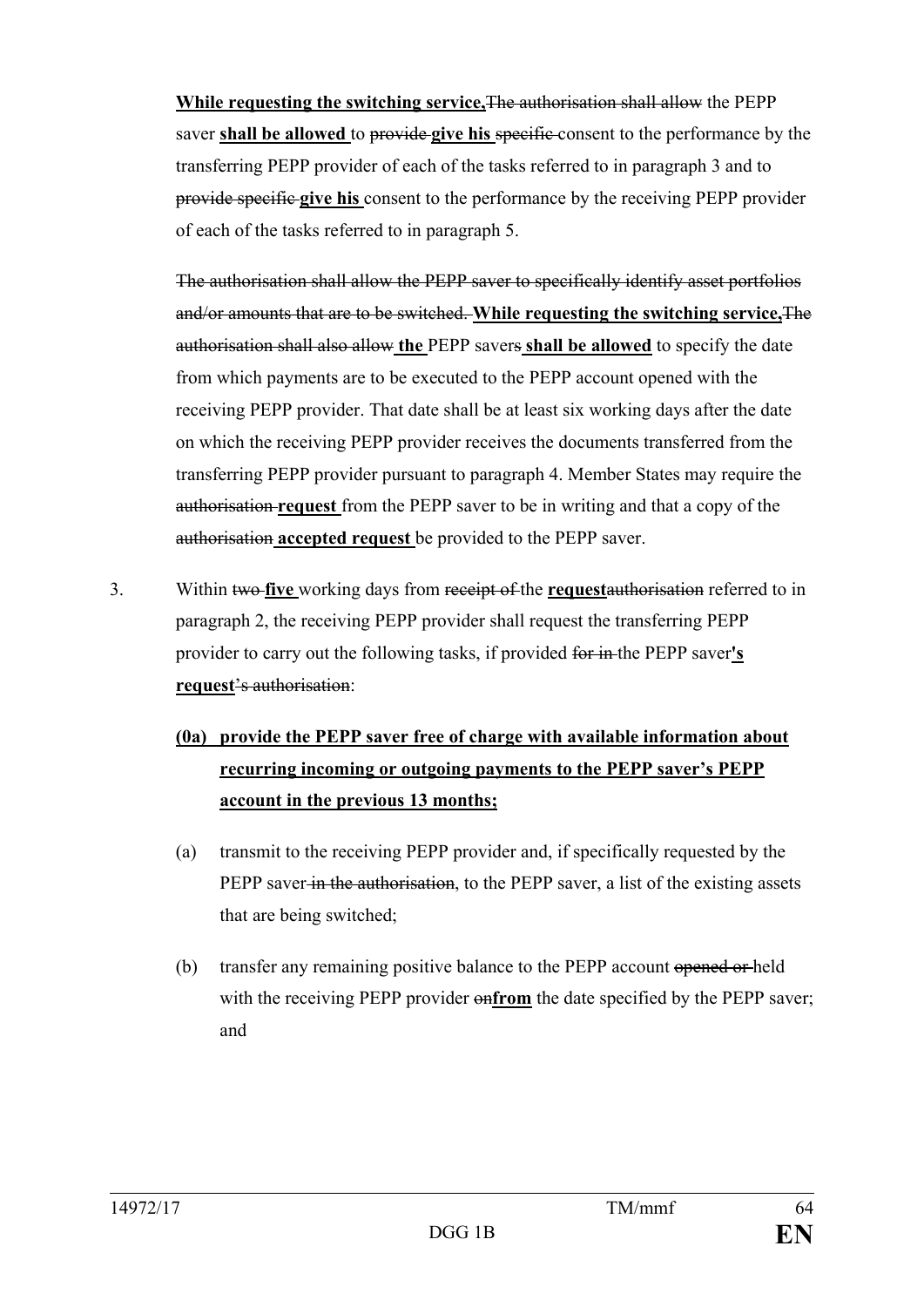**While requesting the switching service,**The authorisation shall allow the PEPP saver **shall be allowed** to provide **give his** specific consent to the performance by the transferring PEPP provider of each of the tasks referred to in paragraph 3 and to provide specific **give his** consent to the performance by the receiving PEPP provider of each of the tasks referred to in paragraph 5.

The authorisation shall allow the PEPP saver to specifically identify asset portfolios and/or amounts that are to be switched. **While requesting the switching service,**The authorisation shall also allow **the** PEPP savers **shall be allowed** to specify the date from which payments are to be executed to the PEPP account opened with the receiving PEPP provider. That date shall be at least six working days after the date on which the receiving PEPP provider receives the documents transferred from the transferring PEPP provider pursuant to paragraph 4. Member States may require the authorisation **request** from the PEPP saver to be in writing and that a copy of the authorisation **accepted request** be provided to the PEPP saver.

3. Within two **five** working days from receipt of the **request**authorisation referred to in paragraph 2, the receiving PEPP provider shall request the transferring PEPP provider to carry out the following tasks, if provided for in the PEPP saver**'s request**'s authorisation:

## **(0a) provide the PEPP saver free of charge with available information about recurring incoming or outgoing payments to the PEPP saver's PEPP account in the previous 13 months;**

- (a) transmit to the receiving PEPP provider and, if specifically requested by the PEPP saver in the authorisation, to the PEPP saver, a list of the existing assets that are being switched;
- (b) transfer any remaining positive balance to the PEPP account opened or held with the receiving PEPP provider  $\theta$ **nfrom** the date specified by the PEPP saver; and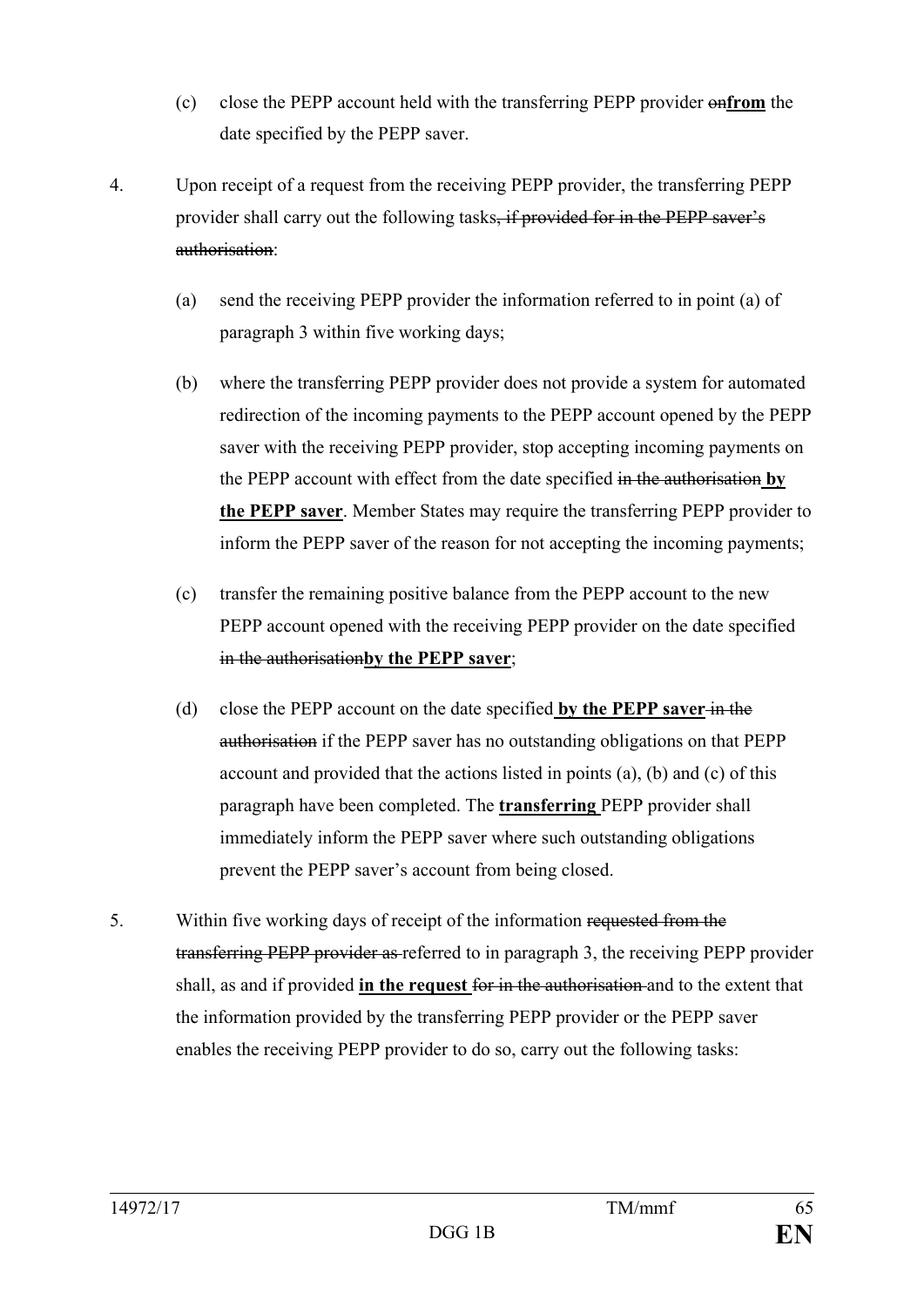- (c) close the PEPP account held with the transferring PEPP provider on**from** the date specified by the PEPP saver.
- 4. Upon receipt of a request from the receiving PEPP provider, the transferring PEPP provider shall carry out the following tasks, if provided for in the PEPP saver's authorisation:
	- (a) send the receiving PEPP provider the information referred to in point (a) of paragraph 3 within five working days;
	- (b) where the transferring PEPP provider does not provide a system for automated redirection of the incoming payments to the PEPP account opened by the PEPP saver with the receiving PEPP provider, stop accepting incoming payments on the PEPP account with effect from the date specified in the authorisation **by the PEPP saver**. Member States may require the transferring PEPP provider to inform the PEPP saver of the reason for not accepting the incoming payments;
	- (c) transfer the remaining positive balance from the PEPP account to the new PEPP account opened with the receiving PEPP provider on the date specified in the authorisation**by the PEPP saver**;
	- (d) close the PEPP account on the date specified **by the PEPP saver** in the authorisation if the PEPP saver has no outstanding obligations on that PEPP account and provided that the actions listed in points (a), (b) and (c) of this paragraph have been completed. The **transferring** PEPP provider shall immediately inform the PEPP saver where such outstanding obligations prevent the PEPP saver's account from being closed.
- 5. Within five working days of receipt of the information requested from the transferring PEPP provider as referred to in paragraph 3, the receiving PEPP provider shall, as and if provided **in the request** for in the authorisation and to the extent that the information provided by the transferring PEPP provider or the PEPP saver enables the receiving PEPP provider to do so, carry out the following tasks: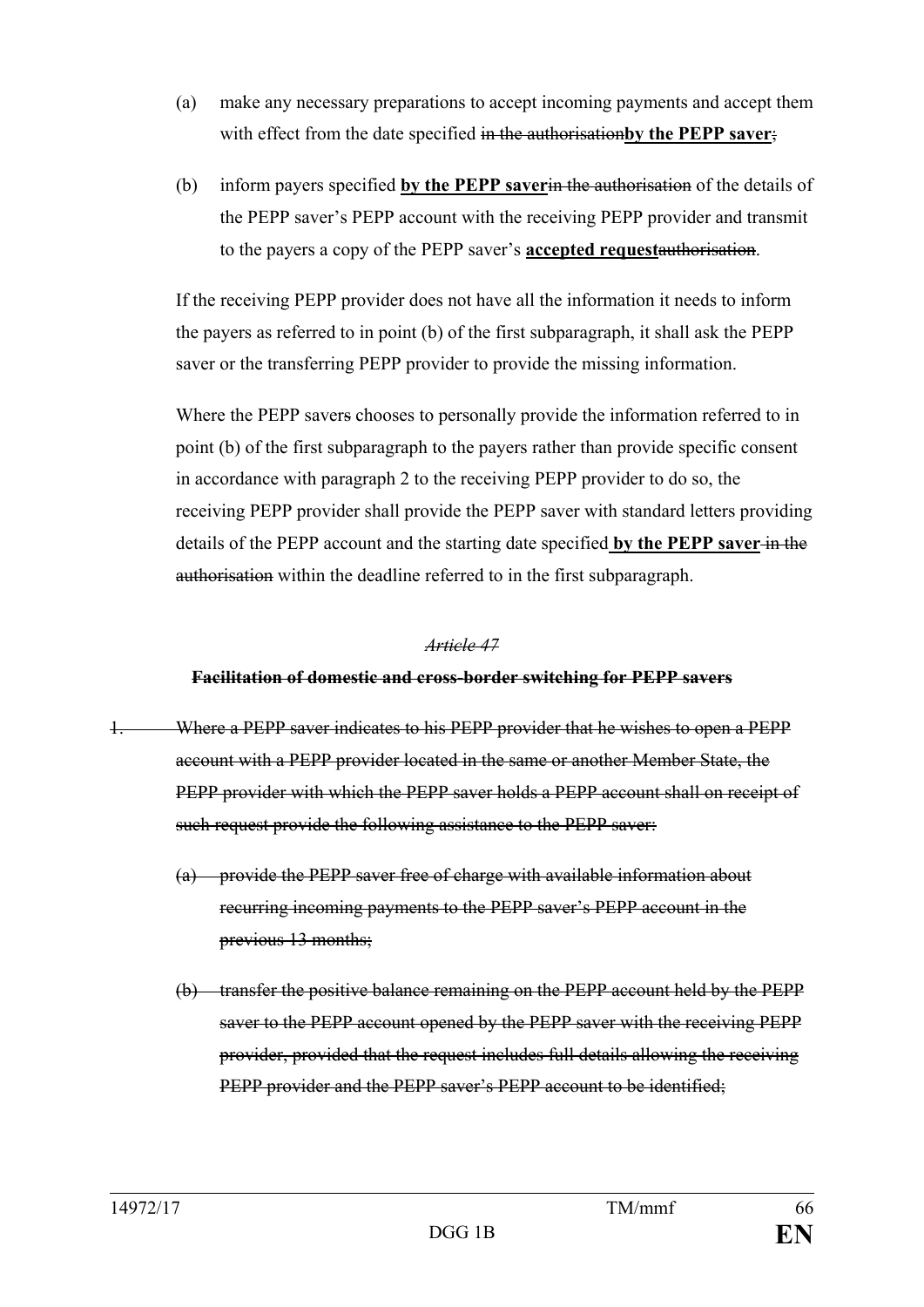- (a) make any necessary preparations to accept incoming payments and accept them with effect from the date specified in the authorisation**by the PEPP saver**;
- (b) inform payers specified **by the PEPP saver**in the authorisation of the details of the PEPP saver's PEPP account with the receiving PEPP provider and transmit to the payers a copy of the PEPP saver's **accepted request**authorisation.

If the receiving PEPP provider does not have all the information it needs to inform the payers as referred to in point (b) of the first subparagraph, it shall ask the PEPP saver or the transferring PEPP provider to provide the missing information.

Where the PEPP savers chooses to personally provide the information referred to in point (b) of the first subparagraph to the payers rather than provide specific consent in accordance with paragraph 2 to the receiving PEPP provider to do so, the receiving PEPP provider shall provide the PEPP saver with standard letters providing details of the PEPP account and the starting date specified **by the PEPP saver** in the authorisation within the deadline referred to in the first subparagraph.

#### *Article 47*

#### **Facilitation of domestic and cross-border switching for PEPP savers**

- 1. Where a PEPP saver indicates to his PEPP provider that he wishes to open a PEPP account with a PEPP provider located in the same or another Member State, the PEPP provider with which the PEPP saver holds a PEPP account shall on receipt of such request provide the following assistance to the PEPP saver:
	- (a) provide the PEPP saver free of charge with available information about recurring incoming payments to the PEPP saver's PEPP account in the previous 13 months;
	- (b) transfer the positive balance remaining on the PEPP account held by the PEPP saver to the PEPP account opened by the PEPP saver with the receiving PEPP provider, provided that the request includes full details allowing the receiving PEPP provider and the PEPP saver's PEPP account to be identified;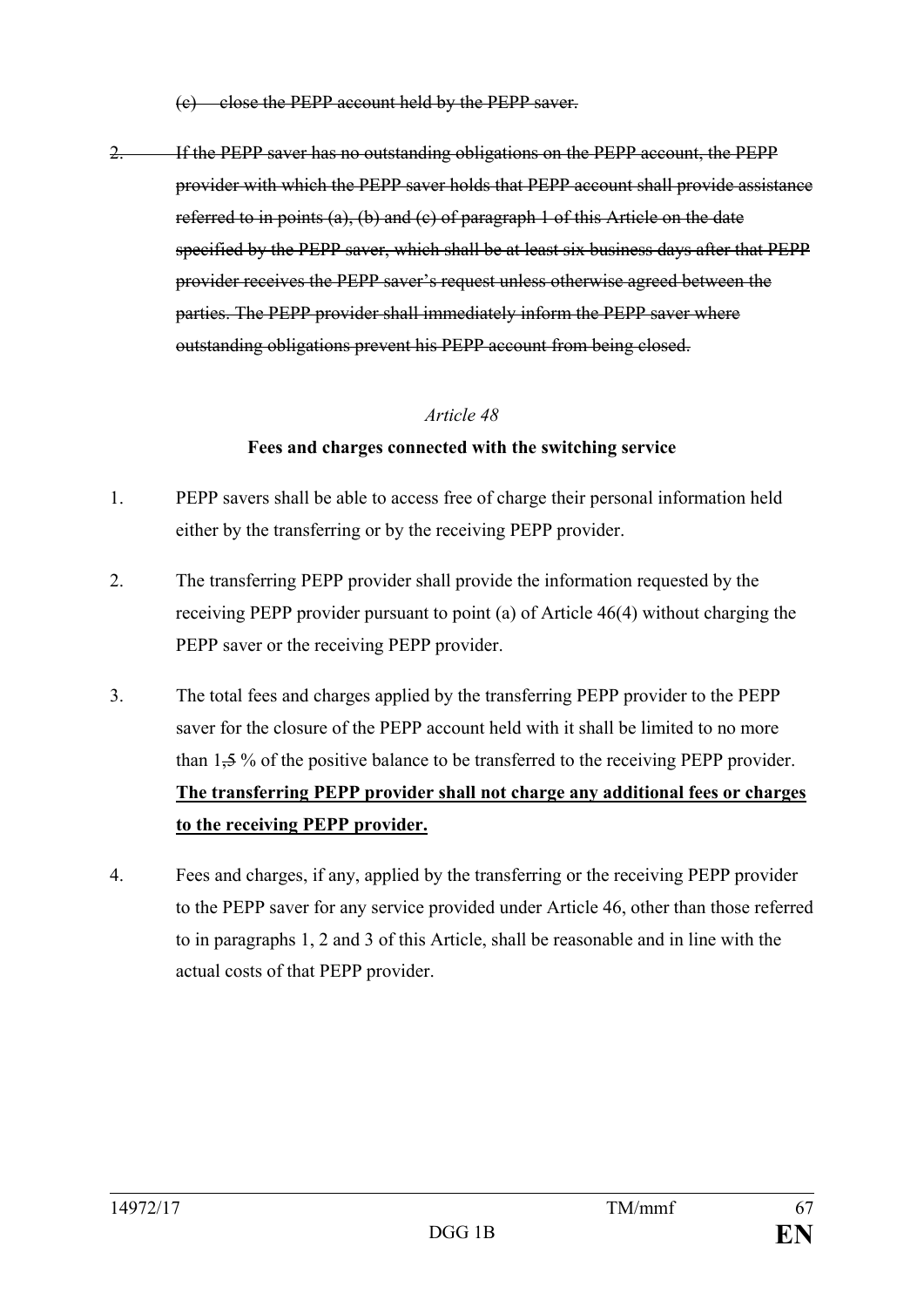(c) close the PEPP account held by the PEPP saver.

2. If the PEPP saver has no outstanding obligations on the PEPP account, the PEPP provider with which the PEPP saver holds that PEPP account shall provide assistance referred to in points (a), (b) and (c) of paragraph 1 of this Article on the date specified by the PEPP saver, which shall be at least six business days after that PEPP provider receives the PEPP saver's request unless otherwise agreed between the parties. The PEPP provider shall immediately inform the PEPP saver where outstanding obligations prevent his PEPP account from being closed.

#### *Article 48*

#### **Fees and charges connected with the switching service**

- 1. PEPP savers shall be able to access free of charge their personal information held either by the transferring or by the receiving PEPP provider.
- 2. The transferring PEPP provider shall provide the information requested by the receiving PEPP provider pursuant to point (a) of Article 46(4) without charging the PEPP saver or the receiving PEPP provider.
- 3. The total fees and charges applied by the transferring PEPP provider to the PEPP saver for the closure of the PEPP account held with it shall be limited to no more than 1,5 % of the positive balance to be transferred to the receiving PEPP provider. **The transferring PEPP provider shall not charge any additional fees or charges to the receiving PEPP provider.**
- 4. Fees and charges, if any, applied by the transferring or the receiving PEPP provider to the PEPP saver for any service provided under Article 46, other than those referred to in paragraphs 1, 2 and 3 of this Article, shall be reasonable and in line with the actual costs of that PEPP provider.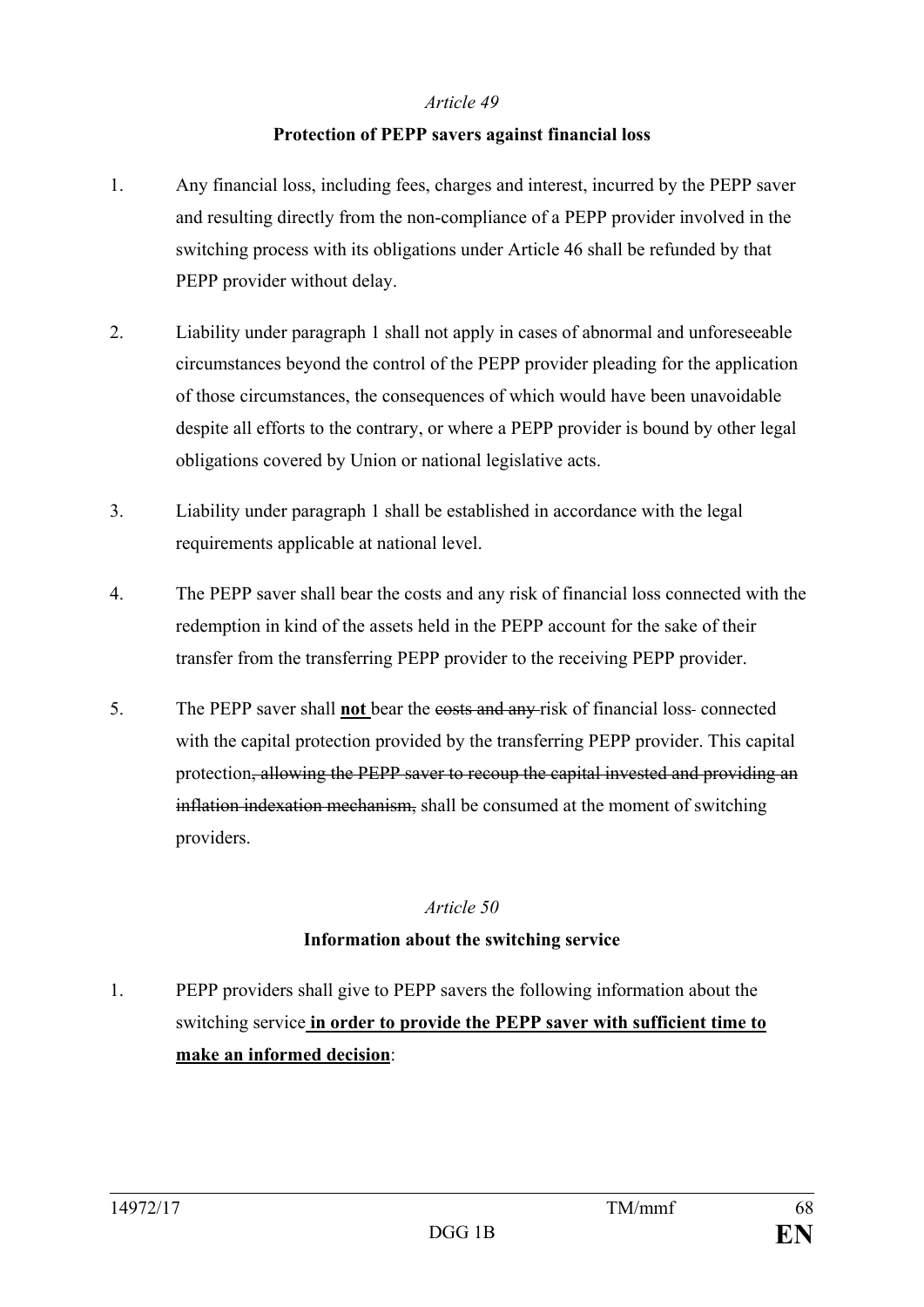#### **Protection of PEPP savers against financial loss**

- 1. Any financial loss, including fees, charges and interest, incurred by the PEPP saver and resulting directly from the non-compliance of a PEPP provider involved in the switching process with its obligations under Article 46 shall be refunded by that PEPP provider without delay.
- 2. Liability under paragraph 1 shall not apply in cases of abnormal and unforeseeable circumstances beyond the control of the PEPP provider pleading for the application of those circumstances, the consequences of which would have been unavoidable despite all efforts to the contrary, or where a PEPP provider is bound by other legal obligations covered by Union or national legislative acts.
- 3. Liability under paragraph 1 shall be established in accordance with the legal requirements applicable at national level.
- 4. The PEPP saver shall bear the costs and any risk of financial loss connected with the redemption in kind of the assets held in the PEPP account for the sake of their transfer from the transferring PEPP provider to the receiving PEPP provider.
- 5. The PEPP saver shall **not** bear the costs and any risk of financial loss connected with the capital protection provided by the transferring PEPP provider. This capital protection, allowing the PEPP saver to recoup the capital invested and providing an inflation indexation mechanism, shall be consumed at the moment of switching providers.

#### *Article 50*

#### **Information about the switching service**

1. PEPP providers shall give to PEPP savers the following information about the switching service **in order to provide the PEPP saver with sufficient time to make an informed decision**: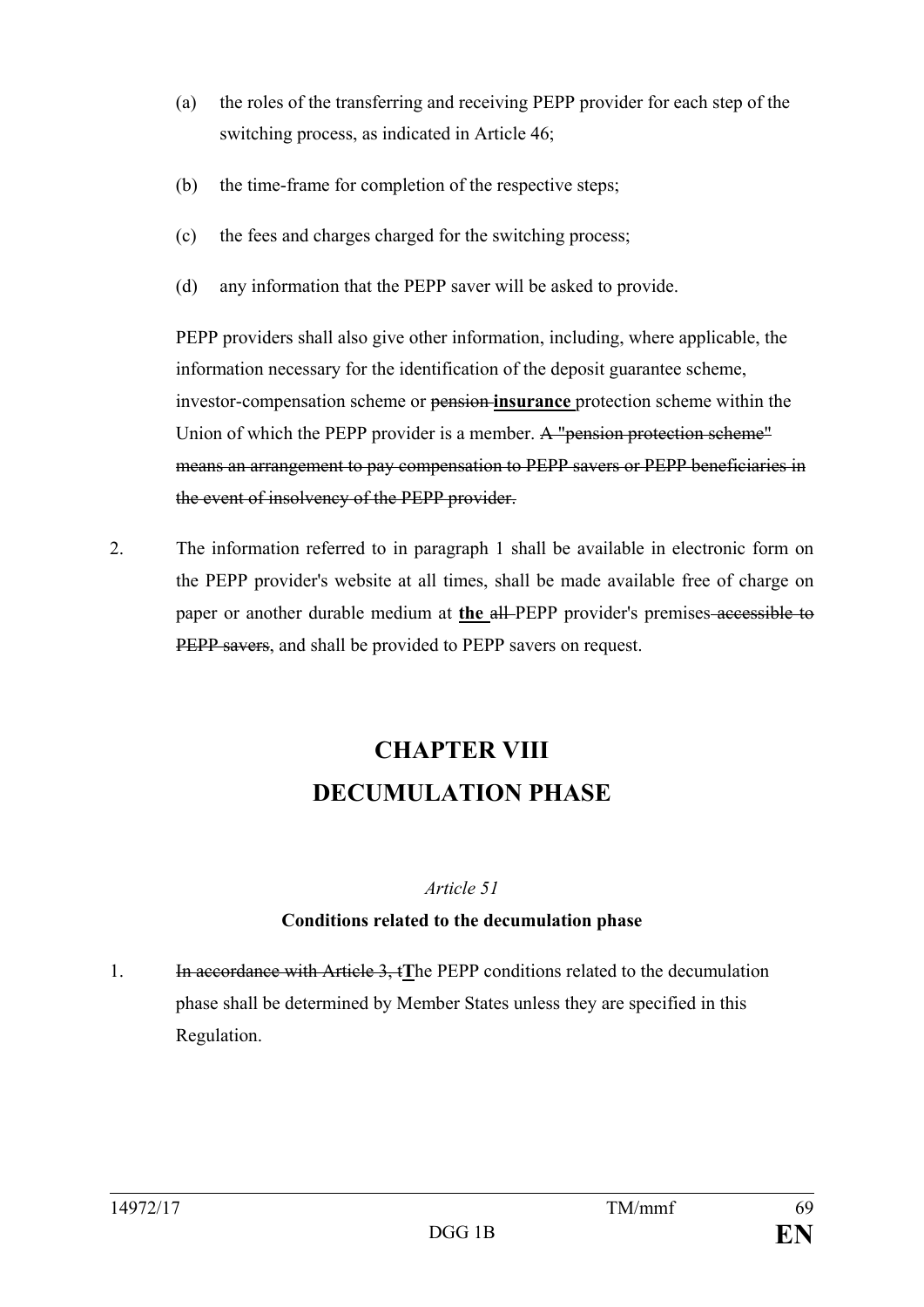- (a) the roles of the transferring and receiving PEPP provider for each step of the switching process, as indicated in Article 46;
- (b) the time-frame for completion of the respective steps;
- (c) the fees and charges charged for the switching process;
- (d) any information that the PEPP saver will be asked to provide.

PEPP providers shall also give other information, including, where applicable, the information necessary for the identification of the deposit guarantee scheme, investor-compensation scheme or pension **insurance** protection scheme within the Union of which the PEPP provider is a member. A "pension protection scheme" means an arrangement to pay compensation to PEPP savers or PEPP beneficiaries in the event of insolvency of the PEPP provider.

2. The information referred to in paragraph 1 shall be available in electronic form on the PEPP provider's website at all times, shall be made available free of charge on paper or another durable medium at **the** all PEPP provider's premises accessible to PEPP savers, and shall be provided to PEPP savers on request.

# **CHAPTER VIII DECUMULATION PHASE**

#### *Article 51*

## **Conditions related to the decumulation phase**

1. In accordance with Article 3, t**T**he PEPP conditions related to the decumulation phase shall be determined by Member States unless they are specified in this Regulation.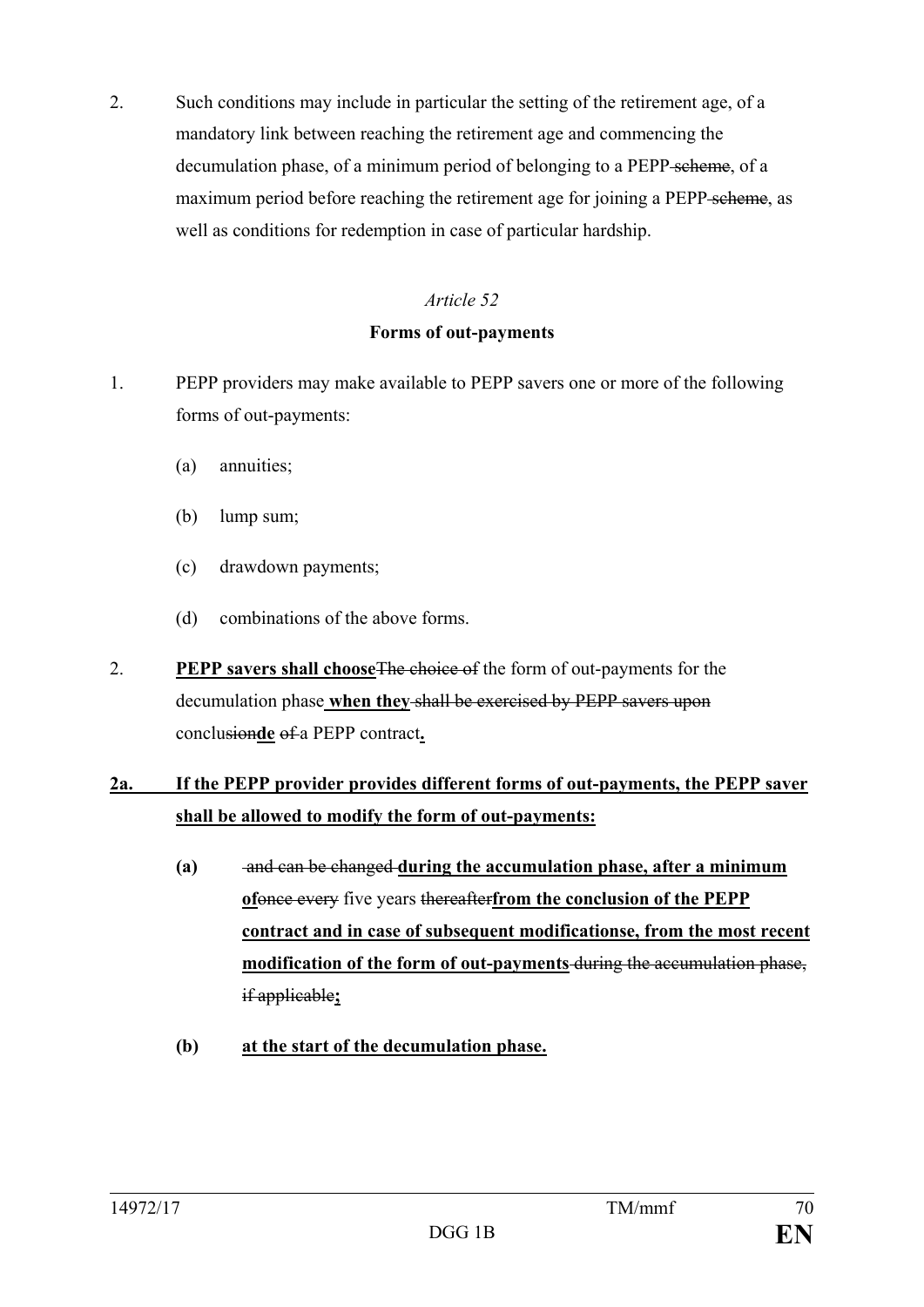2. Such conditions may include in particular the setting of the retirement age, of a mandatory link between reaching the retirement age and commencing the decumulation phase, of a minimum period of belonging to a PEPP scheme, of a maximum period before reaching the retirement age for joining a PEPP scheme, as well as conditions for redemption in case of particular hardship.

#### *Article 52*

#### **Forms of out-payments**

- 1. PEPP providers may make available to PEPP savers one or more of the following forms of out-payments:
	- (a) annuities;
	- (b) lump sum;
	- (c) drawdown payments;
	- (d) combinations of the above forms.
- 2. **PEPP savers shall choose**The choice of the form of out-payments for the decumulation phase when they shall be exercised by PEPP savers upon conclusionde of a PEPP contract.

## **2a. If the PEPP provider provides different forms of out-payments, the PEPP saver shall be allowed to modify the form of out-payments:**

- **(a)** and can be changed **during the accumulation phase, after a minimum of**once every five years thereafter**from the conclusion of the PEPP contract and in case of subsequent modificationse, from the most recent modification of the form of out-payments** during the accumulation phase, if applicable**;**
- **(b) at the start of the decumulation phase.**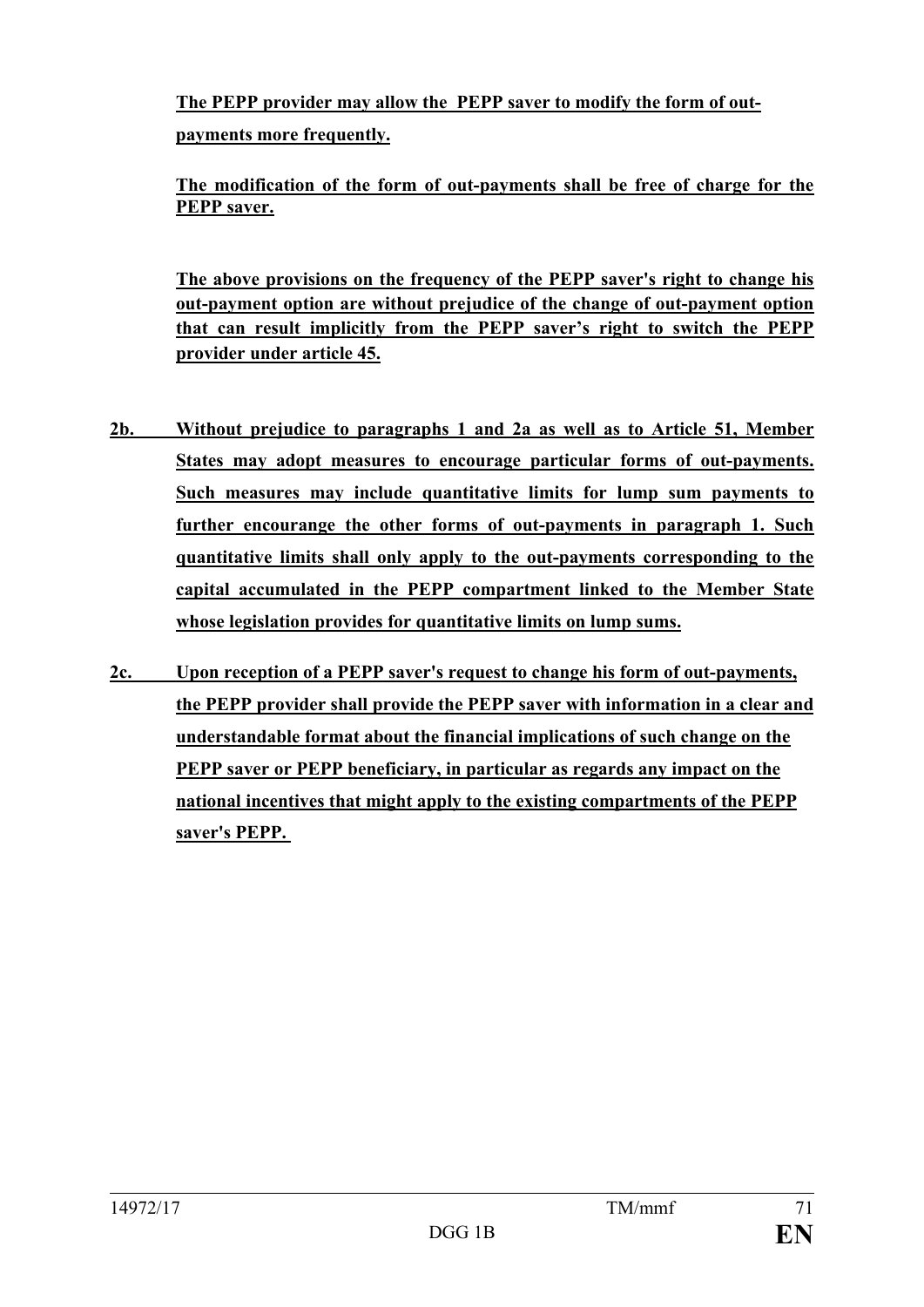**The PEPP provider may allow the PEPP saver to modify the form of outpayments more frequently.**

**The modification of the form of out-payments shall be free of charge for the PEPP saver.**

**The above provisions on the frequency of the PEPP saver's right to change his out-payment option are without prejudice of the change of out-payment option that can result implicitly from the PEPP saver's right to switch the PEPP provider under article 45.**

- **2b. Without prejudice to paragraphs 1 and 2a as well as to Article 51, Member States may adopt measures to encourage particular forms of out-payments. Such measures may include quantitative limits for lump sum payments to further encourange the other forms of out-payments in paragraph 1. Such quantitative limits shall only apply to the out-payments corresponding to the capital accumulated in the PEPP compartment linked to the Member State whose legislation provides for quantitative limits on lump sums.**
- **2c. Upon reception of a PEPP saver's request to change his form of out-payments, the PEPP provider shall provide the PEPP saver with information in a clear and understandable format about the financial implications of such change on the PEPP saver or PEPP beneficiary, in particular as regards any impact on the national incentives that might apply to the existing compartments of the PEPP saver's PEPP.**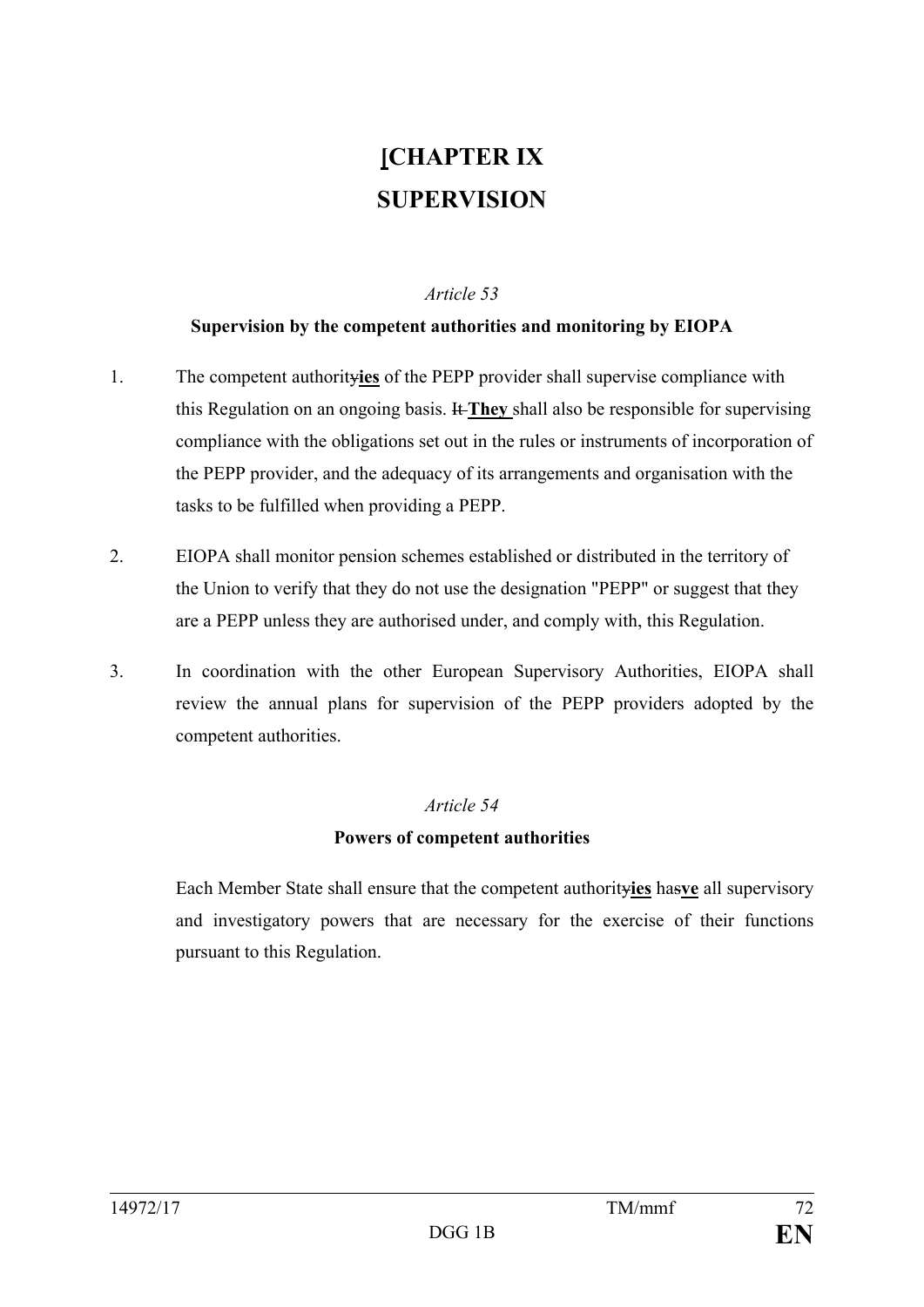# **[CHAPTER IX SUPERVISION**

### *Article 53*

# **Supervision by the competent authorities and monitoring by EIOPA**

- 1. The competent authority**ies** of the PEPP provider shall supervise compliance with this Regulation on an ongoing basis. It **They** shall also be responsible for supervising compliance with the obligations set out in the rules or instruments of incorporation of the PEPP provider, and the adequacy of its arrangements and organisation with the tasks to be fulfilled when providing a PEPP.
- 2. EIOPA shall monitor pension schemes established or distributed in the territory of the Union to verify that they do not use the designation "PEPP" or suggest that they are a PEPP unless they are authorised under, and comply with, this Regulation.
- 3. In coordination with the other European Supervisory Authorities, EIOPA shall review the annual plans for supervision of the PEPP providers adopted by the competent authorities.

# *Article 54*

# **Powers of competent authorities**

Each Member State shall ensure that the competent authority**ies** has**ve** all supervisory and investigatory powers that are necessary for the exercise of their functions pursuant to this Regulation.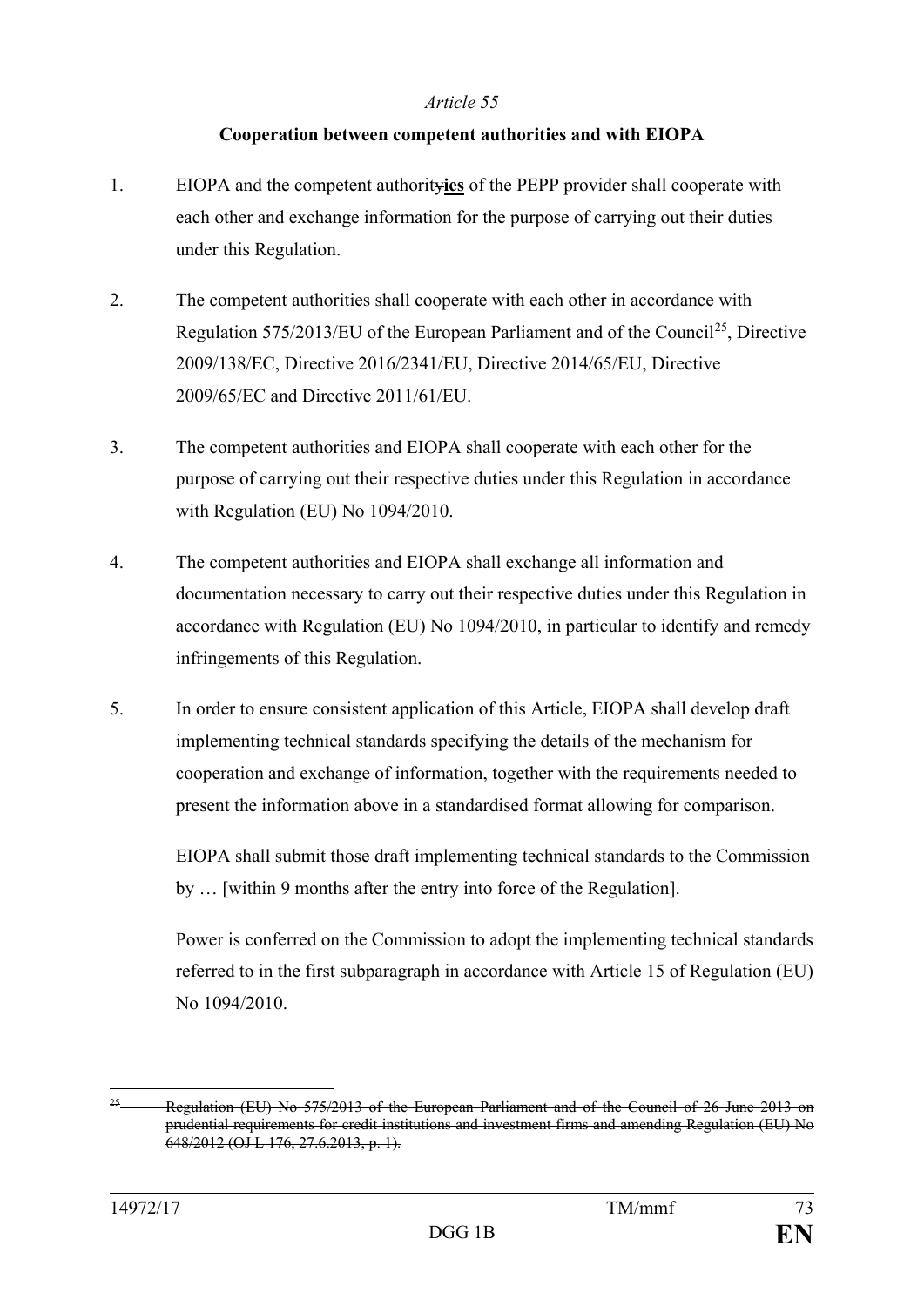# **Cooperation between competent authorities and with EIOPA**

- 1. EIOPA and the competent authority**ies** of the PEPP provider shall cooperate with each other and exchange information for the purpose of carrying out their duties under this Regulation.
- 2. The competent authorities shall cooperate with each other in accordance with Regulation 575/2013/EU of the European Parliament and of the Council<sup>25</sup>, Directive 2009/138/EC, Directive 2016/2341/EU, Directive 2014/65/EU, Directive 2009/65/EC and Directive 2011/61/EU.
- 3. The competent authorities and EIOPA shall cooperate with each other for the purpose of carrying out their respective duties under this Regulation in accordance with Regulation (EU) No 1094/2010.
- 4. The competent authorities and EIOPA shall exchange all information and documentation necessary to carry out their respective duties under this Regulation in accordance with Regulation (EU) No 1094/2010, in particular to identify and remedy infringements of this Regulation.
- 5. In order to ensure consistent application of this Article, EIOPA shall develop draft implementing technical standards specifying the details of the mechanism for cooperation and exchange of information, together with the requirements needed to present the information above in a standardised format allowing for comparison.

EIOPA shall submit those draft implementing technical standards to the Commission by … [within 9 months after the entry into force of the Regulation].

Power is conferred on the Commission to adopt the implementing technical standards referred to in the first subparagraph in accordance with Article 15 of Regulation (EU) No 1094/2010.

<span id="page-73-0"></span><sup>&</sup>lt;sup>25</sup> Regulation (EU) No  $575/2013$  of the European Parliament and of the Council of 26 June 2013 on prudential requirements for credit institutions and investment firms and amending Regulation (EU) No 648/2012 (OJ L 176, 27.6.2013, p. 1).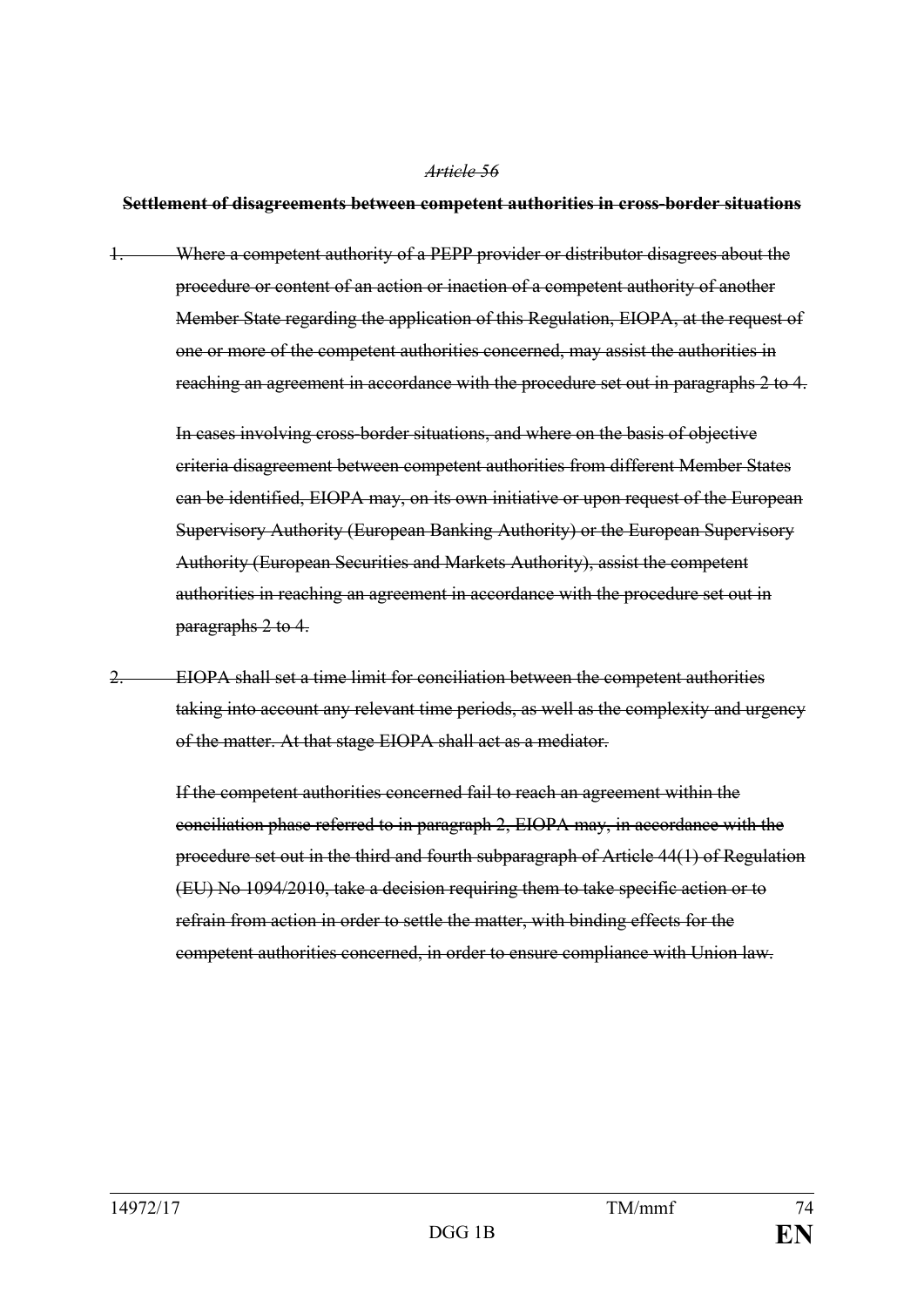#### **Settlement of disagreements between competent authorities in cross-border situations**

1. Where a competent authority of a PEPP provider or distributor disagrees about the procedure or content of an action or inaction of a competent authority of another Member State regarding the application of this Regulation, EIOPA, at the request of one or more of the competent authorities concerned, may assist the authorities in reaching an agreement in accordance with the procedure set out in paragraphs 2 to 4.

In cases involving cross-border situations, and where on the basis of objective criteria disagreement between competent authorities from different Member States can be identified, EIOPA may, on its own initiative or upon request of the European Supervisory Authority (European Banking Authority) or the European Supervisory Authority (European Securities and Markets Authority), assist the competent authorities in reaching an agreement in accordance with the procedure set out in paragraphs 2 to 4.

EIOPA shall set a time limit for conciliation between the competent authorities taking into account any relevant time periods, as well as the complexity and urgency of the matter. At that stage EIOPA shall act as a mediator.

If the competent authorities concerned fail to reach an agreement within the conciliation phase referred to in paragraph 2, EIOPA may, in accordance with the procedure set out in the third and fourth subparagraph of Article 44(1) of Regulation (EU) No 1094/2010, take a decision requiring them to take specific action or to refrain from action in order to settle the matter, with binding effects for the competent authorities concerned, in order to ensure compliance with Union law.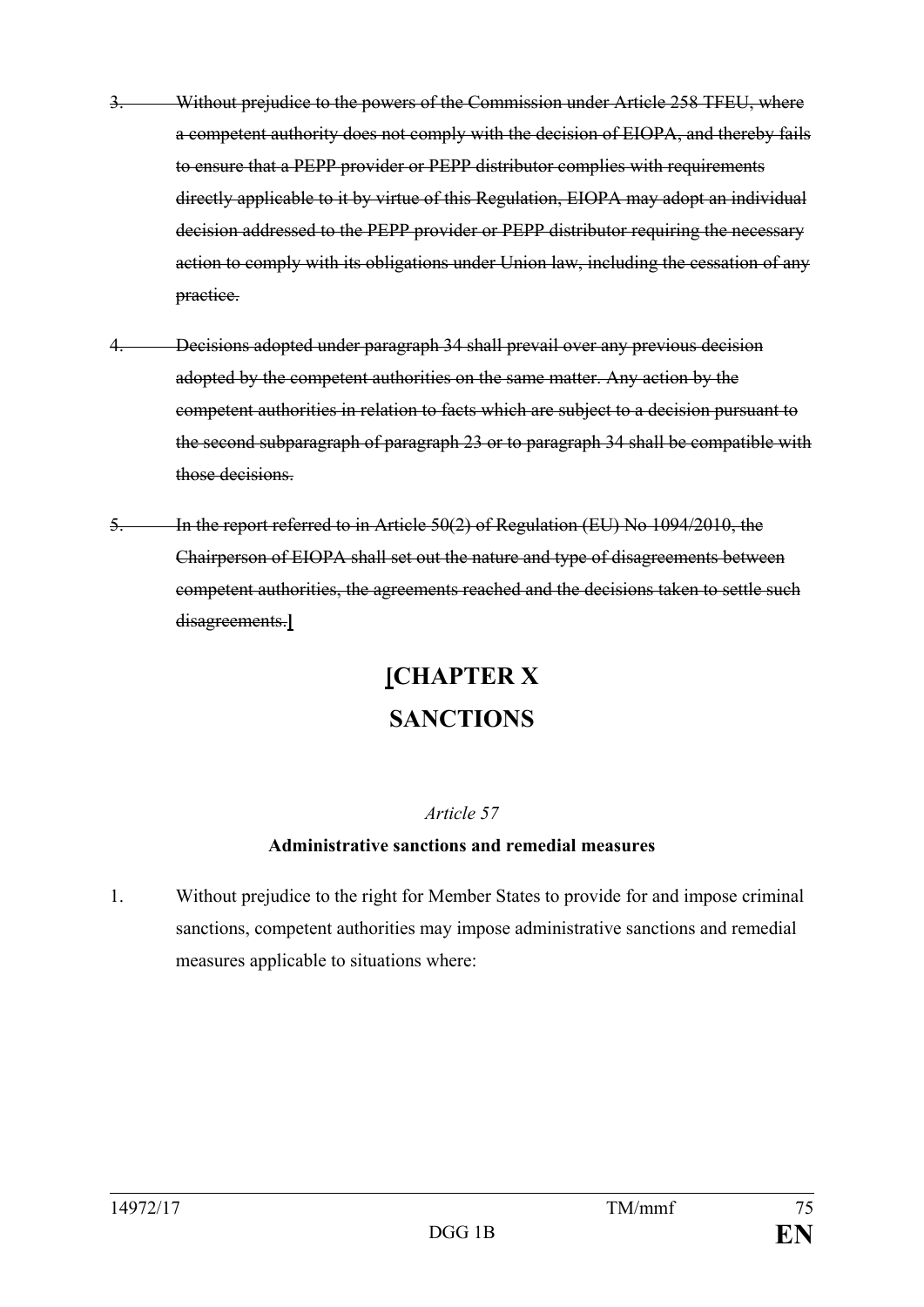- 3. Without prejudice to the powers of the Commission under Article 258 TFEU, where a competent authority does not comply with the decision of EIOPA, and thereby fails to ensure that a PEPP provider or PEPP distributor complies with requirements directly applicable to it by virtue of this Regulation, EIOPA may adopt an individual decision addressed to the PEPP provider or PEPP distributor requiring the necessary action to comply with its obligations under Union law, including the cessation of any practice.
- 4. Decisions adopted under paragraph 34 shall prevail over any previous decision adopted by the competent authorities on the same matter. Any action by the competent authorities in relation to facts which are subject to a decision pursuant to the second subparagraph of paragraph 23 or to paragraph 34 shall be compatible with those decisions.
- 5. In the report referred to in Article 50(2) of Regulation (EU) No 1094/2010, the Chairperson of EIOPA shall set out the nature and type of disagreements between competent authorities, the agreements reached and the decisions taken to settle such disagreements.**]**

# **[CHAPTER X SANCTIONS**

# *Article 57*

# **Administrative sanctions and remedial measures**

1. Without prejudice to the right for Member States to provide for and impose criminal sanctions, competent authorities may impose administrative sanctions and remedial measures applicable to situations where: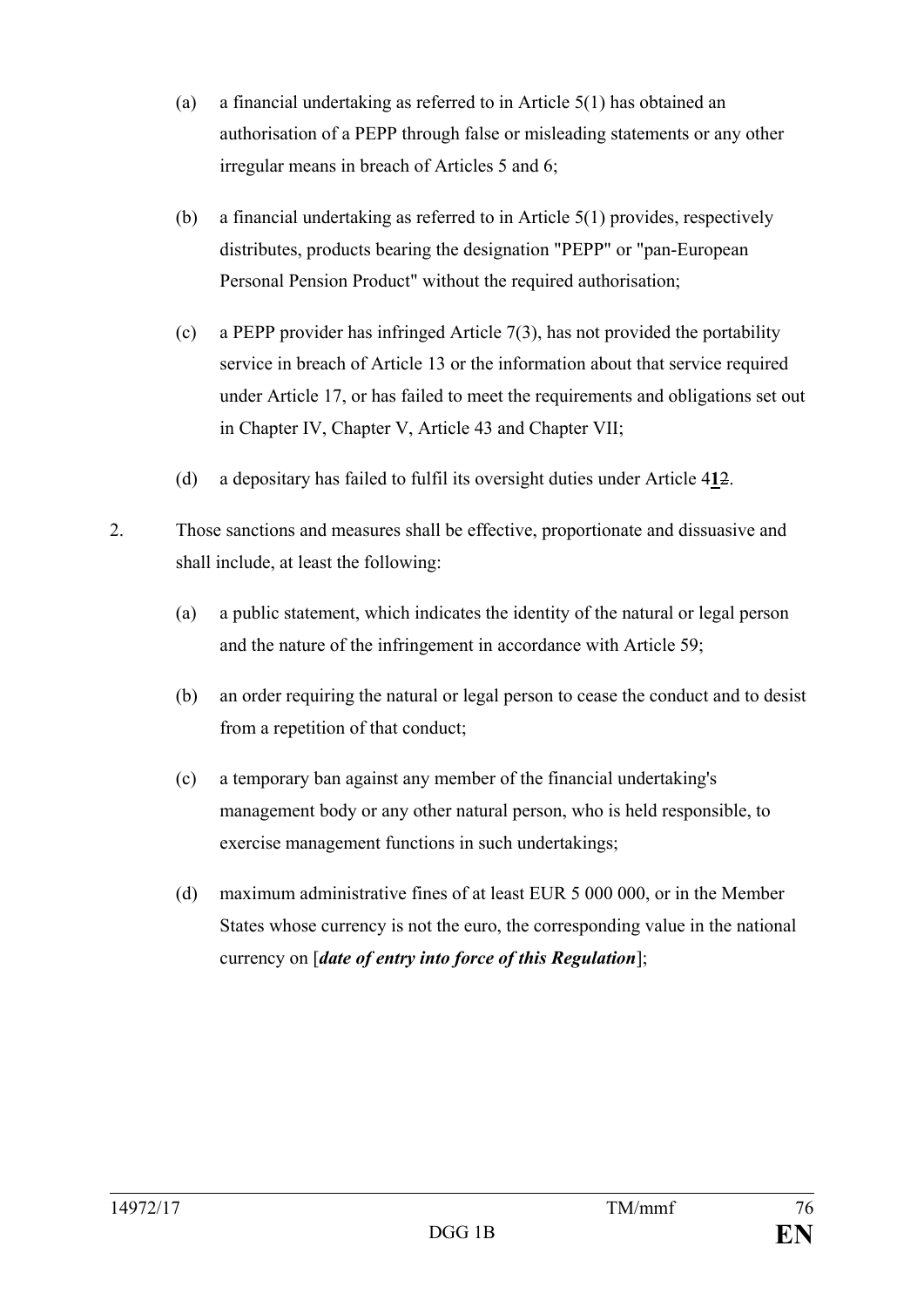- (a) a financial undertaking as referred to in Article 5(1) has obtained an authorisation of a PEPP through false or misleading statements or any other irregular means in breach of Articles 5 and 6;
- (b) a financial undertaking as referred to in Article 5(1) provides, respectively distributes, products bearing the designation "PEPP" or "pan-European Personal Pension Product" without the required authorisation;
- (c) a PEPP provider has infringed Article 7(3), has not provided the portability service in breach of Article 13 or the information about that service required under Article 17, or has failed to meet the requirements and obligations set out in Chapter IV, Chapter V, Article 43 and Chapter VII;
- (d) a depositary has failed to fulfil its oversight duties under Article 4**1**2.
- 2. Those sanctions and measures shall be effective, proportionate and dissuasive and shall include, at least the following:
	- (a) a public statement, which indicates the identity of the natural or legal person and the nature of the infringement in accordance with Article 59;
	- (b) an order requiring the natural or legal person to cease the conduct and to desist from a repetition of that conduct;
	- (c) a temporary ban against any member of the financial undertaking's management body or any other natural person, who is held responsible, to exercise management functions in such undertakings;
	- (d) maximum administrative fines of at least EUR 5 000 000, or in the Member States whose currency is not the euro, the corresponding value in the national currency on [*date of entry into force of this Regulation*];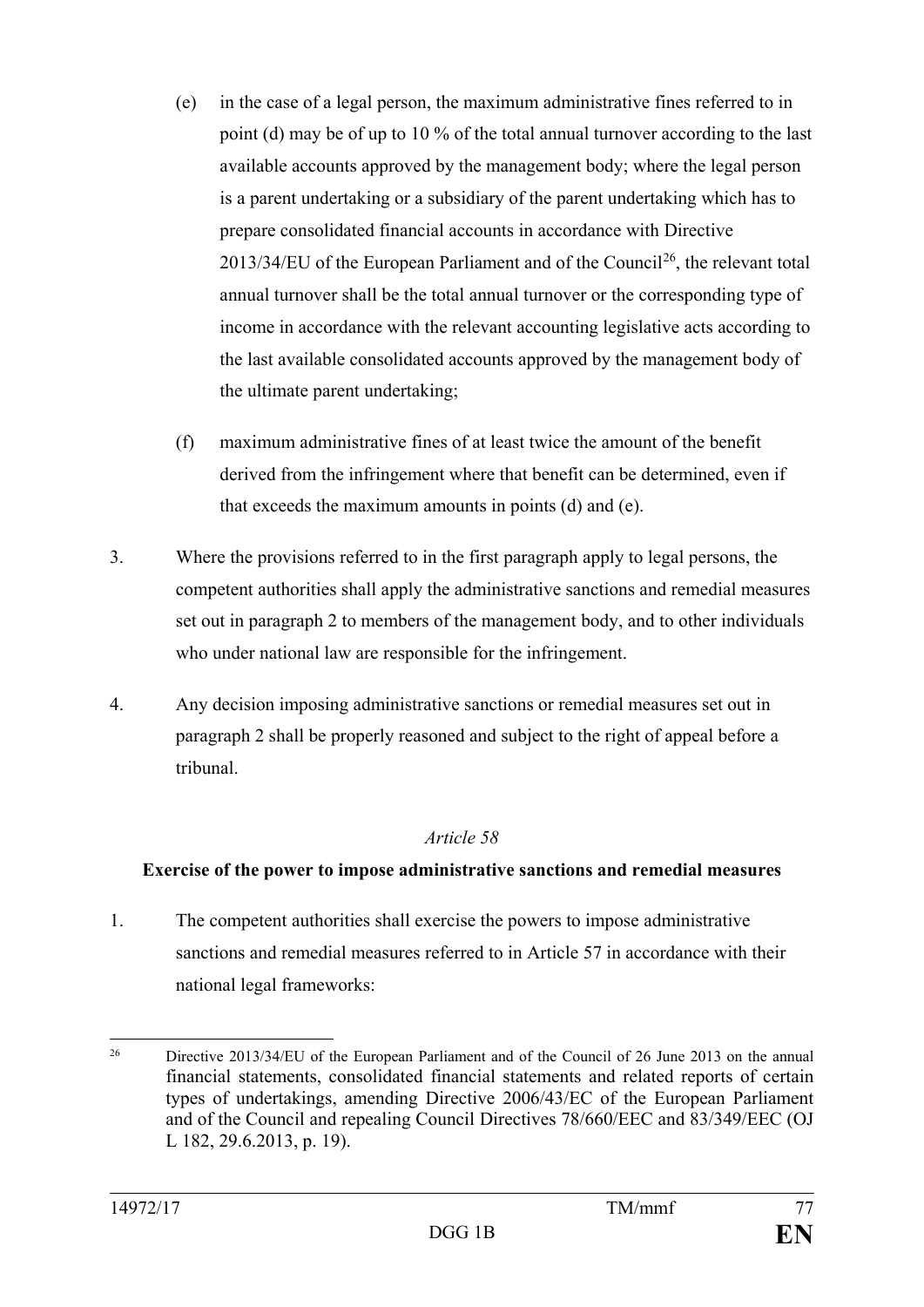- (e) in the case of a legal person, the maximum administrative fines referred to in point (d) may be of up to 10 % of the total annual turnover according to the last available accounts approved by the management body; where the legal person is a parent undertaking or a subsidiary of the parent undertaking which has to prepare consolidated financial accounts in accordance with Directive  $2013/34/EU$  of the European Parliament and of the Council<sup>26</sup>, the relevant total annual turnover shall be the total annual turnover or the corresponding type of income in accordance with the relevant accounting legislative acts according to the last available consolidated accounts approved by the management body of the ultimate parent undertaking;
- (f) maximum administrative fines of at least twice the amount of the benefit derived from the infringement where that benefit can be determined, even if that exceeds the maximum amounts in points (d) and (e).
- 3. Where the provisions referred to in the first paragraph apply to legal persons, the competent authorities shall apply the administrative sanctions and remedial measures set out in paragraph 2 to members of the management body, and to other individuals who under national law are responsible for the infringement.
- 4. Any decision imposing administrative sanctions or remedial measures set out in paragraph 2 shall be properly reasoned and subject to the right of appeal before a tribunal.

# **Exercise of the power to impose administrative sanctions and remedial measures**

1. The competent authorities shall exercise the powers to impose administrative sanctions and remedial measures referred to in Article 57 in accordance with their national legal frameworks:

<span id="page-77-0"></span><sup>&</sup>lt;sup>26</sup> Directive 2013/34/EU of the European Parliament and of the Council of 26 June 2013 on the annual financial statements, consolidated financial statements and related reports of certain types of undertakings, amending Directive 2006/43/EC of the European Parliament and of the Council and repealing Council Directives 78/660/EEC and 83/349/EEC (OJ L 182, 29.6.2013, p. 19).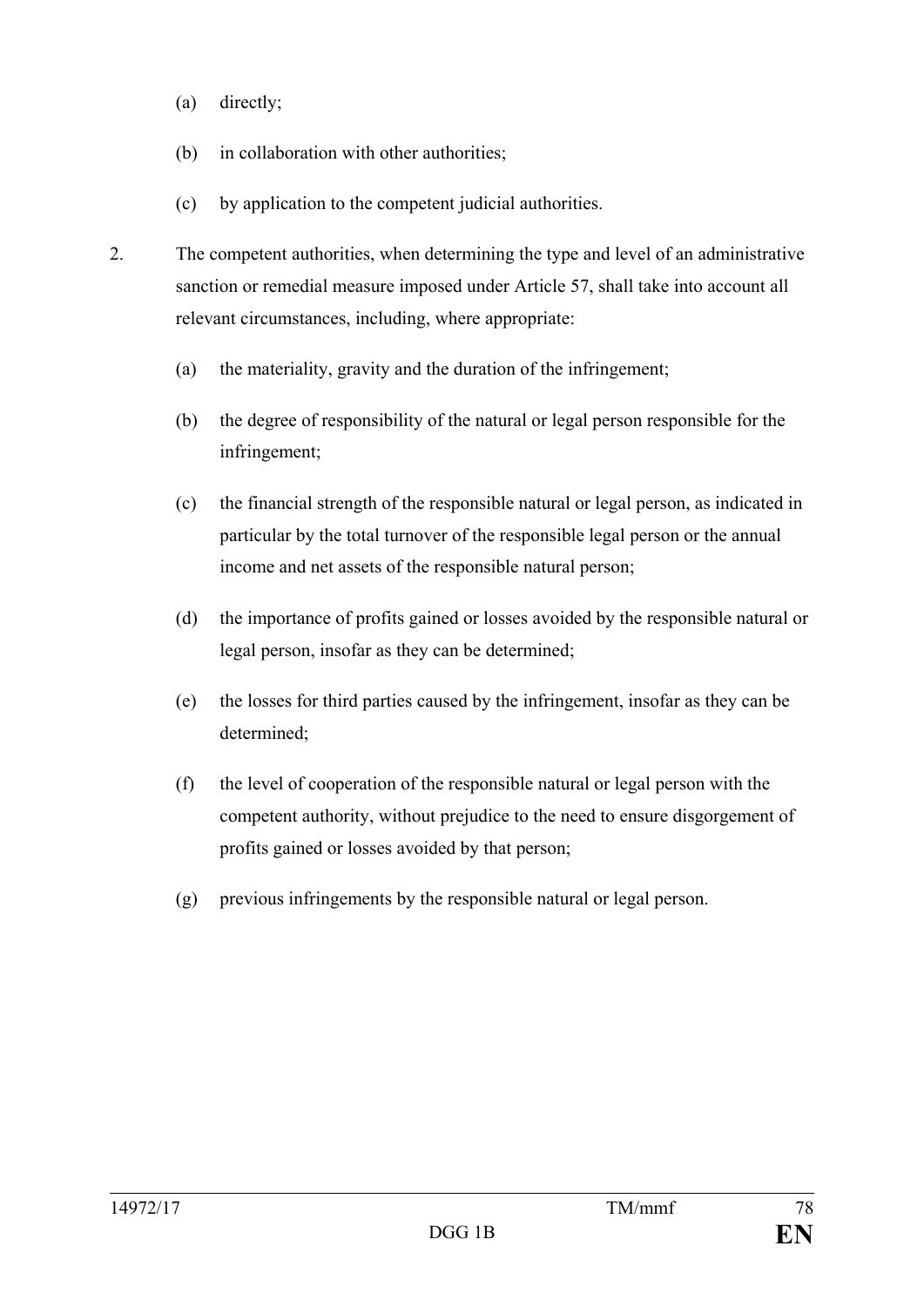- (a) directly;
- (b) in collaboration with other authorities;
- (c) by application to the competent judicial authorities.
- 2. The competent authorities, when determining the type and level of an administrative sanction or remedial measure imposed under Article 57, shall take into account all relevant circumstances, including, where appropriate:
	- (a) the materiality, gravity and the duration of the infringement;
	- (b) the degree of responsibility of the natural or legal person responsible for the infringement;
	- (c) the financial strength of the responsible natural or legal person, as indicated in particular by the total turnover of the responsible legal person or the annual income and net assets of the responsible natural person;
	- (d) the importance of profits gained or losses avoided by the responsible natural or legal person, insofar as they can be determined;
	- (e) the losses for third parties caused by the infringement, insofar as they can be determined;
	- (f) the level of cooperation of the responsible natural or legal person with the competent authority, without prejudice to the need to ensure disgorgement of profits gained or losses avoided by that person;
	- (g) previous infringements by the responsible natural or legal person.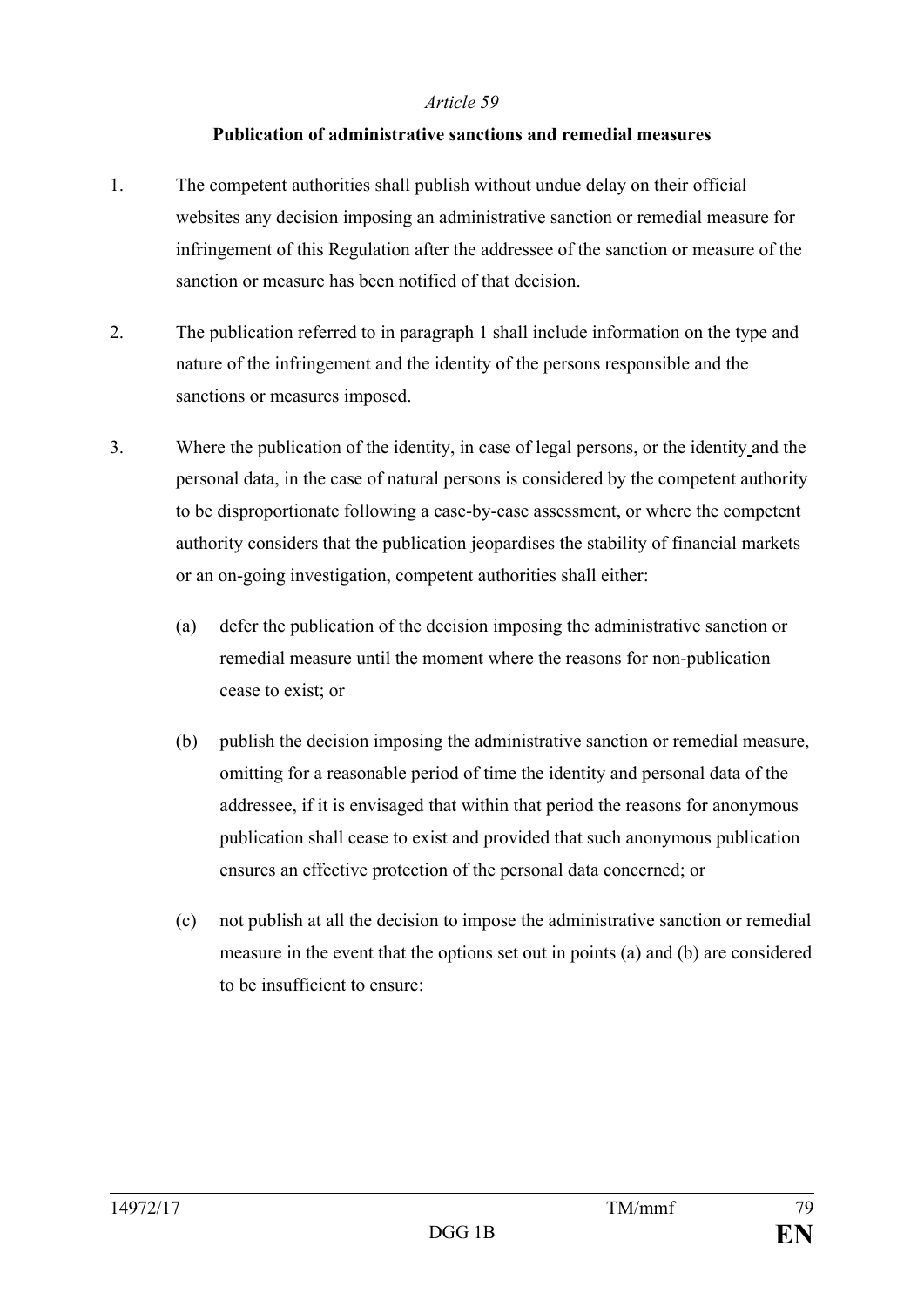#### **Publication of administrative sanctions and remedial measures**

- 1. The competent authorities shall publish without undue delay on their official websites any decision imposing an administrative sanction or remedial measure for infringement of this Regulation after the addressee of the sanction or measure of the sanction or measure has been notified of that decision.
- 2. The publication referred to in paragraph 1 shall include information on the type and nature of the infringement and the identity of the persons responsible and the sanctions or measures imposed.
- 3. Where the publication of the identity, in case of legal persons, or the identity and the personal data, in the case of natural persons is considered by the competent authority to be disproportionate following a case-by-case assessment, or where the competent authority considers that the publication jeopardises the stability of financial markets or an on-going investigation, competent authorities shall either:
	- (a) defer the publication of the decision imposing the administrative sanction or remedial measure until the moment where the reasons for non-publication cease to exist; or
	- (b) publish the decision imposing the administrative sanction or remedial measure, omitting for a reasonable period of time the identity and personal data of the addressee, if it is envisaged that within that period the reasons for anonymous publication shall cease to exist and provided that such anonymous publication ensures an effective protection of the personal data concerned; or
	- (c) not publish at all the decision to impose the administrative sanction or remedial measure in the event that the options set out in points (a) and (b) are considered to be insufficient to ensure: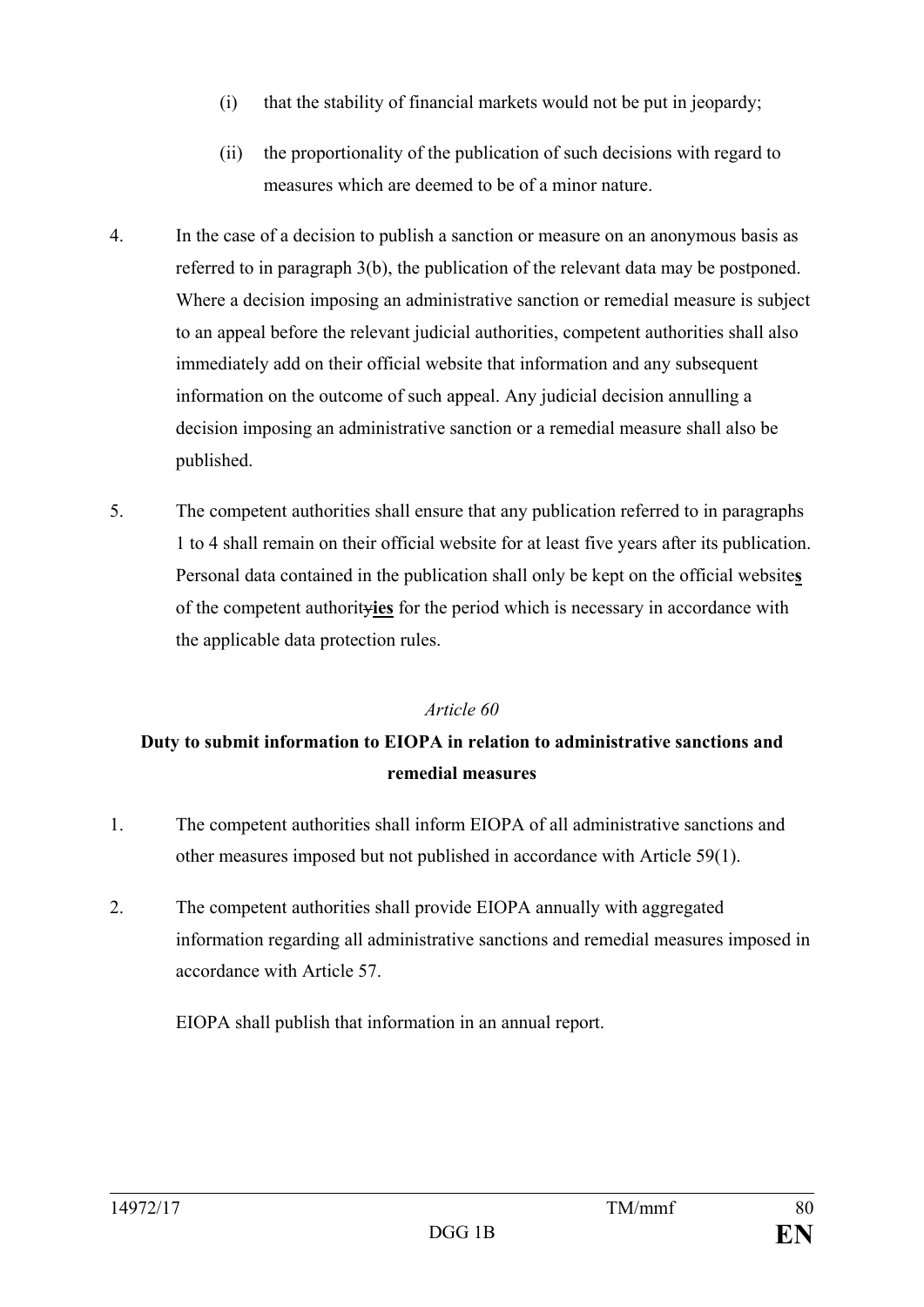- (i) that the stability of financial markets would not be put in jeopardy;
- (ii) the proportionality of the publication of such decisions with regard to measures which are deemed to be of a minor nature.
- 4. In the case of a decision to publish a sanction or measure on an anonymous basis as referred to in paragraph 3(b), the publication of the relevant data may be postponed. Where a decision imposing an administrative sanction or remedial measure is subject to an appeal before the relevant judicial authorities, competent authorities shall also immediately add on their official website that information and any subsequent information on the outcome of such appeal. Any judicial decision annulling a decision imposing an administrative sanction or a remedial measure shall also be published.
- 5. The competent authorities shall ensure that any publication referred to in paragraphs 1 to 4 shall remain on their official website for at least five years after its publication. Personal data contained in the publication shall only be kept on the official website**s** of the competent authority**ies** for the period which is necessary in accordance with the applicable data protection rules.

# **Duty to submit information to EIOPA in relation to administrative sanctions and remedial measures**

- 1. The competent authorities shall inform EIOPA of all administrative sanctions and other measures imposed but not published in accordance with Article 59(1).
- 2. The competent authorities shall provide EIOPA annually with aggregated information regarding all administrative sanctions and remedial measures imposed in accordance with Article 57.

EIOPA shall publish that information in an annual report.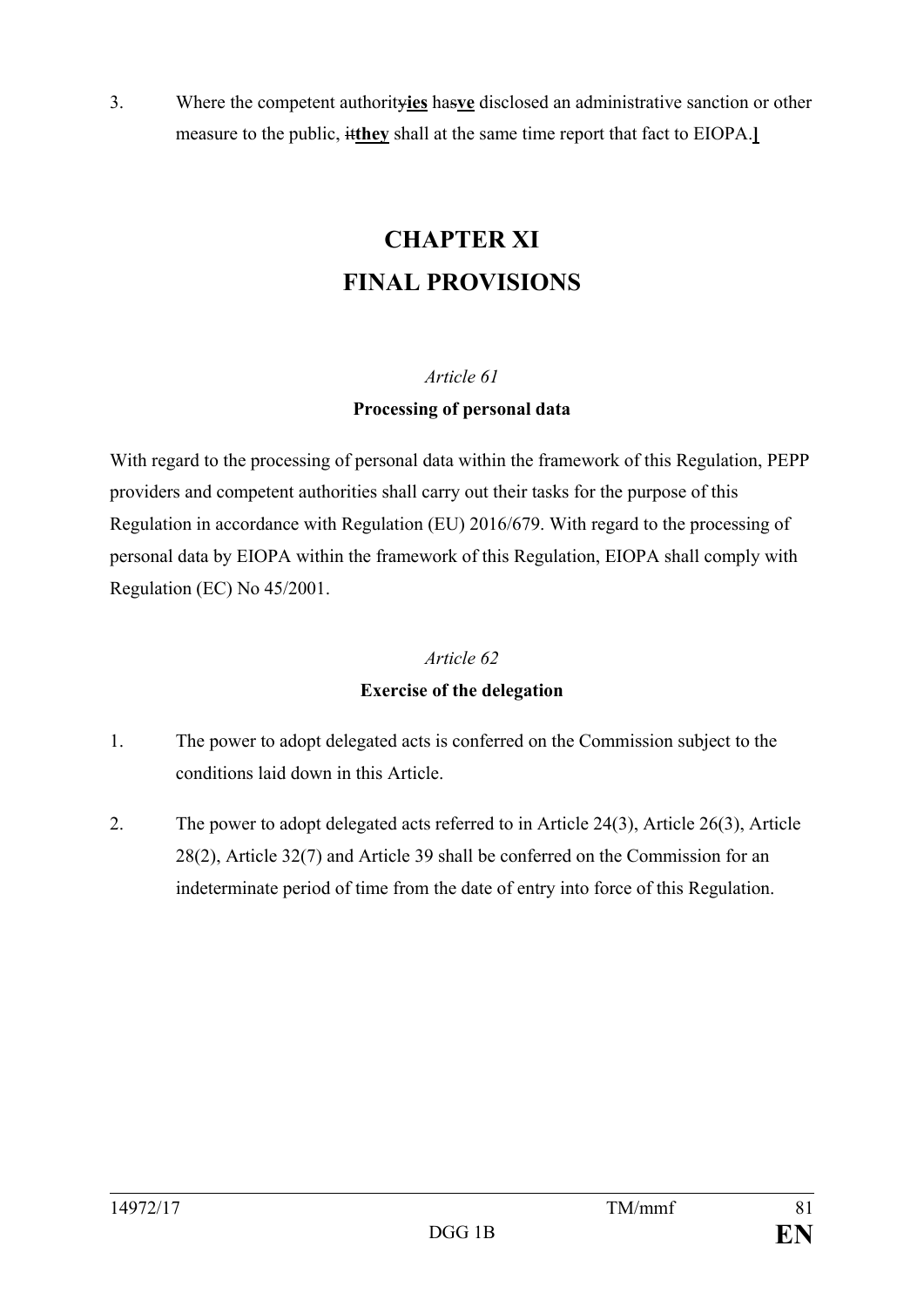3. Where the competent authority**ies** has**ve** disclosed an administrative sanction or other measure to the public, it**they** shall at the same time report that fact to EIOPA.**]**

# **CHAPTER XI FINAL PROVISIONS**

# *Article 61*

# **Processing of personal data**

With regard to the processing of personal data within the framework of this Regulation, PEPP providers and competent authorities shall carry out their tasks for the purpose of this Regulation in accordance with Regulation (EU) 2016/679. With regard to the processing of personal data by EIOPA within the framework of this Regulation, EIOPA shall comply with Regulation (EC) No 45/2001.

# *Article 62*

# **Exercise of the delegation**

- 1. The power to adopt delegated acts is conferred on the Commission subject to the conditions laid down in this Article.
- 2. The power to adopt delegated acts referred to in Article 24(3), Article 26(3), Article 28(2), Article 32(7) and Article 39 shall be conferred on the Commission for an indeterminate period of time from the date of entry into force of this Regulation.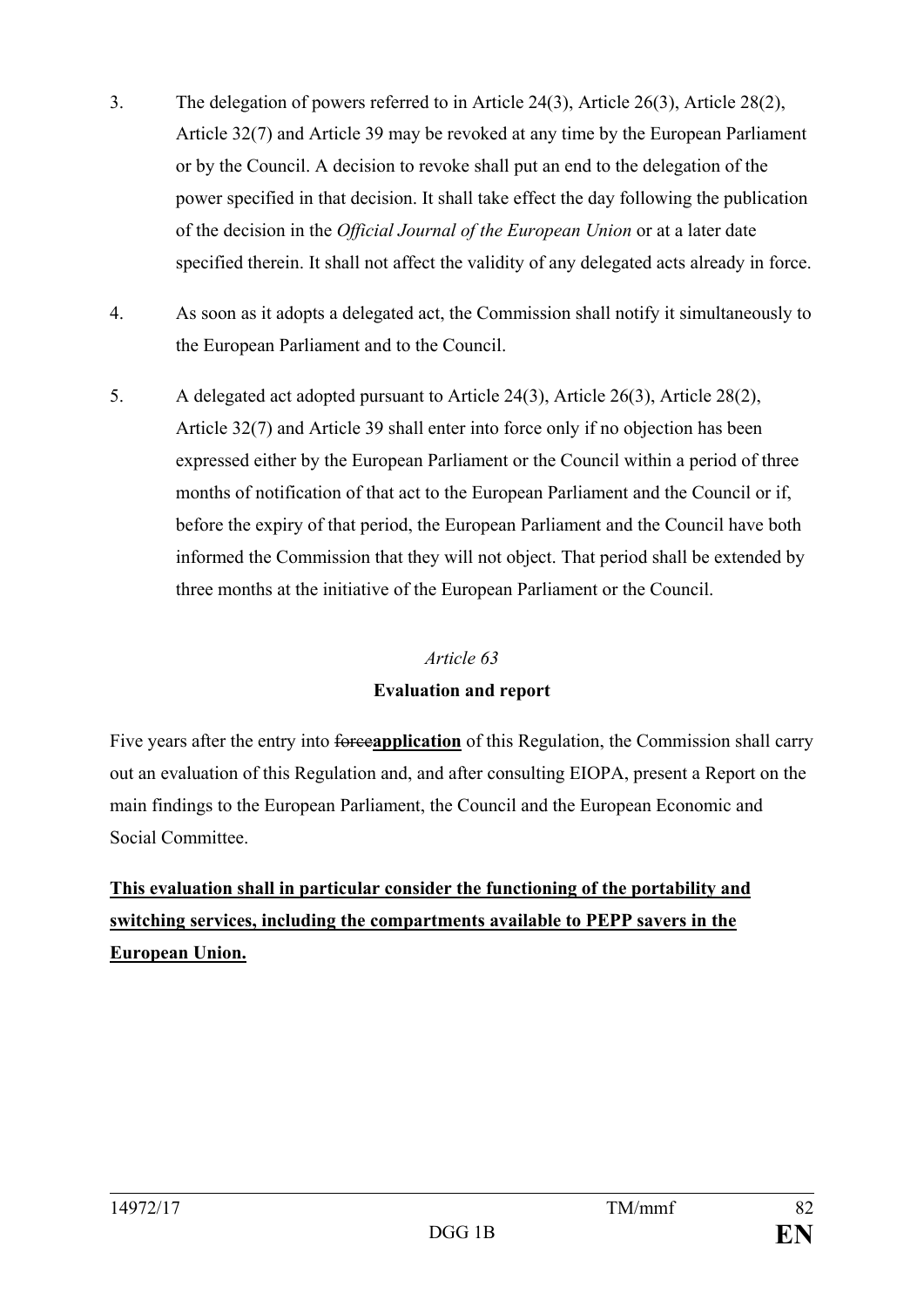- 3. The delegation of powers referred to in Article 24(3), Article 26(3), Article 28(2), Article 32(7) and Article 39 may be revoked at any time by the European Parliament or by the Council. A decision to revoke shall put an end to the delegation of the power specified in that decision. It shall take effect the day following the publication of the decision in the *Official Journal of the European Union* or at a later date specified therein. It shall not affect the validity of any delegated acts already in force.
- 4. As soon as it adopts a delegated act, the Commission shall notify it simultaneously to the European Parliament and to the Council.
- 5. A delegated act adopted pursuant to Article 24(3), Article 26(3), Article 28(2), Article 32(7) and Article 39 shall enter into force only if no objection has been expressed either by the European Parliament or the Council within a period of three months of notification of that act to the European Parliament and the Council or if, before the expiry of that period, the European Parliament and the Council have both informed the Commission that they will not object. That period shall be extended by three months at the initiative of the European Parliament or the Council.

# **Evaluation and report**

Five years after the entry into forceapplication of this Regulation, the Commission shall carry out an evaluation of this Regulation and, and after consulting EIOPA, present a Report on the main findings to the European Parliament, the Council and the European Economic and Social Committee.

**This evaluation shall in particular consider the functioning of the portability and switching services, including the compartments available to PEPP savers in the European Union.**